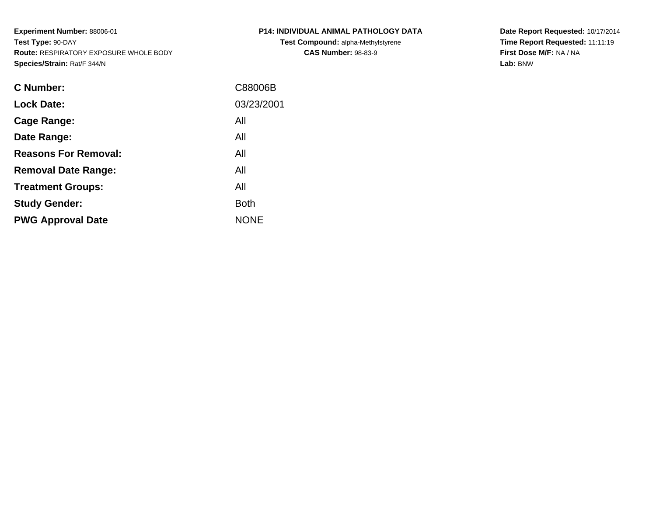**Experiment Number:** 88006-01**Test Type:** 90-DAY **Route:** RESPIRATORY EXPOSURE WHOLE BODY**Species/Strain:** Rat/F 344/N

| <b>C Number:</b>            | C88006B     |
|-----------------------------|-------------|
| <b>Lock Date:</b>           | 03/23/2001  |
| <b>Cage Range:</b>          | All         |
| Date Range:                 | All         |
| <b>Reasons For Removal:</b> | All         |
| <b>Removal Date Range:</b>  | All         |
| <b>Treatment Groups:</b>    | All         |
| <b>Study Gender:</b>        | <b>Both</b> |
| <b>PWG Approval Date</b>    | <b>NONE</b> |
|                             |             |

## **P14: INDIVIDUAL ANIMAL PATHOLOGY DATATest Compound:** alpha-Methylstyrene**CAS Number:** 98-83-9

**Date Report Requested:** 10/17/2014 **Time Report Requested:** 11:11:19**First Dose M/F:** NA / NA**Lab:** BNW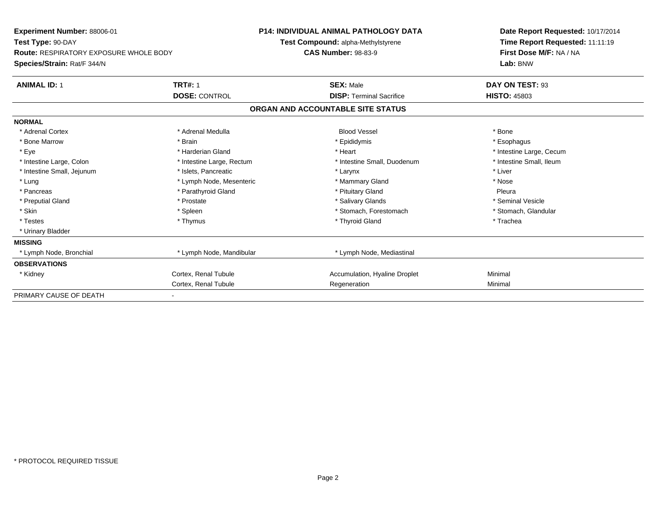| Experiment Number: 88006-01                   |                           | <b>P14: INDIVIDUAL ANIMAL PATHOLOGY DATA</b> | Date Report Requested: 10/17/2014 |  |  |
|-----------------------------------------------|---------------------------|----------------------------------------------|-----------------------------------|--|--|
| Test Type: 90-DAY                             |                           | Test Compound: alpha-Methylstyrene           | Time Report Requested: 11:11:19   |  |  |
| <b>Route: RESPIRATORY EXPOSURE WHOLE BODY</b> |                           | <b>CAS Number: 98-83-9</b>                   | First Dose M/F: NA / NA           |  |  |
| Species/Strain: Rat/F 344/N                   |                           |                                              | Lab: BNW                          |  |  |
| <b>ANIMAL ID: 1</b>                           | <b>TRT#: 1</b>            | <b>SEX: Male</b>                             | DAY ON TEST: 93                   |  |  |
|                                               | <b>DOSE: CONTROL</b>      | <b>DISP: Terminal Sacrifice</b>              | <b>HISTO: 45803</b>               |  |  |
|                                               |                           | ORGAN AND ACCOUNTABLE SITE STATUS            |                                   |  |  |
| <b>NORMAL</b>                                 |                           |                                              |                                   |  |  |
| * Adrenal Cortex                              | * Adrenal Medulla         | <b>Blood Vessel</b>                          | * Bone                            |  |  |
| * Bone Marrow                                 | * Brain                   | * Epididymis                                 | * Esophagus                       |  |  |
| * Eye                                         | * Harderian Gland         | * Heart                                      | * Intestine Large, Cecum          |  |  |
| * Intestine Large, Colon                      | * Intestine Large, Rectum | * Intestine Small, Duodenum                  | * Intestine Small, Ileum          |  |  |
| * Intestine Small, Jejunum                    | * Islets, Pancreatic      | * Larynx                                     | * Liver                           |  |  |
| * Lung                                        | * Lymph Node, Mesenteric  | * Mammary Gland                              | * Nose                            |  |  |
| * Pancreas                                    | * Parathyroid Gland       | * Pituitary Gland                            | Pleura                            |  |  |
| * Preputial Gland                             | * Prostate                | * Salivary Glands                            | * Seminal Vesicle                 |  |  |
| * Skin                                        | * Spleen                  | * Stomach. Forestomach                       | * Stomach, Glandular              |  |  |
| * Testes                                      | * Thymus                  | * Thyroid Gland                              | * Trachea                         |  |  |
| * Urinary Bladder                             |                           |                                              |                                   |  |  |
| <b>MISSING</b>                                |                           |                                              |                                   |  |  |
| * Lymph Node, Bronchial                       | * Lymph Node, Mandibular  | * Lymph Node, Mediastinal                    |                                   |  |  |
| <b>OBSERVATIONS</b>                           |                           |                                              |                                   |  |  |
| * Kidney                                      | Cortex, Renal Tubule      | Accumulation, Hyaline Droplet                | Minimal                           |  |  |
|                                               | Cortex, Renal Tubule      | Regeneration                                 | Minimal                           |  |  |
| PRIMARY CAUSE OF DEATH                        |                           |                                              |                                   |  |  |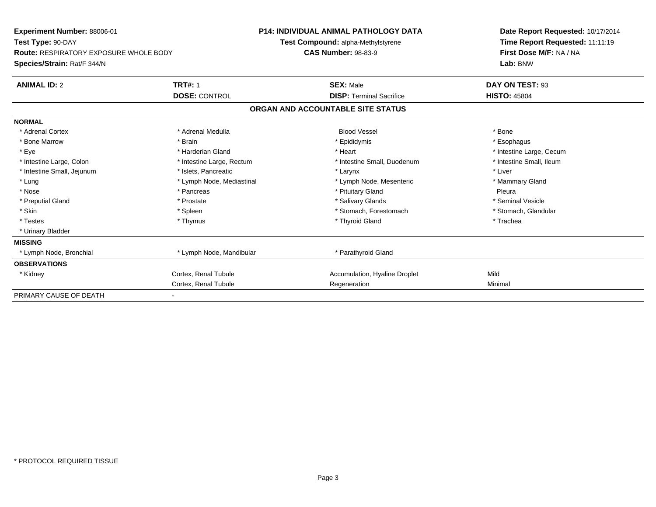| Experiment Number: 88006-01                   |                           | <b>P14: INDIVIDUAL ANIMAL PATHOLOGY DATA</b> | Date Report Requested: 10/17/2014 |
|-----------------------------------------------|---------------------------|----------------------------------------------|-----------------------------------|
| Test Type: 90-DAY                             |                           | Test Compound: alpha-Methylstyrene           | Time Report Requested: 11:11:19   |
| <b>Route: RESPIRATORY EXPOSURE WHOLE BODY</b> |                           | <b>CAS Number: 98-83-9</b>                   | First Dose M/F: NA / NA           |
| Species/Strain: Rat/F 344/N                   |                           |                                              | Lab: BNW                          |
| <b>ANIMAL ID: 2</b>                           | <b>TRT#: 1</b>            | <b>SEX: Male</b>                             | DAY ON TEST: 93                   |
|                                               | <b>DOSE: CONTROL</b>      | <b>DISP: Terminal Sacrifice</b>              | <b>HISTO: 45804</b>               |
|                                               |                           | ORGAN AND ACCOUNTABLE SITE STATUS            |                                   |
| <b>NORMAL</b>                                 |                           |                                              |                                   |
| * Adrenal Cortex                              | * Adrenal Medulla         | <b>Blood Vessel</b>                          | * Bone                            |
| * Bone Marrow                                 | * Brain                   | * Epididymis                                 | * Esophagus                       |
| * Eye                                         | * Harderian Gland         | * Heart                                      | * Intestine Large, Cecum          |
| * Intestine Large, Colon                      | * Intestine Large, Rectum | * Intestine Small, Duodenum                  | * Intestine Small, Ileum          |
| * Intestine Small, Jejunum                    | * Islets, Pancreatic      | * Larynx                                     | * Liver                           |
| * Lung                                        | * Lymph Node, Mediastinal | * Lymph Node, Mesenteric                     | * Mammary Gland                   |
| * Nose                                        | * Pancreas                | * Pituitary Gland                            | Pleura                            |
| * Preputial Gland                             | * Prostate                | * Salivary Glands                            | * Seminal Vesicle                 |
| * Skin                                        | * Spleen                  | * Stomach. Forestomach                       | * Stomach, Glandular              |
| * Testes                                      | * Thymus                  | * Thyroid Gland                              | * Trachea                         |
| * Urinary Bladder                             |                           |                                              |                                   |
| <b>MISSING</b>                                |                           |                                              |                                   |
| * Lymph Node, Bronchial                       | * Lymph Node, Mandibular  | * Parathyroid Gland                          |                                   |
| <b>OBSERVATIONS</b>                           |                           |                                              |                                   |
| * Kidney                                      | Cortex, Renal Tubule      | Accumulation, Hyaline Droplet                | Mild                              |
|                                               | Cortex, Renal Tubule      | Regeneration                                 | Minimal                           |
| PRIMARY CAUSE OF DEATH                        |                           |                                              |                                   |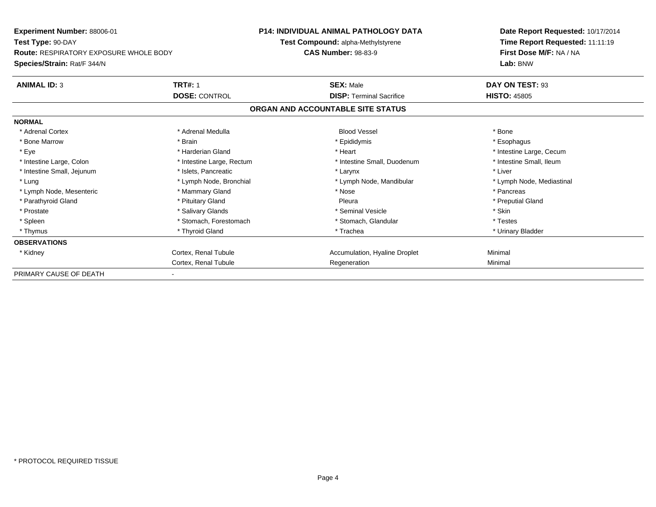| Experiment Number: 88006-01                   |                           | P14: INDIVIDUAL ANIMAL PATHOLOGY DATA | Date Report Requested: 10/17/2014 |
|-----------------------------------------------|---------------------------|---------------------------------------|-----------------------------------|
| Test Type: 90-DAY                             |                           | Test Compound: alpha-Methylstyrene    | Time Report Requested: 11:11:19   |
| <b>Route: RESPIRATORY EXPOSURE WHOLE BODY</b> |                           | <b>CAS Number: 98-83-9</b>            | First Dose M/F: NA / NA           |
| Species/Strain: Rat/F 344/N                   |                           |                                       | Lab: BNW                          |
| <b>ANIMAL ID: 3</b>                           | <b>TRT#: 1</b>            | <b>SEX: Male</b>                      | DAY ON TEST: 93                   |
|                                               | <b>DOSE: CONTROL</b>      | <b>DISP:</b> Terminal Sacrifice       | <b>HISTO: 45805</b>               |
|                                               |                           | ORGAN AND ACCOUNTABLE SITE STATUS     |                                   |
| <b>NORMAL</b>                                 |                           |                                       |                                   |
| * Adrenal Cortex                              | * Adrenal Medulla         | <b>Blood Vessel</b>                   | * Bone                            |
| * Bone Marrow                                 | * Brain                   | * Epididymis                          | * Esophagus                       |
| * Eye                                         | * Harderian Gland         | * Heart                               | * Intestine Large, Cecum          |
| * Intestine Large, Colon                      | * Intestine Large, Rectum | * Intestine Small, Duodenum           | * Intestine Small, Ileum          |
| * Intestine Small, Jejunum                    | * Islets, Pancreatic      | * Larynx                              | * Liver                           |
| * Lung                                        | * Lymph Node, Bronchial   | * Lymph Node, Mandibular              | * Lymph Node, Mediastinal         |
| * Lymph Node, Mesenteric                      | * Mammary Gland           | * Nose                                | * Pancreas                        |
| * Parathyroid Gland                           | * Pituitary Gland         | Pleura                                | * Preputial Gland                 |
| * Prostate                                    | * Salivary Glands         | * Seminal Vesicle                     | * Skin                            |
| * Spleen                                      | * Stomach, Forestomach    | * Stomach, Glandular                  | * Testes                          |
| * Thymus                                      | * Thyroid Gland           | * Trachea                             | * Urinary Bladder                 |
| <b>OBSERVATIONS</b>                           |                           |                                       |                                   |
| * Kidney                                      | Cortex, Renal Tubule      | Accumulation, Hyaline Droplet         | Minimal                           |
|                                               | Cortex, Renal Tubule      | Regeneration                          | Minimal                           |
| PRIMARY CAUSE OF DEATH                        |                           |                                       |                                   |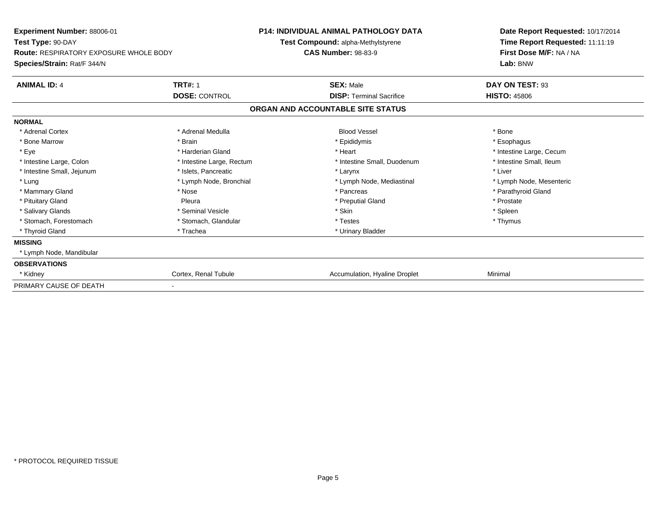| <b>Experiment Number: 88006-01</b><br>Test Type: 90-DAY<br><b>Route: RESPIRATORY EXPOSURE WHOLE BODY</b><br>Species/Strain: Rat/F 344/N |                           | <b>P14: INDIVIDUAL ANIMAL PATHOLOGY DATA</b><br><b>Test Compound: alpha-Methylstyrene</b><br><b>CAS Number: 98-83-9</b> | Date Report Requested: 10/17/2014<br>Time Report Requested: 11:11:19<br>First Dose M/F: NA / NA<br>Lab: BNW |  |
|-----------------------------------------------------------------------------------------------------------------------------------------|---------------------------|-------------------------------------------------------------------------------------------------------------------------|-------------------------------------------------------------------------------------------------------------|--|
| <b>ANIMAL ID: 4</b>                                                                                                                     | <b>TRT#: 1</b>            | <b>SEX: Male</b>                                                                                                        | DAY ON TEST: 93                                                                                             |  |
| <b>DOSE: CONTROL</b>                                                                                                                    |                           | <b>DISP: Terminal Sacrifice</b>                                                                                         | <b>HISTO: 45806</b>                                                                                         |  |
|                                                                                                                                         |                           | ORGAN AND ACCOUNTABLE SITE STATUS                                                                                       |                                                                                                             |  |
| <b>NORMAL</b>                                                                                                                           |                           |                                                                                                                         |                                                                                                             |  |
| * Adrenal Cortex                                                                                                                        | * Adrenal Medulla         | <b>Blood Vessel</b>                                                                                                     | * Bone                                                                                                      |  |
| * Bone Marrow                                                                                                                           | * Brain                   | * Epididymis                                                                                                            | * Esophagus                                                                                                 |  |
| * Eye                                                                                                                                   | * Harderian Gland         | * Heart                                                                                                                 | * Intestine Large, Cecum                                                                                    |  |
| * Intestine Large, Colon                                                                                                                | * Intestine Large, Rectum | * Intestine Small, Duodenum                                                                                             | * Intestine Small. Ileum                                                                                    |  |
| * Intestine Small, Jejunum                                                                                                              | * Islets, Pancreatic      | * Larynx                                                                                                                | * Liver                                                                                                     |  |
| * Lung                                                                                                                                  | * Lymph Node, Bronchial   | * Lymph Node, Mediastinal                                                                                               | * Lymph Node, Mesenteric                                                                                    |  |
| * Mammary Gland                                                                                                                         | * Nose                    | * Pancreas                                                                                                              | * Parathyroid Gland                                                                                         |  |
| * Pituitary Gland                                                                                                                       | Pleura                    | * Preputial Gland                                                                                                       | * Prostate                                                                                                  |  |
| * Salivary Glands                                                                                                                       | * Seminal Vesicle         | * Skin                                                                                                                  | * Spleen                                                                                                    |  |
| * Stomach, Forestomach                                                                                                                  | * Stomach, Glandular      | * Testes                                                                                                                | * Thymus                                                                                                    |  |
| * Thyroid Gland                                                                                                                         | * Trachea                 | * Urinary Bladder                                                                                                       |                                                                                                             |  |
| <b>MISSING</b>                                                                                                                          |                           |                                                                                                                         |                                                                                                             |  |
| * Lymph Node, Mandibular                                                                                                                |                           |                                                                                                                         |                                                                                                             |  |
| <b>OBSERVATIONS</b>                                                                                                                     |                           |                                                                                                                         |                                                                                                             |  |
| * Kidney                                                                                                                                | Cortex, Renal Tubule      | Accumulation, Hyaline Droplet                                                                                           | Minimal                                                                                                     |  |
| PRIMARY CAUSE OF DEATH                                                                                                                  |                           |                                                                                                                         |                                                                                                             |  |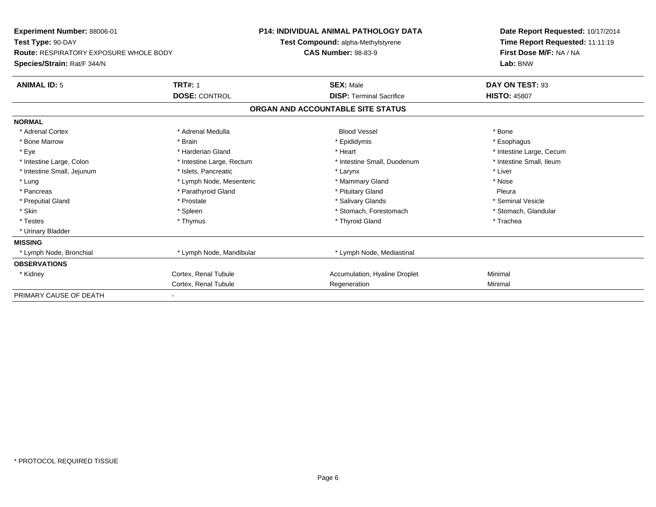| Experiment Number: 88006-01                   |                           | <b>P14: INDIVIDUAL ANIMAL PATHOLOGY DATA</b> | Date Report Requested: 10/17/2014 |
|-----------------------------------------------|---------------------------|----------------------------------------------|-----------------------------------|
| Test Type: 90-DAY                             |                           | Test Compound: alpha-Methylstyrene           | Time Report Requested: 11:11:19   |
| <b>Route: RESPIRATORY EXPOSURE WHOLE BODY</b> |                           | <b>CAS Number: 98-83-9</b>                   | First Dose M/F: NA / NA           |
| Species/Strain: Rat/F 344/N                   |                           |                                              | Lab: BNW                          |
| <b>ANIMAL ID: 5</b>                           | <b>TRT#: 1</b>            | <b>SEX: Male</b>                             | DAY ON TEST: 93                   |
|                                               | <b>DOSE: CONTROL</b>      | <b>DISP: Terminal Sacrifice</b>              | <b>HISTO: 45807</b>               |
|                                               |                           | ORGAN AND ACCOUNTABLE SITE STATUS            |                                   |
| <b>NORMAL</b>                                 |                           |                                              |                                   |
| * Adrenal Cortex                              | * Adrenal Medulla         | <b>Blood Vessel</b>                          | * Bone                            |
| * Bone Marrow                                 | * Brain                   | * Epididymis                                 | * Esophagus                       |
| * Eye                                         | * Harderian Gland         | * Heart                                      | * Intestine Large, Cecum          |
| * Intestine Large, Colon                      | * Intestine Large, Rectum | * Intestine Small, Duodenum                  | * Intestine Small, Ileum          |
| * Intestine Small, Jejunum                    | * Islets, Pancreatic      | * Larynx                                     | * Liver                           |
| * Lung                                        | * Lymph Node, Mesenteric  | * Mammary Gland                              | * Nose                            |
| * Pancreas                                    | * Parathyroid Gland       | * Pituitary Gland                            | Pleura                            |
| * Preputial Gland                             | * Prostate                | * Salivary Glands                            | * Seminal Vesicle                 |
| * Skin                                        | * Spleen                  | * Stomach. Forestomach                       | * Stomach, Glandular              |
| * Testes                                      | * Thymus                  | * Thyroid Gland                              | * Trachea                         |
| * Urinary Bladder                             |                           |                                              |                                   |
| <b>MISSING</b>                                |                           |                                              |                                   |
| * Lymph Node, Bronchial                       | * Lymph Node, Mandibular  | * Lymph Node, Mediastinal                    |                                   |
| <b>OBSERVATIONS</b>                           |                           |                                              |                                   |
| * Kidney                                      | Cortex, Renal Tubule      | Accumulation, Hyaline Droplet                | Minimal                           |
|                                               | Cortex, Renal Tubule      | Regeneration                                 | Minimal                           |
| PRIMARY CAUSE OF DEATH                        |                           |                                              |                                   |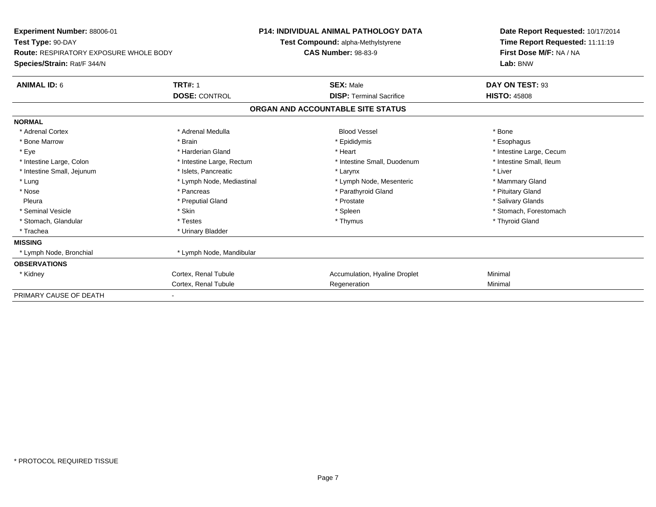| Experiment Number: 88006-01                   | <b>P14: INDIVIDUAL ANIMAL PATHOLOGY DATA</b> |                                    |                                 | Date Report Requested: 10/17/2014 |                                 |  |  |
|-----------------------------------------------|----------------------------------------------|------------------------------------|---------------------------------|-----------------------------------|---------------------------------|--|--|
| Test Type: 90-DAY                             |                                              | Test Compound: alpha-Methylstyrene |                                 |                                   | Time Report Requested: 11:11:19 |  |  |
| <b>Route: RESPIRATORY EXPOSURE WHOLE BODY</b> |                                              | <b>CAS Number: 98-83-9</b>         |                                 |                                   | First Dose M/F: NA / NA         |  |  |
| Species/Strain: Rat/F 344/N                   |                                              |                                    |                                 |                                   | Lab: BNW                        |  |  |
| <b>ANIMAL ID: 6</b>                           | <b>TRT#: 1</b>                               |                                    | <b>SEX: Male</b>                |                                   | DAY ON TEST: 93                 |  |  |
|                                               | <b>DOSE: CONTROL</b>                         |                                    | <b>DISP: Terminal Sacrifice</b> |                                   | <b>HISTO: 45808</b>             |  |  |
|                                               |                                              | ORGAN AND ACCOUNTABLE SITE STATUS  |                                 |                                   |                                 |  |  |
| <b>NORMAL</b>                                 |                                              |                                    |                                 |                                   |                                 |  |  |
| * Adrenal Cortex                              | * Adrenal Medulla                            |                                    | <b>Blood Vessel</b>             |                                   | * Bone                          |  |  |
| * Bone Marrow                                 | * Brain                                      |                                    | * Epididymis                    |                                   | * Esophagus                     |  |  |
| * Eye                                         | * Harderian Gland                            |                                    | * Heart                         |                                   | * Intestine Large, Cecum        |  |  |
| * Intestine Large, Colon                      | * Intestine Large, Rectum                    |                                    | * Intestine Small, Duodenum     |                                   | * Intestine Small, Ileum        |  |  |
| * Intestine Small, Jejunum                    | * Islets, Pancreatic                         |                                    | * Larynx                        |                                   | * Liver                         |  |  |
| * Lung                                        | * Lymph Node, Mediastinal                    |                                    | * Lymph Node, Mesenteric        |                                   | * Mammary Gland                 |  |  |
| * Nose                                        | * Pancreas                                   |                                    | * Parathyroid Gland             |                                   | * Pituitary Gland               |  |  |
| Pleura                                        | * Preputial Gland                            |                                    | * Prostate                      |                                   | * Salivary Glands               |  |  |
| * Seminal Vesicle                             | * Skin                                       |                                    | * Spleen                        |                                   | * Stomach, Forestomach          |  |  |
| * Stomach, Glandular                          | * Testes                                     |                                    | * Thymus                        |                                   | * Thyroid Gland                 |  |  |
| * Trachea                                     | * Urinary Bladder                            |                                    |                                 |                                   |                                 |  |  |
| <b>MISSING</b>                                |                                              |                                    |                                 |                                   |                                 |  |  |
| * Lymph Node, Bronchial                       | * Lymph Node, Mandibular                     |                                    |                                 |                                   |                                 |  |  |
| <b>OBSERVATIONS</b>                           |                                              |                                    |                                 |                                   |                                 |  |  |
| * Kidney                                      | Cortex, Renal Tubule                         |                                    | Accumulation, Hyaline Droplet   |                                   | Minimal                         |  |  |
|                                               | Cortex, Renal Tubule                         |                                    | Regeneration                    |                                   | Minimal                         |  |  |
| PRIMARY CAUSE OF DEATH                        |                                              |                                    |                                 |                                   |                                 |  |  |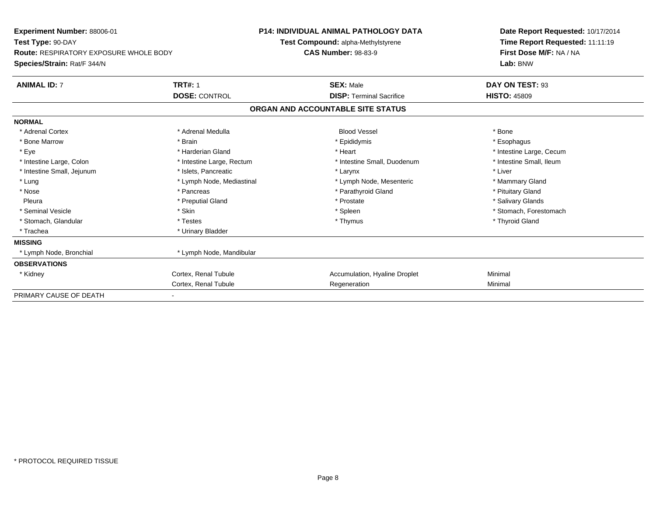| Experiment Number: 88006-01                   |                           |                                   | <b>P14: INDIVIDUAL ANIMAL PATHOLOGY DATA</b> |  | Date Report Requested: 10/17/2014 |  |  |
|-----------------------------------------------|---------------------------|-----------------------------------|----------------------------------------------|--|-----------------------------------|--|--|
| Test Type: 90-DAY                             |                           |                                   | Test Compound: alpha-Methylstyrene           |  | Time Report Requested: 11:11:19   |  |  |
| <b>Route: RESPIRATORY EXPOSURE WHOLE BODY</b> |                           | <b>CAS Number: 98-83-9</b>        |                                              |  | First Dose M/F: NA / NA           |  |  |
| Species/Strain: Rat/F 344/N                   |                           |                                   |                                              |  | Lab: BNW                          |  |  |
| <b>ANIMAL ID: 7</b>                           | <b>TRT#: 1</b>            |                                   | <b>SEX: Male</b>                             |  | DAY ON TEST: 93                   |  |  |
|                                               | <b>DOSE: CONTROL</b>      |                                   | <b>DISP: Terminal Sacrifice</b>              |  | <b>HISTO: 45809</b>               |  |  |
|                                               |                           | ORGAN AND ACCOUNTABLE SITE STATUS |                                              |  |                                   |  |  |
| <b>NORMAL</b>                                 |                           |                                   |                                              |  |                                   |  |  |
| * Adrenal Cortex                              | * Adrenal Medulla         |                                   | <b>Blood Vessel</b>                          |  | * Bone                            |  |  |
| * Bone Marrow                                 | * Brain                   |                                   | * Epididymis                                 |  | * Esophagus                       |  |  |
| * Eye                                         | * Harderian Gland         |                                   | * Heart                                      |  | * Intestine Large, Cecum          |  |  |
| * Intestine Large, Colon                      | * Intestine Large, Rectum |                                   | * Intestine Small, Duodenum                  |  | * Intestine Small, Ileum          |  |  |
| * Intestine Small, Jejunum                    | * Islets, Pancreatic      |                                   | * Larynx                                     |  | * Liver                           |  |  |
| * Lung                                        | * Lymph Node, Mediastinal |                                   | * Lymph Node, Mesenteric                     |  | * Mammary Gland                   |  |  |
| * Nose                                        | * Pancreas                |                                   | * Parathyroid Gland                          |  | * Pituitary Gland                 |  |  |
| Pleura                                        | * Preputial Gland         |                                   | * Prostate                                   |  | * Salivary Glands                 |  |  |
| * Seminal Vesicle                             | * Skin                    |                                   | * Spleen                                     |  | * Stomach, Forestomach            |  |  |
| * Stomach, Glandular                          | * Testes                  |                                   | * Thymus                                     |  | * Thyroid Gland                   |  |  |
| * Trachea                                     | * Urinary Bladder         |                                   |                                              |  |                                   |  |  |
| <b>MISSING</b>                                |                           |                                   |                                              |  |                                   |  |  |
| * Lymph Node, Bronchial                       | * Lymph Node, Mandibular  |                                   |                                              |  |                                   |  |  |
| <b>OBSERVATIONS</b>                           |                           |                                   |                                              |  |                                   |  |  |
| * Kidney                                      | Cortex, Renal Tubule      |                                   | Accumulation, Hyaline Droplet                |  | Minimal                           |  |  |
|                                               | Cortex, Renal Tubule      |                                   | Regeneration                                 |  | Minimal                           |  |  |
| PRIMARY CAUSE OF DEATH                        |                           |                                   |                                              |  |                                   |  |  |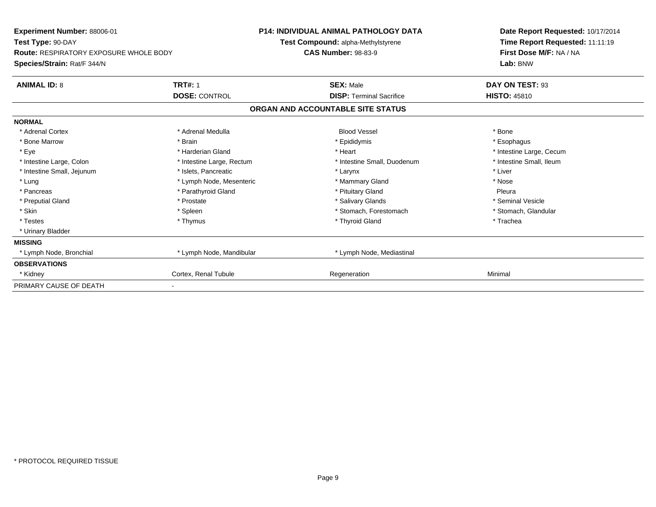| Experiment Number: 88006-01                   |                           | <b>P14: INDIVIDUAL ANIMAL PATHOLOGY DATA</b> | Date Report Requested: 10/17/2014 |
|-----------------------------------------------|---------------------------|----------------------------------------------|-----------------------------------|
| Test Type: 90-DAY                             |                           | Test Compound: alpha-Methylstyrene           | Time Report Requested: 11:11:19   |
| <b>Route: RESPIRATORY EXPOSURE WHOLE BODY</b> |                           | <b>CAS Number: 98-83-9</b>                   | First Dose M/F: NA / NA           |
| Species/Strain: Rat/F 344/N                   |                           |                                              | Lab: BNW                          |
| <b>ANIMAL ID: 8</b>                           | <b>TRT#: 1</b>            | <b>SEX: Male</b>                             | DAY ON TEST: 93                   |
|                                               | <b>DOSE: CONTROL</b>      | <b>DISP: Terminal Sacrifice</b>              | <b>HISTO: 45810</b>               |
|                                               |                           | ORGAN AND ACCOUNTABLE SITE STATUS            |                                   |
| <b>NORMAL</b>                                 |                           |                                              |                                   |
| * Adrenal Cortex                              | * Adrenal Medulla         | <b>Blood Vessel</b>                          | * Bone                            |
| * Bone Marrow                                 | * Brain                   | * Epididymis                                 | * Esophagus                       |
| * Eye                                         | * Harderian Gland         | * Heart                                      | * Intestine Large, Cecum          |
| * Intestine Large, Colon                      | * Intestine Large, Rectum | * Intestine Small, Duodenum                  | * Intestine Small, Ileum          |
| * Intestine Small, Jejunum                    | * Islets, Pancreatic      | * Larynx                                     | * Liver                           |
| * Lung                                        | * Lymph Node, Mesenteric  | * Mammary Gland                              | * Nose                            |
| * Pancreas                                    | * Parathyroid Gland       | * Pituitary Gland                            | Pleura                            |
| * Preputial Gland                             | * Prostate                | * Salivary Glands                            | * Seminal Vesicle                 |
| * Skin                                        | * Spleen                  | * Stomach, Forestomach                       | * Stomach, Glandular              |
| * Testes                                      | * Thymus                  | * Thyroid Gland                              | * Trachea                         |
| * Urinary Bladder                             |                           |                                              |                                   |
| <b>MISSING</b>                                |                           |                                              |                                   |
| * Lymph Node, Bronchial                       | * Lymph Node, Mandibular  | * Lymph Node, Mediastinal                    |                                   |
| <b>OBSERVATIONS</b>                           |                           |                                              |                                   |
| * Kidney                                      | Cortex, Renal Tubule      | Regeneration                                 | Minimal                           |
| PRIMARY CAUSE OF DEATH                        |                           |                                              |                                   |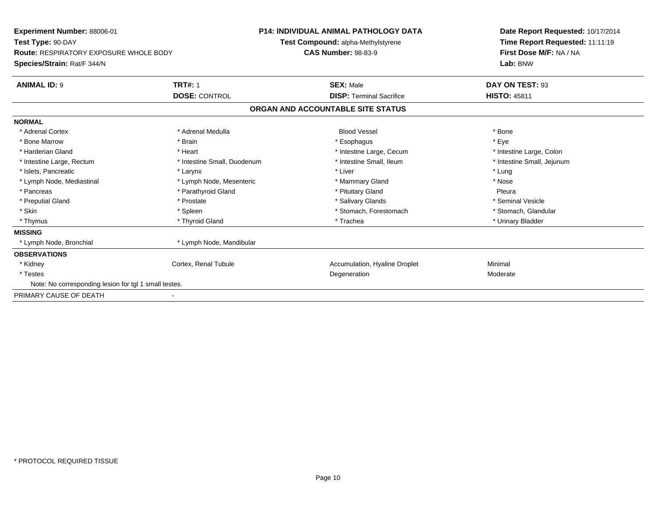| Experiment Number: 88006-01                           |                             | <b>P14: INDIVIDUAL ANIMAL PATHOLOGY DATA</b> |                                   |  | Date Report Requested: 10/17/2014 |  |  |
|-------------------------------------------------------|-----------------------------|----------------------------------------------|-----------------------------------|--|-----------------------------------|--|--|
| Test Type: 90-DAY                                     |                             | Test Compound: alpha-Methylstyrene           |                                   |  | Time Report Requested: 11:11:19   |  |  |
| <b>Route: RESPIRATORY EXPOSURE WHOLE BODY</b>         |                             | <b>CAS Number: 98-83-9</b>                   |                                   |  | First Dose M/F: NA / NA           |  |  |
| Species/Strain: Rat/F 344/N                           |                             |                                              |                                   |  | Lab: BNW                          |  |  |
| <b>ANIMAL ID: 9</b>                                   | <b>TRT#: 1</b>              |                                              | <b>SEX: Male</b>                  |  | DAY ON TEST: 93                   |  |  |
|                                                       | <b>DOSE: CONTROL</b>        |                                              | <b>DISP: Terminal Sacrifice</b>   |  | <b>HISTO: 45811</b>               |  |  |
|                                                       |                             |                                              | ORGAN AND ACCOUNTABLE SITE STATUS |  |                                   |  |  |
| <b>NORMAL</b>                                         |                             |                                              |                                   |  |                                   |  |  |
| * Adrenal Cortex                                      | * Adrenal Medulla           |                                              | <b>Blood Vessel</b>               |  | * Bone                            |  |  |
| * Bone Marrow                                         | * Brain                     |                                              | * Esophagus                       |  | * Eye                             |  |  |
| * Harderian Gland                                     | * Heart                     |                                              | * Intestine Large, Cecum          |  | * Intestine Large, Colon          |  |  |
| * Intestine Large, Rectum                             | * Intestine Small, Duodenum |                                              | * Intestine Small, Ileum          |  | * Intestine Small, Jejunum        |  |  |
| * Islets, Pancreatic                                  | * Larynx                    |                                              | * Liver                           |  | * Lung                            |  |  |
| * Lymph Node, Mediastinal                             | * Lymph Node, Mesenteric    |                                              | * Mammary Gland                   |  | * Nose                            |  |  |
| * Pancreas                                            | * Parathyroid Gland         |                                              | * Pituitary Gland                 |  | Pleura                            |  |  |
| * Preputial Gland                                     | * Prostate                  |                                              | * Salivary Glands                 |  | * Seminal Vesicle                 |  |  |
| * Skin                                                | * Spleen                    |                                              | * Stomach, Forestomach            |  | * Stomach, Glandular              |  |  |
| * Thymus                                              | * Thyroid Gland             |                                              | * Trachea                         |  | * Urinary Bladder                 |  |  |
| <b>MISSING</b>                                        |                             |                                              |                                   |  |                                   |  |  |
| * Lymph Node, Bronchial                               | * Lymph Node, Mandibular    |                                              |                                   |  |                                   |  |  |
| <b>OBSERVATIONS</b>                                   |                             |                                              |                                   |  |                                   |  |  |
| * Kidney                                              | Cortex, Renal Tubule        |                                              | Accumulation, Hyaline Droplet     |  | Minimal                           |  |  |
| * Testes                                              |                             |                                              | Degeneration                      |  | Moderate                          |  |  |
| Note: No corresponding lesion for tgl 1 small testes. |                             |                                              |                                   |  |                                   |  |  |
| PRIMARY CAUSE OF DEATH                                |                             |                                              |                                   |  |                                   |  |  |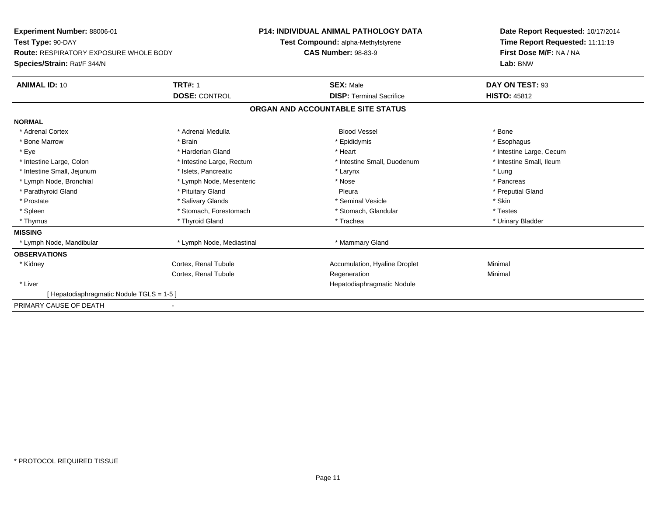| Experiment Number: 88006-01                   |                           | <b>P14: INDIVIDUAL ANIMAL PATHOLOGY DATA</b> |                                    |  | Date Report Requested: 10/17/2014 |
|-----------------------------------------------|---------------------------|----------------------------------------------|------------------------------------|--|-----------------------------------|
| Test Type: 90-DAY                             |                           |                                              | Test Compound: alpha-Methylstyrene |  | Time Report Requested: 11:11:19   |
| <b>Route: RESPIRATORY EXPOSURE WHOLE BODY</b> |                           | <b>CAS Number: 98-83-9</b>                   |                                    |  | First Dose M/F: NA / NA           |
| Species/Strain: Rat/F 344/N                   |                           |                                              |                                    |  | Lab: BNW                          |
| <b>ANIMAL ID: 10</b>                          | <b>TRT#: 1</b>            |                                              | <b>SEX: Male</b>                   |  | DAY ON TEST: 93                   |
|                                               | <b>DOSE: CONTROL</b>      |                                              | <b>DISP: Terminal Sacrifice</b>    |  | <b>HISTO: 45812</b>               |
|                                               |                           |                                              | ORGAN AND ACCOUNTABLE SITE STATUS  |  |                                   |
| <b>NORMAL</b>                                 |                           |                                              |                                    |  |                                   |
| * Adrenal Cortex                              | * Adrenal Medulla         |                                              | <b>Blood Vessel</b>                |  | * Bone                            |
| * Bone Marrow                                 | * Brain                   |                                              | * Epididymis                       |  | * Esophagus                       |
| * Eye                                         | * Harderian Gland         |                                              | * Heart                            |  | * Intestine Large, Cecum          |
| * Intestine Large, Colon                      | * Intestine Large, Rectum |                                              | * Intestine Small, Duodenum        |  | * Intestine Small, Ileum          |
| * Intestine Small, Jejunum                    | * Islets, Pancreatic      |                                              | * Larynx                           |  | * Lung                            |
| * Lymph Node, Bronchial                       | * Lymph Node, Mesenteric  |                                              | * Nose                             |  | * Pancreas                        |
| * Parathyroid Gland                           | * Pituitary Gland         |                                              | Pleura                             |  | * Preputial Gland                 |
| * Prostate                                    | * Salivary Glands         |                                              | * Seminal Vesicle                  |  | * Skin                            |
| * Spleen                                      | * Stomach, Forestomach    |                                              | * Stomach, Glandular               |  | * Testes                          |
| * Thymus                                      | * Thyroid Gland           |                                              | * Trachea                          |  | * Urinary Bladder                 |
| <b>MISSING</b>                                |                           |                                              |                                    |  |                                   |
| * Lymph Node, Mandibular                      | * Lymph Node, Mediastinal |                                              | * Mammary Gland                    |  |                                   |
| <b>OBSERVATIONS</b>                           |                           |                                              |                                    |  |                                   |
| * Kidney                                      | Cortex, Renal Tubule      |                                              | Accumulation, Hyaline Droplet      |  | Minimal                           |
|                                               | Cortex, Renal Tubule      |                                              | Regeneration                       |  | Minimal                           |
| * Liver                                       |                           |                                              | Hepatodiaphragmatic Nodule         |  |                                   |
| [Hepatodiaphragmatic Nodule TGLS = 1-5 ]      |                           |                                              |                                    |  |                                   |
| PRIMARY CAUSE OF DEATH                        |                           |                                              |                                    |  |                                   |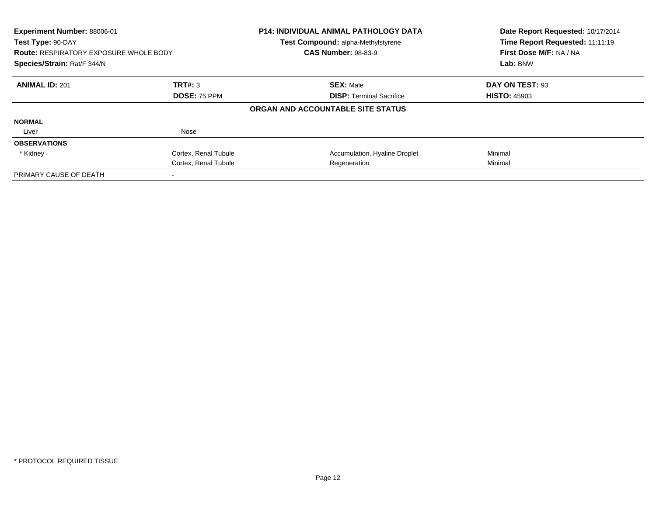| Experiment Number: 88006-01<br>Test Type: 90-DAY |                      | P14: INDIVIDUAL ANIMAL PATHOLOGY DATA<br>Test Compound: alpha-Methylstyrene | Date Report Requested: 10/17/2014<br>Time Report Requested: 11:11:19 |  |  |
|--------------------------------------------------|----------------------|-----------------------------------------------------------------------------|----------------------------------------------------------------------|--|--|
| <b>Route: RESPIRATORY EXPOSURE WHOLE BODY</b>    |                      | <b>CAS Number: 98-83-9</b>                                                  | First Dose M/F: NA / NA                                              |  |  |
| Species/Strain: Rat/F 344/N                      |                      |                                                                             | Lab: BNW                                                             |  |  |
| <b>ANIMAL ID: 201</b>                            | TRT#: 3              | <b>SEX: Male</b>                                                            | DAY ON TEST: 93                                                      |  |  |
| DOSE: 75 PPM                                     |                      | <b>DISP:</b> Terminal Sacrifice                                             | <b>HISTO: 45903</b>                                                  |  |  |
|                                                  |                      | ORGAN AND ACCOUNTABLE SITE STATUS                                           |                                                                      |  |  |
| <b>NORMAL</b>                                    |                      |                                                                             |                                                                      |  |  |
| Liver                                            | Nose                 |                                                                             |                                                                      |  |  |
| <b>OBSERVATIONS</b>                              |                      |                                                                             |                                                                      |  |  |
| * Kidney                                         | Cortex, Renal Tubule | Accumulation, Hyaline Droplet                                               | Minimal                                                              |  |  |
|                                                  | Cortex, Renal Tubule | Regeneration                                                                | Minimal                                                              |  |  |
| PRIMARY CAUSE OF DEATH                           |                      |                                                                             |                                                                      |  |  |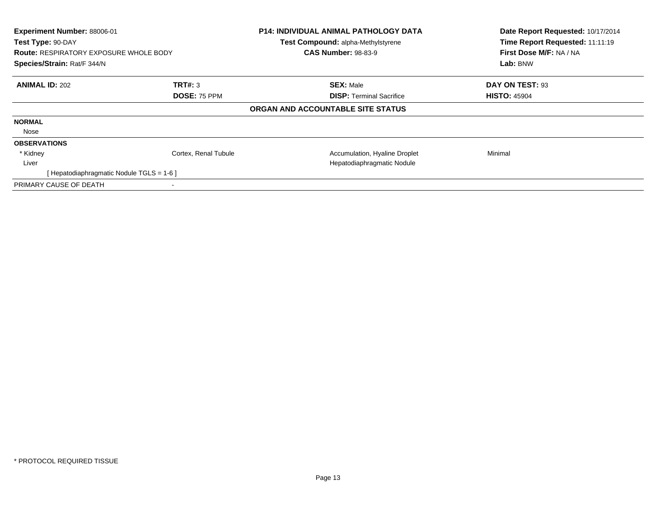| Experiment Number: 88006-01<br>Test Type: 90-DAY<br><b>Route: RESPIRATORY EXPOSURE WHOLE BODY</b><br>Species/Strain: Rat/F 344/N |                      | P14: INDIVIDUAL ANIMAL PATHOLOGY DATA<br>Test Compound: alpha-Methylstyrene<br><b>CAS Number: 98-83-9</b> | Date Report Requested: 10/17/2014<br>Time Report Requested: 11:11:19<br>First Dose M/F: NA / NA<br>Lab: BNW |
|----------------------------------------------------------------------------------------------------------------------------------|----------------------|-----------------------------------------------------------------------------------------------------------|-------------------------------------------------------------------------------------------------------------|
| <b>ANIMAL ID: 202</b>                                                                                                            | TRT#: 3              | <b>SEX: Male</b>                                                                                          | DAY ON TEST: 93                                                                                             |
|                                                                                                                                  | DOSE: 75 PPM         | <b>DISP:</b> Terminal Sacrifice                                                                           | <b>HISTO: 45904</b>                                                                                         |
|                                                                                                                                  |                      | ORGAN AND ACCOUNTABLE SITE STATUS                                                                         |                                                                                                             |
| <b>NORMAL</b>                                                                                                                    |                      |                                                                                                           |                                                                                                             |
| Nose                                                                                                                             |                      |                                                                                                           |                                                                                                             |
| <b>OBSERVATIONS</b>                                                                                                              |                      |                                                                                                           |                                                                                                             |
| * Kidney                                                                                                                         | Cortex, Renal Tubule | Accumulation, Hyaline Droplet                                                                             | Minimal                                                                                                     |
| Liver                                                                                                                            |                      | Hepatodiaphragmatic Nodule                                                                                |                                                                                                             |
| [Hepatodiaphragmatic Nodule TGLS = 1-6]                                                                                          |                      |                                                                                                           |                                                                                                             |
| PRIMARY CAUSE OF DEATH                                                                                                           |                      |                                                                                                           |                                                                                                             |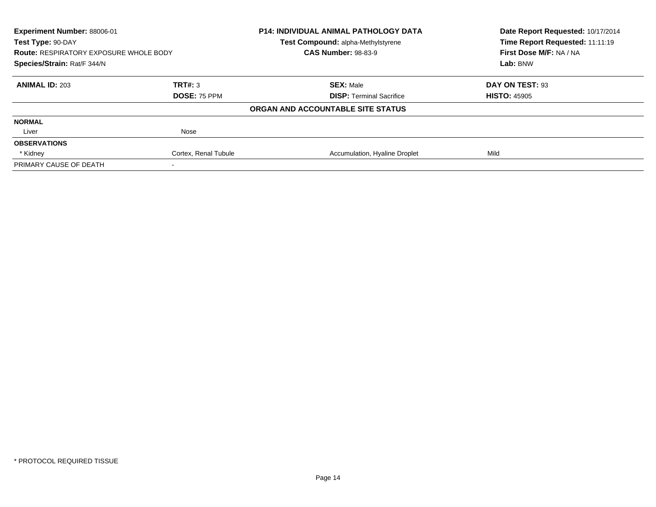| <b>Experiment Number: 88006-01</b>            |                      | <b>P14: INDIVIDUAL ANIMAL PATHOLOGY DATA</b> | Date Report Requested: 10/17/2014 |
|-----------------------------------------------|----------------------|----------------------------------------------|-----------------------------------|
| Test Type: 90-DAY                             |                      | Test Compound: alpha-Methylstyrene           | Time Report Requested: 11:11:19   |
| <b>Route: RESPIRATORY EXPOSURE WHOLE BODY</b> |                      | <b>CAS Number: 98-83-9</b>                   | First Dose M/F: NA / NA           |
| Species/Strain: Rat/F 344/N                   |                      |                                              | Lab: BNW                          |
| <b>ANIMAL ID: 203</b>                         | TRT#: 3              | <b>SEX: Male</b>                             | DAY ON TEST: 93                   |
|                                               | DOSE: 75 PPM         | <b>DISP:</b> Terminal Sacrifice              | <b>HISTO: 45905</b>               |
|                                               |                      | ORGAN AND ACCOUNTABLE SITE STATUS            |                                   |
| <b>NORMAL</b>                                 |                      |                                              |                                   |
| Liver                                         | Nose                 |                                              |                                   |
| <b>OBSERVATIONS</b>                           |                      |                                              |                                   |
| * Kidney                                      | Cortex, Renal Tubule | Accumulation, Hyaline Droplet                | Mild                              |
| PRIMARY CAUSE OF DEATH                        |                      |                                              |                                   |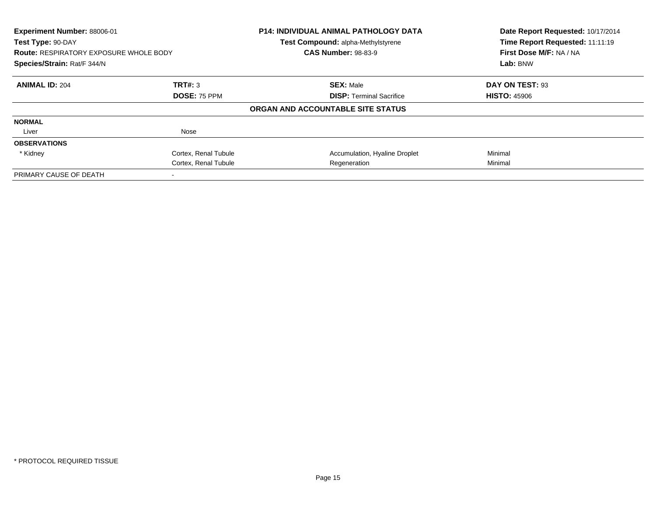| Experiment Number: 88006-01<br>Test Type: 90-DAY<br><b>Route: RESPIRATORY EXPOSURE WHOLE BODY</b><br>Species/Strain: Rat/F 344/N |                      | P14: INDIVIDUAL ANIMAL PATHOLOGY DATA<br>Test Compound: alpha-Methylstyrene<br><b>CAS Number: 98-83-9</b> | Date Report Requested: 10/17/2014<br>Time Report Requested: 11:11:19<br>First Dose M/F: NA / NA<br>Lab: BNW |
|----------------------------------------------------------------------------------------------------------------------------------|----------------------|-----------------------------------------------------------------------------------------------------------|-------------------------------------------------------------------------------------------------------------|
|                                                                                                                                  |                      |                                                                                                           |                                                                                                             |
| <b>ANIMAL ID: 204</b>                                                                                                            | TRT#: 3              | <b>SEX: Male</b>                                                                                          | DAY ON TEST: 93                                                                                             |
|                                                                                                                                  | <b>DOSE: 75 PPM</b>  | <b>DISP:</b> Terminal Sacrifice                                                                           | <b>HISTO: 45906</b>                                                                                         |
|                                                                                                                                  |                      | ORGAN AND ACCOUNTABLE SITE STATUS                                                                         |                                                                                                             |
| <b>NORMAL</b>                                                                                                                    |                      |                                                                                                           |                                                                                                             |
| Liver                                                                                                                            | Nose                 |                                                                                                           |                                                                                                             |
| <b>OBSERVATIONS</b>                                                                                                              |                      |                                                                                                           |                                                                                                             |
| * Kidney                                                                                                                         | Cortex, Renal Tubule | Accumulation, Hyaline Droplet                                                                             | Minimal                                                                                                     |
|                                                                                                                                  | Cortex, Renal Tubule | Regeneration                                                                                              | Minimal                                                                                                     |
| PRIMARY CAUSE OF DEATH                                                                                                           |                      |                                                                                                           |                                                                                                             |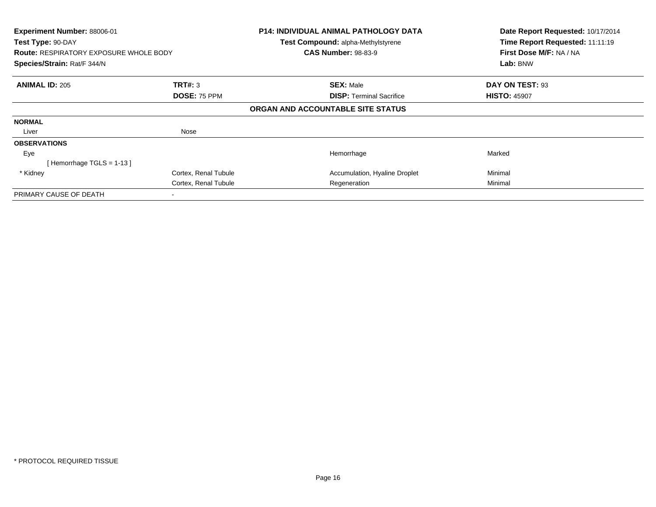| Experiment Number: 88006-01<br>Test Type: 90-DAY<br><b>Route: RESPIRATORY EXPOSURE WHOLE BODY</b><br>Species/Strain: Rat/F 344/N |                                | <b>P14: INDIVIDUAL ANIMAL PATHOLOGY DATA</b><br>Test Compound: alpha-Methylstyrene<br><b>CAS Number: 98-83-9</b> | Date Report Requested: 10/17/2014<br>Time Report Requested: 11:11:19<br>First Dose M/F: NA / NA<br>Lab: BNW |
|----------------------------------------------------------------------------------------------------------------------------------|--------------------------------|------------------------------------------------------------------------------------------------------------------|-------------------------------------------------------------------------------------------------------------|
| <b>ANIMAL ID: 205</b>                                                                                                            | <b>TRT#: 3</b><br>DOSE: 75 PPM | <b>SEX: Male</b><br><b>DISP: Terminal Sacrifice</b>                                                              | DAY ON TEST: 93<br><b>HISTO: 45907</b>                                                                      |
|                                                                                                                                  |                                | ORGAN AND ACCOUNTABLE SITE STATUS                                                                                |                                                                                                             |
| <b>NORMAL</b>                                                                                                                    |                                |                                                                                                                  |                                                                                                             |
| Liver                                                                                                                            | Nose                           |                                                                                                                  |                                                                                                             |
| <b>OBSERVATIONS</b>                                                                                                              |                                |                                                                                                                  |                                                                                                             |
| Eye                                                                                                                              |                                | Hemorrhage                                                                                                       | Marked                                                                                                      |
| Hemorrhage TGLS = 1-13 ]                                                                                                         |                                |                                                                                                                  |                                                                                                             |
| * Kidney                                                                                                                         | Cortex, Renal Tubule           | Accumulation, Hyaline Droplet                                                                                    | Minimal                                                                                                     |
|                                                                                                                                  | Cortex, Renal Tubule           | Regeneration                                                                                                     | Minimal                                                                                                     |
| PRIMARY CAUSE OF DEATH                                                                                                           |                                |                                                                                                                  |                                                                                                             |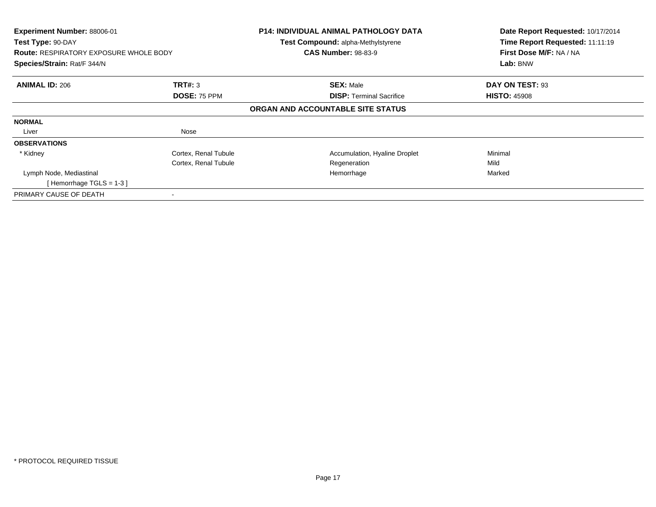| Experiment Number: 88006-01<br>Test Type: 90-DAY<br><b>Route: RESPIRATORY EXPOSURE WHOLE BODY</b> |                      | P14: INDIVIDUAL ANIMAL PATHOLOGY DATA<br>Test Compound: alpha-Methylstyrene<br><b>CAS Number: 98-83-9</b> | Date Report Requested: 10/17/2014<br>Time Report Requested: 11:11:19<br>First Dose M/F: NA / NA |
|---------------------------------------------------------------------------------------------------|----------------------|-----------------------------------------------------------------------------------------------------------|-------------------------------------------------------------------------------------------------|
| Species/Strain: Rat/F 344/N                                                                       |                      |                                                                                                           | Lab: BNW                                                                                        |
| <b>ANIMAL ID: 206</b>                                                                             | TRT#: 3              | <b>SEX: Male</b>                                                                                          | DAY ON TEST: 93                                                                                 |
|                                                                                                   | DOSE: 75 PPM         | <b>DISP: Terminal Sacrifice</b>                                                                           | <b>HISTO: 45908</b>                                                                             |
|                                                                                                   |                      | ORGAN AND ACCOUNTABLE SITE STATUS                                                                         |                                                                                                 |
| <b>NORMAL</b>                                                                                     |                      |                                                                                                           |                                                                                                 |
| Liver                                                                                             | Nose                 |                                                                                                           |                                                                                                 |
| <b>OBSERVATIONS</b>                                                                               |                      |                                                                                                           |                                                                                                 |
| * Kidney                                                                                          | Cortex, Renal Tubule | Accumulation, Hyaline Droplet                                                                             | Minimal                                                                                         |
|                                                                                                   | Cortex, Renal Tubule | Regeneration                                                                                              | Mild                                                                                            |
| Lymph Node, Mediastinal                                                                           |                      | Hemorrhage                                                                                                | Marked                                                                                          |
| [Hemorrhage TGLS = $1-3$ ]                                                                        |                      |                                                                                                           |                                                                                                 |
| PRIMARY CAUSE OF DEATH                                                                            |                      |                                                                                                           |                                                                                                 |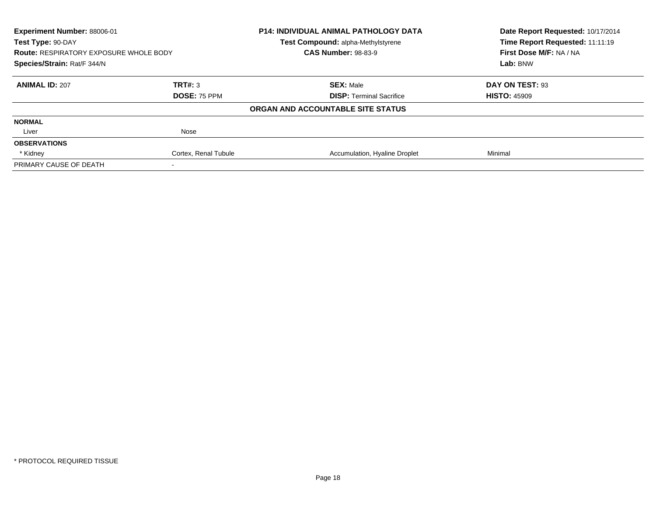| Experiment Number: 88006-01<br>Test Type: 90-DAY<br><b>Route: RESPIRATORY EXPOSURE WHOLE BODY</b><br>Species/Strain: Rat/F 344/N |                      | <b>P14: INDIVIDUAL ANIMAL PATHOLOGY DATA</b> | Date Report Requested: 10/17/2014<br>Time Report Requested: 11:11:19<br>First Dose M/F: NA / NA<br>Lab: BNW |
|----------------------------------------------------------------------------------------------------------------------------------|----------------------|----------------------------------------------|-------------------------------------------------------------------------------------------------------------|
|                                                                                                                                  |                      | <b>Test Compound: alpha-Methylstyrene</b>    |                                                                                                             |
|                                                                                                                                  |                      | <b>CAS Number: 98-83-9</b>                   |                                                                                                             |
|                                                                                                                                  |                      |                                              |                                                                                                             |
| <b>ANIMAL ID: 207</b>                                                                                                            | TRT#: 3              | <b>SEX: Male</b>                             | DAY ON TEST: 93                                                                                             |
|                                                                                                                                  | <b>DOSE: 75 PPM</b>  | <b>DISP:</b> Terminal Sacrifice              | <b>HISTO: 45909</b>                                                                                         |
|                                                                                                                                  |                      | ORGAN AND ACCOUNTABLE SITE STATUS            |                                                                                                             |
| <b>NORMAL</b>                                                                                                                    |                      |                                              |                                                                                                             |
| Liver                                                                                                                            | Nose                 |                                              |                                                                                                             |
| <b>OBSERVATIONS</b>                                                                                                              |                      |                                              |                                                                                                             |
| * Kidney                                                                                                                         | Cortex, Renal Tubule | Accumulation, Hyaline Droplet                | Minimal                                                                                                     |
| PRIMARY CAUSE OF DEATH                                                                                                           |                      |                                              |                                                                                                             |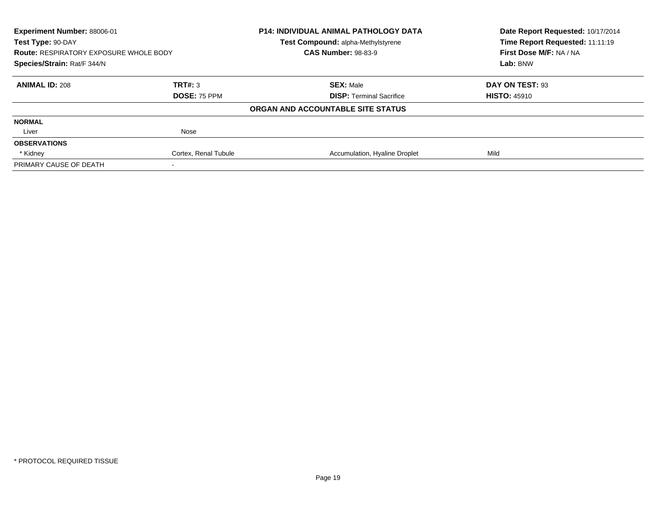| Experiment Number: 88006-01<br>Test Type: 90-DAY<br><b>Route: RESPIRATORY EXPOSURE WHOLE BODY</b><br>Species/Strain: Rat/F 344/N |                      | <b>P14: INDIVIDUAL ANIMAL PATHOLOGY DATA</b> | Date Report Requested: 10/17/2014<br>Time Report Requested: 11:11:19<br>First Dose M/F: NA / NA<br>Lab: BNW |
|----------------------------------------------------------------------------------------------------------------------------------|----------------------|----------------------------------------------|-------------------------------------------------------------------------------------------------------------|
|                                                                                                                                  |                      | <b>Test Compound: alpha-Methylstyrene</b>    |                                                                                                             |
|                                                                                                                                  |                      | <b>CAS Number: 98-83-9</b>                   |                                                                                                             |
|                                                                                                                                  |                      |                                              |                                                                                                             |
| <b>ANIMAL ID: 208</b>                                                                                                            | TRT#: 3              | <b>SEX: Male</b>                             | DAY ON TEST: 93                                                                                             |
|                                                                                                                                  | <b>DOSE: 75 PPM</b>  | <b>DISP:</b> Terminal Sacrifice              | <b>HISTO: 45910</b>                                                                                         |
|                                                                                                                                  |                      | ORGAN AND ACCOUNTABLE SITE STATUS            |                                                                                                             |
| <b>NORMAL</b>                                                                                                                    |                      |                                              |                                                                                                             |
| Liver                                                                                                                            | Nose                 |                                              |                                                                                                             |
| <b>OBSERVATIONS</b>                                                                                                              |                      |                                              |                                                                                                             |
| * Kidney                                                                                                                         | Cortex, Renal Tubule | Accumulation, Hyaline Droplet                | Mild                                                                                                        |
| PRIMARY CAUSE OF DEATH                                                                                                           |                      |                                              |                                                                                                             |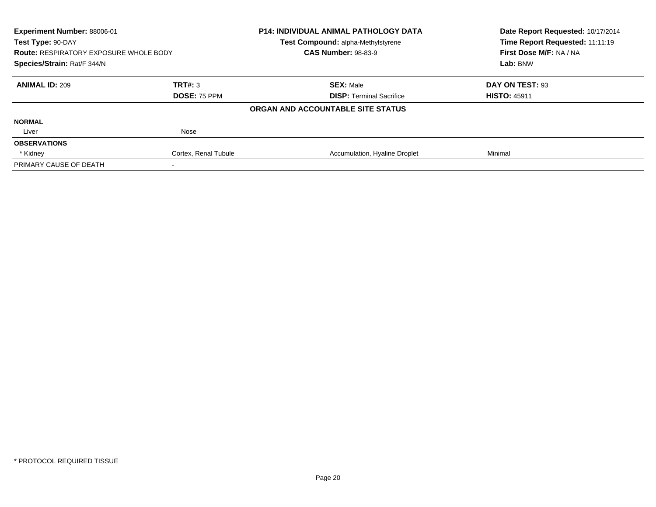| Experiment Number: 88006-01                   |                      | <b>P14: INDIVIDUAL ANIMAL PATHOLOGY DATA</b> | Date Report Requested: 10/17/2014 |
|-----------------------------------------------|----------------------|----------------------------------------------|-----------------------------------|
| Test Type: 90-DAY                             |                      | Test Compound: alpha-Methylstyrene           | Time Report Requested: 11:11:19   |
| <b>Route: RESPIRATORY EXPOSURE WHOLE BODY</b> |                      | <b>CAS Number: 98-83-9</b>                   | First Dose M/F: NA / NA           |
| Species/Strain: Rat/F 344/N                   |                      |                                              | Lab: BNW                          |
| <b>ANIMAL ID: 209</b>                         | TRT#: 3              | <b>SEX: Male</b>                             | DAY ON TEST: 93                   |
|                                               | DOSE: 75 PPM         | <b>DISP:</b> Terminal Sacrifice              | <b>HISTO: 45911</b>               |
|                                               |                      | ORGAN AND ACCOUNTABLE SITE STATUS            |                                   |
| <b>NORMAL</b>                                 |                      |                                              |                                   |
| Liver                                         | Nose                 |                                              |                                   |
| <b>OBSERVATIONS</b>                           |                      |                                              |                                   |
| * Kidney                                      | Cortex, Renal Tubule | Accumulation, Hyaline Droplet                | Minimal                           |
| PRIMARY CAUSE OF DEATH                        |                      |                                              |                                   |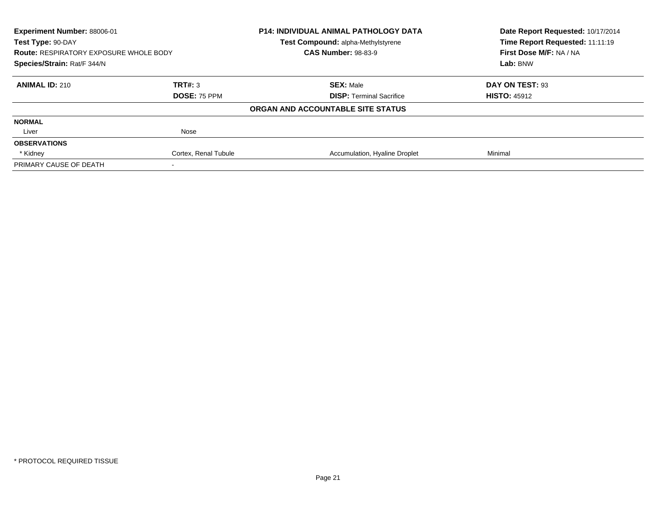| Experiment Number: 88006-01<br>Test Type: 90-DAY<br><b>Route: RESPIRATORY EXPOSURE WHOLE BODY</b><br>Species/Strain: Rat/F 344/N |                      | <b>P14: INDIVIDUAL ANIMAL PATHOLOGY DATA</b> | Date Report Requested: 10/17/2014<br>Time Report Requested: 11:11:19<br>First Dose M/F: NA / NA<br>Lab: BNW |
|----------------------------------------------------------------------------------------------------------------------------------|----------------------|----------------------------------------------|-------------------------------------------------------------------------------------------------------------|
|                                                                                                                                  |                      | <b>Test Compound: alpha-Methylstyrene</b>    |                                                                                                             |
|                                                                                                                                  |                      | <b>CAS Number: 98-83-9</b>                   |                                                                                                             |
|                                                                                                                                  |                      |                                              |                                                                                                             |
| <b>ANIMAL ID: 210</b>                                                                                                            | TRT#: 3              | <b>SEX: Male</b>                             | DAY ON TEST: 93                                                                                             |
|                                                                                                                                  | <b>DOSE: 75 PPM</b>  | <b>DISP:</b> Terminal Sacrifice              | <b>HISTO: 45912</b>                                                                                         |
|                                                                                                                                  |                      | ORGAN AND ACCOUNTABLE SITE STATUS            |                                                                                                             |
| <b>NORMAL</b>                                                                                                                    |                      |                                              |                                                                                                             |
| Liver                                                                                                                            | Nose                 |                                              |                                                                                                             |
| <b>OBSERVATIONS</b>                                                                                                              |                      |                                              |                                                                                                             |
| * Kidney                                                                                                                         | Cortex, Renal Tubule | Accumulation, Hyaline Droplet                | Minimal                                                                                                     |
| PRIMARY CAUSE OF DEATH                                                                                                           |                      |                                              |                                                                                                             |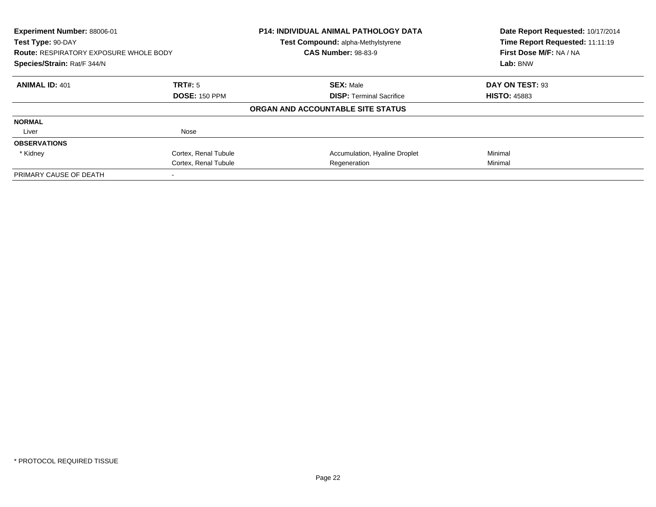| Experiment Number: 88006-01<br>Test Type: 90-DAY<br><b>Route: RESPIRATORY EXPOSURE WHOLE BODY</b><br>Species/Strain: Rat/F 344/N |                      | <b>P14: INDIVIDUAL ANIMAL PATHOLOGY DATA</b><br>Test Compound: alpha-Methylstyrene<br><b>CAS Number: 98-83-9</b> | Date Report Requested: 10/17/2014<br>Time Report Requested: 11:11:19<br>First Dose M/F: NA / NA<br>Lab: BNW |
|----------------------------------------------------------------------------------------------------------------------------------|----------------------|------------------------------------------------------------------------------------------------------------------|-------------------------------------------------------------------------------------------------------------|
|                                                                                                                                  |                      |                                                                                                                  |                                                                                                             |
| <b>ANIMAL ID: 401</b>                                                                                                            | TRT#: 5              | <b>SEX: Male</b>                                                                                                 | DAY ON TEST: 93                                                                                             |
|                                                                                                                                  | <b>DOSE: 150 PPM</b> | <b>DISP:</b> Terminal Sacrifice                                                                                  | <b>HISTO: 45883</b>                                                                                         |
|                                                                                                                                  |                      | ORGAN AND ACCOUNTABLE SITE STATUS                                                                                |                                                                                                             |
| <b>NORMAL</b>                                                                                                                    |                      |                                                                                                                  |                                                                                                             |
| Liver                                                                                                                            | Nose                 |                                                                                                                  |                                                                                                             |
| <b>OBSERVATIONS</b>                                                                                                              |                      |                                                                                                                  |                                                                                                             |
| * Kidney                                                                                                                         | Cortex, Renal Tubule | Accumulation, Hyaline Droplet                                                                                    | Minimal                                                                                                     |
|                                                                                                                                  | Cortex, Renal Tubule | Regeneration                                                                                                     | Minimal                                                                                                     |
| PRIMARY CAUSE OF DEATH                                                                                                           |                      |                                                                                                                  |                                                                                                             |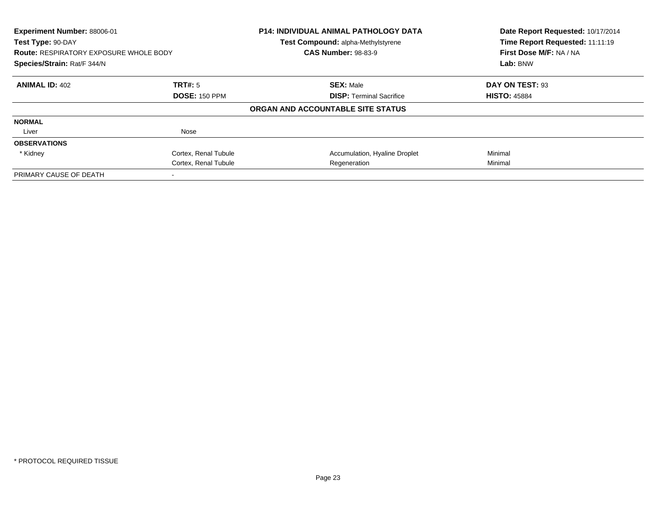| Experiment Number: 88006-01<br>Test Type: 90-DAY                             |                      | P14: INDIVIDUAL ANIMAL PATHOLOGY DATA<br>Test Compound: alpha-Methylstyrene | Date Report Requested: 10/17/2014<br>Time Report Requested: 11:11:19 |
|------------------------------------------------------------------------------|----------------------|-----------------------------------------------------------------------------|----------------------------------------------------------------------|
| <b>Route: RESPIRATORY EXPOSURE WHOLE BODY</b><br>Species/Strain: Rat/F 344/N |                      | <b>CAS Number: 98-83-9</b>                                                  | First Dose M/F: NA / NA<br>Lab: BNW                                  |
|                                                                              |                      |                                                                             |                                                                      |
| <b>ANIMAL ID: 402</b>                                                        | <b>TRT#: 5</b>       | <b>SEX: Male</b>                                                            | DAY ON TEST: 93                                                      |
|                                                                              | <b>DOSE: 150 PPM</b> | <b>DISP:</b> Terminal Sacrifice                                             | <b>HISTO: 45884</b>                                                  |
|                                                                              |                      | ORGAN AND ACCOUNTABLE SITE STATUS                                           |                                                                      |
| <b>NORMAL</b>                                                                |                      |                                                                             |                                                                      |
| Liver                                                                        | Nose                 |                                                                             |                                                                      |
| <b>OBSERVATIONS</b>                                                          |                      |                                                                             |                                                                      |
| * Kidney                                                                     | Cortex, Renal Tubule | Accumulation, Hyaline Droplet                                               | Minimal                                                              |
|                                                                              | Cortex, Renal Tubule | Regeneration                                                                | Minimal                                                              |
| PRIMARY CAUSE OF DEATH                                                       |                      |                                                                             |                                                                      |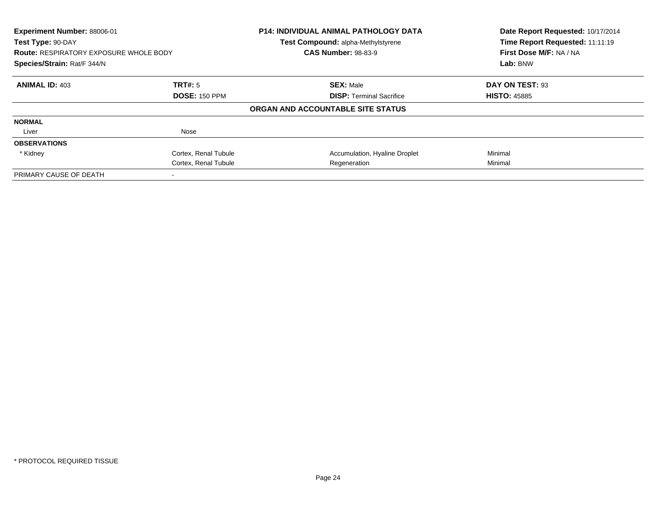| Experiment Number: 88006-01<br>Test Type: 90-DAY<br><b>Route: RESPIRATORY EXPOSURE WHOLE BODY</b><br>Species/Strain: Rat/F 344/N |                      | <b>P14: INDIVIDUAL ANIMAL PATHOLOGY DATA</b><br>Test Compound: alpha-Methylstyrene<br><b>CAS Number: 98-83-9</b> | Date Report Requested: 10/17/2014<br>Time Report Requested: 11:11:19<br>First Dose M/F: NA / NA<br>Lab: BNW |
|----------------------------------------------------------------------------------------------------------------------------------|----------------------|------------------------------------------------------------------------------------------------------------------|-------------------------------------------------------------------------------------------------------------|
|                                                                                                                                  |                      |                                                                                                                  |                                                                                                             |
| <b>ANIMAL ID: 403</b>                                                                                                            | TRT#: 5              | <b>SEX: Male</b>                                                                                                 | DAY ON TEST: 93                                                                                             |
|                                                                                                                                  | <b>DOSE: 150 PPM</b> | <b>DISP:</b> Terminal Sacrifice                                                                                  | <b>HISTO: 45885</b>                                                                                         |
|                                                                                                                                  |                      | ORGAN AND ACCOUNTABLE SITE STATUS                                                                                |                                                                                                             |
| <b>NORMAL</b>                                                                                                                    |                      |                                                                                                                  |                                                                                                             |
| Liver                                                                                                                            | Nose                 |                                                                                                                  |                                                                                                             |
| <b>OBSERVATIONS</b>                                                                                                              |                      |                                                                                                                  |                                                                                                             |
| * Kidney                                                                                                                         | Cortex, Renal Tubule | Accumulation, Hyaline Droplet                                                                                    | Minimal                                                                                                     |
|                                                                                                                                  | Cortex, Renal Tubule | Regeneration                                                                                                     | Minimal                                                                                                     |
| PRIMARY CAUSE OF DEATH                                                                                                           |                      |                                                                                                                  |                                                                                                             |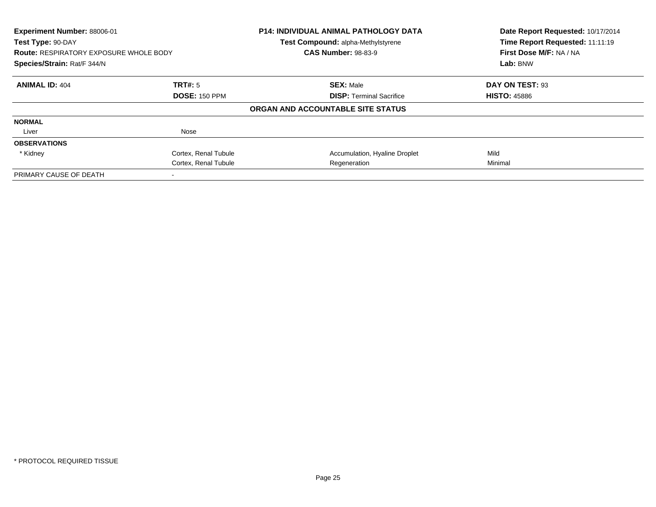| Experiment Number: 88006-01<br>Test Type: 90-DAY<br><b>Route: RESPIRATORY EXPOSURE WHOLE BODY</b><br>Species/Strain: Rat/F 344/N |                      | P14: INDIVIDUAL ANIMAL PATHOLOGY DATA<br>Test Compound: alpha-Methylstyrene | Date Report Requested: 10/17/2014<br>Time Report Requested: 11:11:19 |
|----------------------------------------------------------------------------------------------------------------------------------|----------------------|-----------------------------------------------------------------------------|----------------------------------------------------------------------|
|                                                                                                                                  |                      | <b>CAS Number: 98-83-9</b>                                                  | First Dose M/F: NA / NA                                              |
|                                                                                                                                  |                      |                                                                             | Lab: BNW                                                             |
| <b>ANIMAL ID: 404</b>                                                                                                            | <b>TRT#: 5</b>       | <b>SEX: Male</b>                                                            | DAY ON TEST: 93                                                      |
|                                                                                                                                  | <b>DOSE: 150 PPM</b> | <b>DISP:</b> Terminal Sacrifice                                             | <b>HISTO: 45886</b>                                                  |
|                                                                                                                                  |                      | ORGAN AND ACCOUNTABLE SITE STATUS                                           |                                                                      |
| <b>NORMAL</b>                                                                                                                    |                      |                                                                             |                                                                      |
| Liver                                                                                                                            | Nose                 |                                                                             |                                                                      |
| <b>OBSERVATIONS</b>                                                                                                              |                      |                                                                             |                                                                      |
| * Kidney                                                                                                                         | Cortex, Renal Tubule | Accumulation, Hyaline Droplet                                               | Mild                                                                 |
|                                                                                                                                  | Cortex, Renal Tubule | Regeneration                                                                | Minimal                                                              |
| PRIMARY CAUSE OF DEATH                                                                                                           |                      |                                                                             |                                                                      |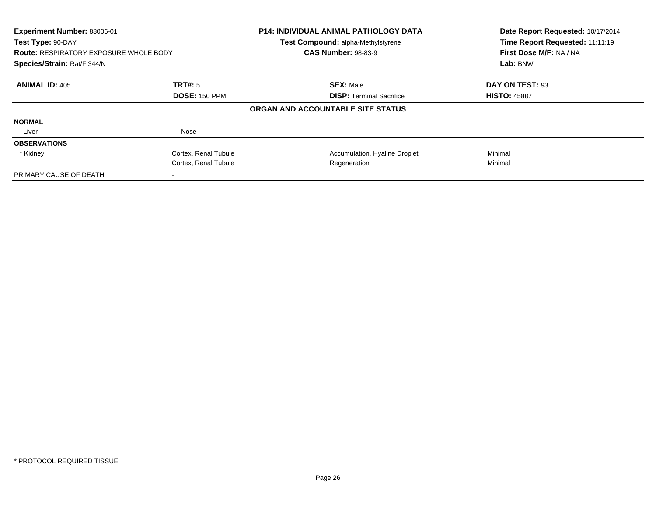| Experiment Number: 88006-01<br>Test Type: 90-DAY<br><b>Route: RESPIRATORY EXPOSURE WHOLE BODY</b><br>Species/Strain: Rat/F 344/N |                      | <b>P14: INDIVIDUAL ANIMAL PATHOLOGY DATA</b><br>Test Compound: alpha-Methylstyrene<br><b>CAS Number: 98-83-9</b> | Date Report Requested: 10/17/2014<br>Time Report Requested: 11:11:19<br>First Dose M/F: NA / NA<br>Lab: BNW |
|----------------------------------------------------------------------------------------------------------------------------------|----------------------|------------------------------------------------------------------------------------------------------------------|-------------------------------------------------------------------------------------------------------------|
|                                                                                                                                  |                      |                                                                                                                  |                                                                                                             |
| <b>ANIMAL ID: 405</b>                                                                                                            | TRT#: 5              | <b>SEX: Male</b>                                                                                                 | DAY ON TEST: 93                                                                                             |
|                                                                                                                                  | <b>DOSE: 150 PPM</b> | <b>DISP:</b> Terminal Sacrifice                                                                                  | <b>HISTO: 45887</b>                                                                                         |
|                                                                                                                                  |                      | ORGAN AND ACCOUNTABLE SITE STATUS                                                                                |                                                                                                             |
| <b>NORMAL</b>                                                                                                                    |                      |                                                                                                                  |                                                                                                             |
| Liver                                                                                                                            | Nose                 |                                                                                                                  |                                                                                                             |
| <b>OBSERVATIONS</b>                                                                                                              |                      |                                                                                                                  |                                                                                                             |
| * Kidney                                                                                                                         | Cortex, Renal Tubule | Accumulation, Hyaline Droplet                                                                                    | Minimal                                                                                                     |
|                                                                                                                                  | Cortex, Renal Tubule | Regeneration                                                                                                     | Minimal                                                                                                     |
| PRIMARY CAUSE OF DEATH                                                                                                           |                      |                                                                                                                  |                                                                                                             |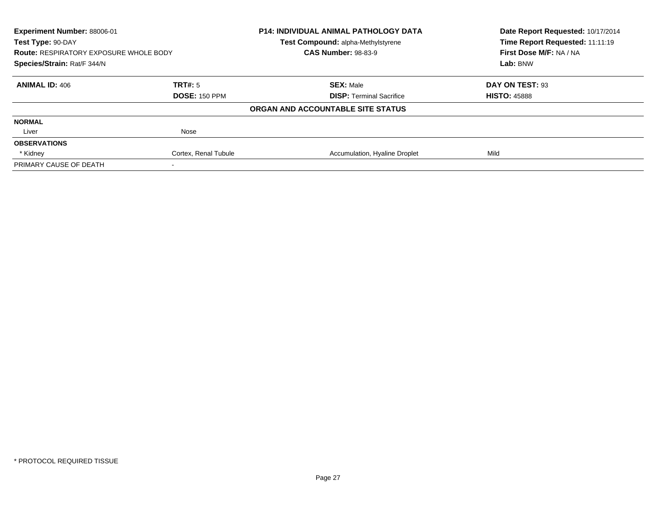| Experiment Number: 88006-01<br>Test Type: 90-DAY<br><b>Route: RESPIRATORY EXPOSURE WHOLE BODY</b><br>Species/Strain: Rat/F 344/N |                      | <b>P14: INDIVIDUAL ANIMAL PATHOLOGY DATA</b> | Date Report Requested: 10/17/2014<br>Time Report Requested: 11:11:19 |
|----------------------------------------------------------------------------------------------------------------------------------|----------------------|----------------------------------------------|----------------------------------------------------------------------|
|                                                                                                                                  |                      | <b>Test Compound: alpha-Methylstyrene</b>    |                                                                      |
|                                                                                                                                  |                      | <b>CAS Number: 98-83-9</b>                   | First Dose M/F: NA / NA                                              |
|                                                                                                                                  |                      |                                              | Lab: BNW                                                             |
| <b>ANIMAL ID: 406</b>                                                                                                            | TRT#: 5              | <b>SEX: Male</b>                             | DAY ON TEST: 93                                                      |
|                                                                                                                                  | <b>DOSE: 150 PPM</b> | <b>DISP:</b> Terminal Sacrifice              | <b>HISTO: 45888</b>                                                  |
|                                                                                                                                  |                      | ORGAN AND ACCOUNTABLE SITE STATUS            |                                                                      |
| <b>NORMAL</b>                                                                                                                    |                      |                                              |                                                                      |
| Liver                                                                                                                            | Nose                 |                                              |                                                                      |
| <b>OBSERVATIONS</b>                                                                                                              |                      |                                              |                                                                      |
| * Kidney                                                                                                                         | Cortex, Renal Tubule | Accumulation, Hyaline Droplet                | Mild                                                                 |
| PRIMARY CAUSE OF DEATH                                                                                                           |                      |                                              |                                                                      |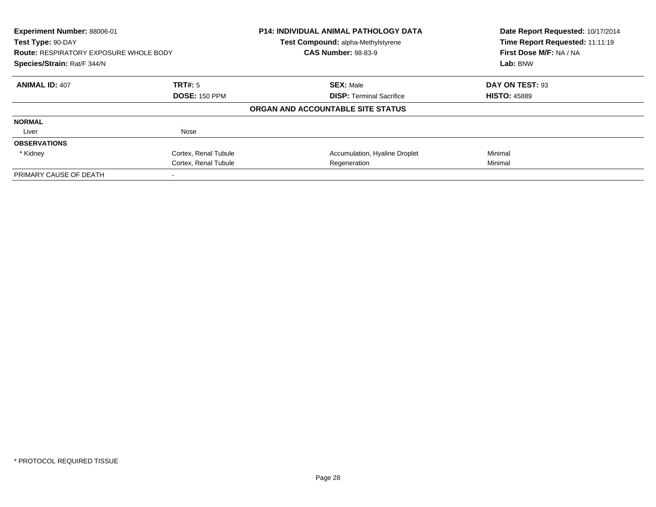| Experiment Number: 88006-01<br>Test Type: 90-DAY<br><b>Route: RESPIRATORY EXPOSURE WHOLE BODY</b> |                      | <b>P14: INDIVIDUAL ANIMAL PATHOLOGY DATA</b><br>Test Compound: alpha-Methylstyrene<br><b>CAS Number: 98-83-9</b> | Date Report Requested: 10/17/2014<br>Time Report Requested: 11:11:19<br>First Dose M/F: NA / NA |
|---------------------------------------------------------------------------------------------------|----------------------|------------------------------------------------------------------------------------------------------------------|-------------------------------------------------------------------------------------------------|
| Species/Strain: Rat/F 344/N                                                                       |                      |                                                                                                                  | Lab: BNW                                                                                        |
| <b>ANIMAL ID: 407</b>                                                                             | TRT#: 5              | <b>SEX: Male</b>                                                                                                 | DAY ON TEST: 93                                                                                 |
|                                                                                                   | <b>DOSE: 150 PPM</b> | <b>DISP:</b> Terminal Sacrifice                                                                                  | <b>HISTO: 45889</b>                                                                             |
|                                                                                                   |                      | ORGAN AND ACCOUNTABLE SITE STATUS                                                                                |                                                                                                 |
| <b>NORMAL</b>                                                                                     |                      |                                                                                                                  |                                                                                                 |
| Liver                                                                                             | Nose                 |                                                                                                                  |                                                                                                 |
| <b>OBSERVATIONS</b>                                                                               |                      |                                                                                                                  |                                                                                                 |
| * Kidney                                                                                          | Cortex, Renal Tubule | Accumulation, Hyaline Droplet                                                                                    | Minimal                                                                                         |
|                                                                                                   | Cortex, Renal Tubule | Regeneration                                                                                                     | Minimal                                                                                         |
| PRIMARY CAUSE OF DEATH                                                                            |                      |                                                                                                                  |                                                                                                 |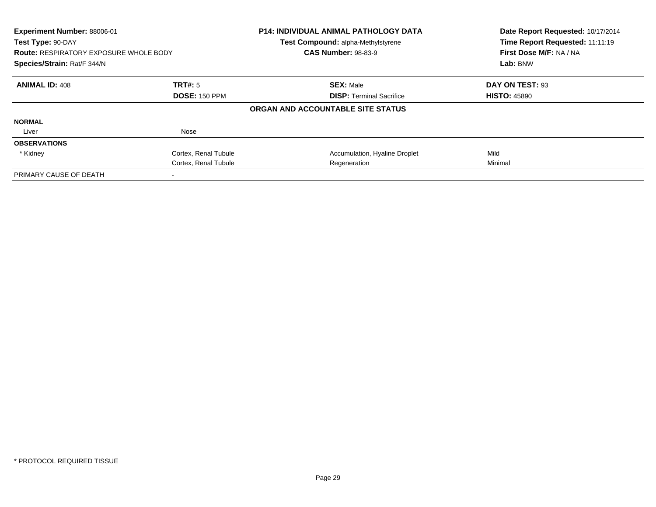| Experiment Number: 88006-01<br>Test Type: 90-DAY<br><b>Route: RESPIRATORY EXPOSURE WHOLE BODY</b><br>Species/Strain: Rat/F 344/N |                      | <b>P14: INDIVIDUAL ANIMAL PATHOLOGY DATA</b><br>Test Compound: alpha-Methylstyrene<br><b>CAS Number: 98-83-9</b> | Date Report Requested: 10/17/2014<br>Time Report Requested: 11:11:19<br>First Dose M/F: NA / NA<br>Lab: BNW |
|----------------------------------------------------------------------------------------------------------------------------------|----------------------|------------------------------------------------------------------------------------------------------------------|-------------------------------------------------------------------------------------------------------------|
|                                                                                                                                  |                      |                                                                                                                  |                                                                                                             |
| <b>ANIMAL ID: 408</b>                                                                                                            | TRT#: 5              | <b>SEX: Male</b>                                                                                                 | DAY ON TEST: 93                                                                                             |
|                                                                                                                                  | <b>DOSE: 150 PPM</b> | <b>DISP:</b> Terminal Sacrifice                                                                                  | <b>HISTO: 45890</b>                                                                                         |
|                                                                                                                                  |                      | ORGAN AND ACCOUNTABLE SITE STATUS                                                                                |                                                                                                             |
| <b>NORMAL</b>                                                                                                                    |                      |                                                                                                                  |                                                                                                             |
| Liver                                                                                                                            | Nose                 |                                                                                                                  |                                                                                                             |
| <b>OBSERVATIONS</b>                                                                                                              |                      |                                                                                                                  |                                                                                                             |
| * Kidney                                                                                                                         | Cortex, Renal Tubule | Accumulation, Hyaline Droplet                                                                                    | Mild                                                                                                        |
|                                                                                                                                  | Cortex, Renal Tubule | Regeneration                                                                                                     | Minimal                                                                                                     |
| PRIMARY CAUSE OF DEATH                                                                                                           |                      |                                                                                                                  |                                                                                                             |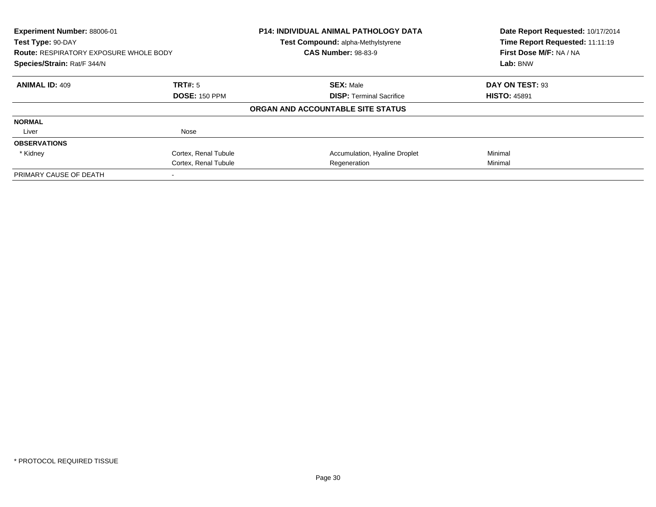| Experiment Number: 88006-01<br>Test Type: 90-DAY<br><b>Route: RESPIRATORY EXPOSURE WHOLE BODY</b><br>Species/Strain: Rat/F 344/N |                      | <b>P14: INDIVIDUAL ANIMAL PATHOLOGY DATA</b><br>Test Compound: alpha-Methylstyrene<br><b>CAS Number: 98-83-9</b> | Date Report Requested: 10/17/2014<br>Time Report Requested: 11:11:19<br>First Dose M/F: NA / NA<br>Lab: BNW |
|----------------------------------------------------------------------------------------------------------------------------------|----------------------|------------------------------------------------------------------------------------------------------------------|-------------------------------------------------------------------------------------------------------------|
|                                                                                                                                  |                      |                                                                                                                  |                                                                                                             |
| <b>ANIMAL ID: 409</b>                                                                                                            | TRT#: 5              | <b>SEX: Male</b>                                                                                                 | DAY ON TEST: 93                                                                                             |
|                                                                                                                                  | <b>DOSE: 150 PPM</b> | <b>DISP:</b> Terminal Sacrifice                                                                                  | <b>HISTO: 45891</b>                                                                                         |
|                                                                                                                                  |                      | ORGAN AND ACCOUNTABLE SITE STATUS                                                                                |                                                                                                             |
| <b>NORMAL</b>                                                                                                                    |                      |                                                                                                                  |                                                                                                             |
| Liver                                                                                                                            | Nose                 |                                                                                                                  |                                                                                                             |
| <b>OBSERVATIONS</b>                                                                                                              |                      |                                                                                                                  |                                                                                                             |
| * Kidney                                                                                                                         | Cortex, Renal Tubule | Accumulation, Hyaline Droplet                                                                                    | Minimal                                                                                                     |
|                                                                                                                                  | Cortex, Renal Tubule | Regeneration                                                                                                     | Minimal                                                                                                     |
| PRIMARY CAUSE OF DEATH                                                                                                           |                      |                                                                                                                  |                                                                                                             |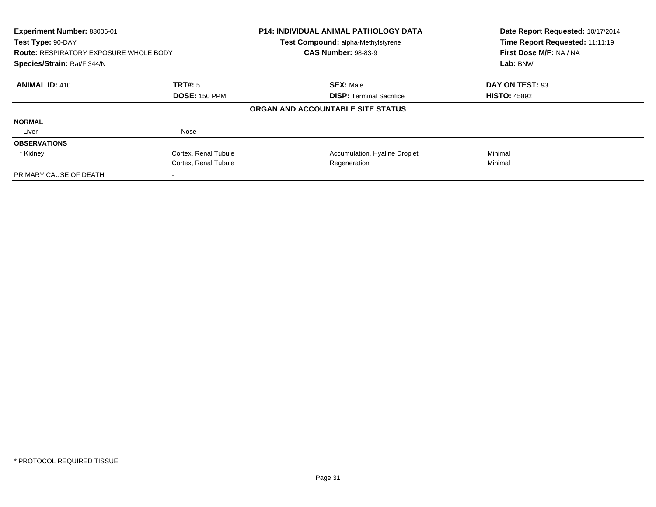| Experiment Number: 88006-01<br>Test Type: 90-DAY<br><b>Route: RESPIRATORY EXPOSURE WHOLE BODY</b><br>Species/Strain: Rat/F 344/N |                      | <b>P14: INDIVIDUAL ANIMAL PATHOLOGY DATA</b><br>Test Compound: alpha-Methylstyrene<br><b>CAS Number: 98-83-9</b> | Date Report Requested: 10/17/2014<br>Time Report Requested: 11:11:19<br>First Dose M/F: NA / NA<br>Lab: BNW |
|----------------------------------------------------------------------------------------------------------------------------------|----------------------|------------------------------------------------------------------------------------------------------------------|-------------------------------------------------------------------------------------------------------------|
|                                                                                                                                  |                      |                                                                                                                  |                                                                                                             |
| <b>ANIMAL ID: 410</b>                                                                                                            | TRT#: 5              | <b>SEX: Male</b>                                                                                                 | DAY ON TEST: 93                                                                                             |
|                                                                                                                                  | <b>DOSE: 150 PPM</b> | <b>DISP:</b> Terminal Sacrifice                                                                                  | <b>HISTO: 45892</b>                                                                                         |
|                                                                                                                                  |                      | ORGAN AND ACCOUNTABLE SITE STATUS                                                                                |                                                                                                             |
| <b>NORMAL</b>                                                                                                                    |                      |                                                                                                                  |                                                                                                             |
| Liver                                                                                                                            | Nose                 |                                                                                                                  |                                                                                                             |
| <b>OBSERVATIONS</b>                                                                                                              |                      |                                                                                                                  |                                                                                                             |
| * Kidney                                                                                                                         | Cortex, Renal Tubule | Accumulation, Hyaline Droplet                                                                                    | Minimal                                                                                                     |
|                                                                                                                                  | Cortex, Renal Tubule | Regeneration                                                                                                     | Minimal                                                                                                     |
| PRIMARY CAUSE OF DEATH                                                                                                           |                      |                                                                                                                  |                                                                                                             |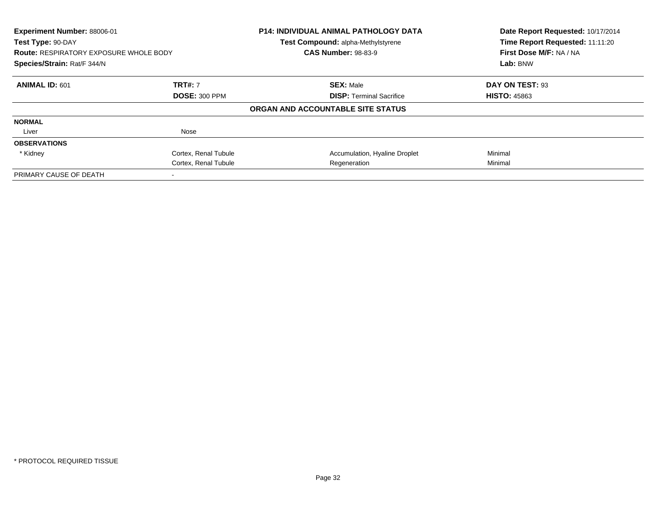| Experiment Number: 88006-01<br>Test Type: 90-DAY<br><b>Route: RESPIRATORY EXPOSURE WHOLE BODY</b><br>Species/Strain: Rat/F 344/N |                      | P14: INDIVIDUAL ANIMAL PATHOLOGY DATA<br>Test Compound: alpha-Methylstyrene<br><b>CAS Number: 98-83-9</b> | Date Report Requested: 10/17/2014<br>Time Report Requested: 11:11:20<br>First Dose M/F: NA / NA<br>Lab: BNW |
|----------------------------------------------------------------------------------------------------------------------------------|----------------------|-----------------------------------------------------------------------------------------------------------|-------------------------------------------------------------------------------------------------------------|
|                                                                                                                                  |                      |                                                                                                           |                                                                                                             |
| <b>ANIMAL ID: 601</b>                                                                                                            | <b>TRT#: 7</b>       | <b>SEX: Male</b>                                                                                          | DAY ON TEST: 93                                                                                             |
|                                                                                                                                  | <b>DOSE: 300 PPM</b> | <b>DISP:</b> Terminal Sacrifice                                                                           | <b>HISTO: 45863</b>                                                                                         |
|                                                                                                                                  |                      | ORGAN AND ACCOUNTABLE SITE STATUS                                                                         |                                                                                                             |
| <b>NORMAL</b>                                                                                                                    |                      |                                                                                                           |                                                                                                             |
| Liver                                                                                                                            | Nose                 |                                                                                                           |                                                                                                             |
| <b>OBSERVATIONS</b>                                                                                                              |                      |                                                                                                           |                                                                                                             |
| * Kidney                                                                                                                         | Cortex, Renal Tubule | Accumulation, Hyaline Droplet                                                                             | Minimal                                                                                                     |
|                                                                                                                                  | Cortex, Renal Tubule | Regeneration                                                                                              | Minimal                                                                                                     |
| PRIMARY CAUSE OF DEATH                                                                                                           |                      |                                                                                                           |                                                                                                             |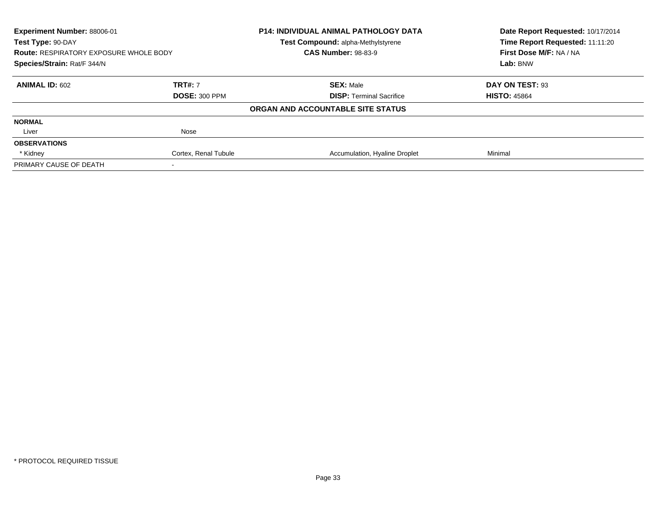| Experiment Number: 88006-01                                                                       |                      | <b>P14: INDIVIDUAL ANIMAL PATHOLOGY DATA</b> | Date Report Requested: 10/17/2014 |
|---------------------------------------------------------------------------------------------------|----------------------|----------------------------------------------|-----------------------------------|
| Test Type: 90-DAY<br><b>Route: RESPIRATORY EXPOSURE WHOLE BODY</b><br>Species/Strain: Rat/F 344/N |                      | <b>Test Compound: alpha-Methylstyrene</b>    | Time Report Requested: 11:11:20   |
|                                                                                                   |                      | <b>CAS Number: 98-83-9</b>                   | First Dose M/F: NA / NA           |
|                                                                                                   |                      |                                              | Lab: BNW                          |
| <b>ANIMAL ID: 602</b>                                                                             | <b>TRT#: 7</b>       | <b>SEX: Male</b>                             | DAY ON TEST: 93                   |
|                                                                                                   | <b>DOSE: 300 PPM</b> | <b>DISP:</b> Terminal Sacrifice              | <b>HISTO: 45864</b>               |
|                                                                                                   |                      | ORGAN AND ACCOUNTABLE SITE STATUS            |                                   |
| <b>NORMAL</b>                                                                                     |                      |                                              |                                   |
| Liver                                                                                             | Nose                 |                                              |                                   |
| <b>OBSERVATIONS</b>                                                                               |                      |                                              |                                   |
| * Kidney                                                                                          | Cortex, Renal Tubule | Accumulation, Hyaline Droplet                | Minimal                           |
| PRIMARY CAUSE OF DEATH                                                                            |                      |                                              |                                   |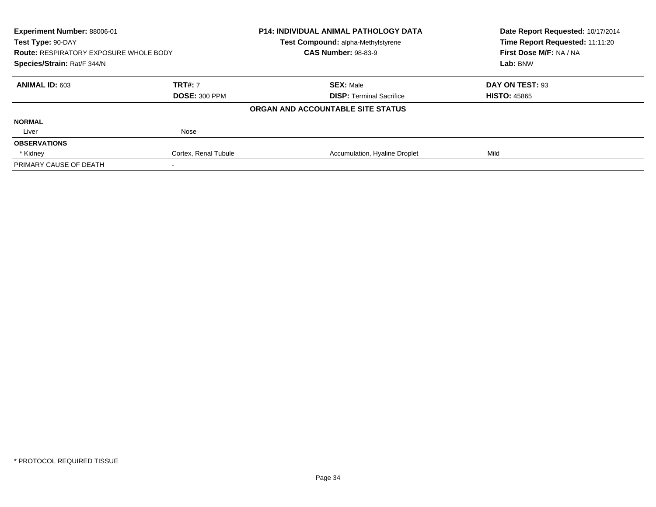| Experiment Number: 88006-01                                                                       |                      | <b>P14: INDIVIDUAL ANIMAL PATHOLOGY DATA</b> | Date Report Requested: 10/17/2014                                      |
|---------------------------------------------------------------------------------------------------|----------------------|----------------------------------------------|------------------------------------------------------------------------|
| Test Type: 90-DAY<br><b>Route: RESPIRATORY EXPOSURE WHOLE BODY</b><br>Species/Strain: Rat/F 344/N |                      | Test Compound: alpha-Methylstyrene           | Time Report Requested: 11:11:20<br>First Dose M/F: NA / NA<br>Lab: BNW |
|                                                                                                   |                      | <b>CAS Number: 98-83-9</b>                   |                                                                        |
|                                                                                                   |                      |                                              |                                                                        |
| <b>ANIMAL ID: 603</b>                                                                             | <b>TRT#: 7</b>       | <b>SEX: Male</b>                             | DAY ON TEST: 93                                                        |
|                                                                                                   | <b>DOSE: 300 PPM</b> | <b>DISP:</b> Terminal Sacrifice              | <b>HISTO: 45865</b>                                                    |
|                                                                                                   |                      | ORGAN AND ACCOUNTABLE SITE STATUS            |                                                                        |
| <b>NORMAL</b>                                                                                     |                      |                                              |                                                                        |
| Liver                                                                                             | Nose                 |                                              |                                                                        |
| <b>OBSERVATIONS</b>                                                                               |                      |                                              |                                                                        |
| * Kidney                                                                                          | Cortex, Renal Tubule | Accumulation, Hyaline Droplet                | Mild                                                                   |
| PRIMARY CAUSE OF DEATH                                                                            |                      |                                              |                                                                        |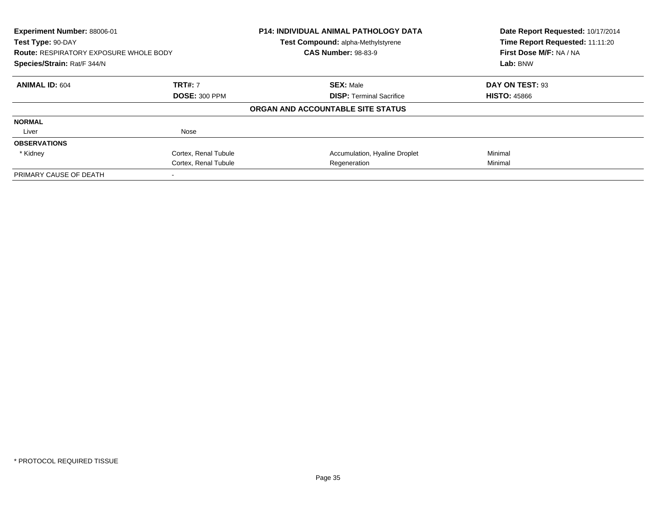| Experiment Number: 88006-01<br>Test Type: 90-DAY<br><b>Route: RESPIRATORY EXPOSURE WHOLE BODY</b><br>Species/Strain: Rat/F 344/N |                      | P14: INDIVIDUAL ANIMAL PATHOLOGY DATA<br>Test Compound: alpha-Methylstyrene | Date Report Requested: 10/17/2014<br>Time Report Requested: 11:11:20 |
|----------------------------------------------------------------------------------------------------------------------------------|----------------------|-----------------------------------------------------------------------------|----------------------------------------------------------------------|
|                                                                                                                                  |                      | <b>CAS Number: 98-83-9</b>                                                  | First Dose M/F: NA / NA                                              |
|                                                                                                                                  |                      |                                                                             | Lab: BNW                                                             |
| <b>ANIMAL ID: 604</b>                                                                                                            | <b>TRT#: 7</b>       | <b>SEX: Male</b>                                                            | DAY ON TEST: 93                                                      |
|                                                                                                                                  | <b>DOSE: 300 PPM</b> | <b>DISP:</b> Terminal Sacrifice                                             | <b>HISTO: 45866</b>                                                  |
|                                                                                                                                  |                      | ORGAN AND ACCOUNTABLE SITE STATUS                                           |                                                                      |
| <b>NORMAL</b>                                                                                                                    |                      |                                                                             |                                                                      |
| Liver                                                                                                                            | Nose                 |                                                                             |                                                                      |
| <b>OBSERVATIONS</b>                                                                                                              |                      |                                                                             |                                                                      |
| * Kidney                                                                                                                         | Cortex, Renal Tubule | Accumulation, Hyaline Droplet                                               | Minimal                                                              |
|                                                                                                                                  | Cortex, Renal Tubule | Regeneration                                                                | Minimal                                                              |
| PRIMARY CAUSE OF DEATH                                                                                                           |                      |                                                                             |                                                                      |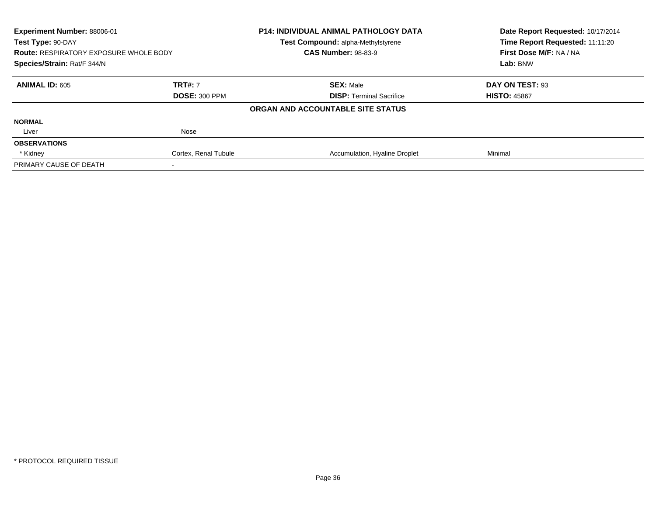| Experiment Number: 88006-01<br>Test Type: 90-DAY<br><b>Route: RESPIRATORY EXPOSURE WHOLE BODY</b><br>Species/Strain: Rat/F 344/N |                      | <b>P14: INDIVIDUAL ANIMAL PATHOLOGY DATA</b> | Date Report Requested: 10/17/2014<br>Time Report Requested: 11:11:20 |
|----------------------------------------------------------------------------------------------------------------------------------|----------------------|----------------------------------------------|----------------------------------------------------------------------|
|                                                                                                                                  |                      | <b>Test Compound: alpha-Methylstyrene</b>    |                                                                      |
|                                                                                                                                  |                      | <b>CAS Number: 98-83-9</b>                   | First Dose M/F: NA / NA                                              |
|                                                                                                                                  |                      |                                              | Lab: BNW                                                             |
| <b>ANIMAL ID: 605</b>                                                                                                            | <b>TRT#: 7</b>       | <b>SEX: Male</b>                             | DAY ON TEST: 93                                                      |
|                                                                                                                                  | <b>DOSE: 300 PPM</b> | <b>DISP:</b> Terminal Sacrifice              | <b>HISTO: 45867</b>                                                  |
|                                                                                                                                  |                      | ORGAN AND ACCOUNTABLE SITE STATUS            |                                                                      |
| <b>NORMAL</b>                                                                                                                    |                      |                                              |                                                                      |
| Liver                                                                                                                            | Nose                 |                                              |                                                                      |
| <b>OBSERVATIONS</b>                                                                                                              |                      |                                              |                                                                      |
| * Kidney                                                                                                                         | Cortex, Renal Tubule | Accumulation, Hyaline Droplet                | Minimal                                                              |
| PRIMARY CAUSE OF DEATH                                                                                                           |                      |                                              |                                                                      |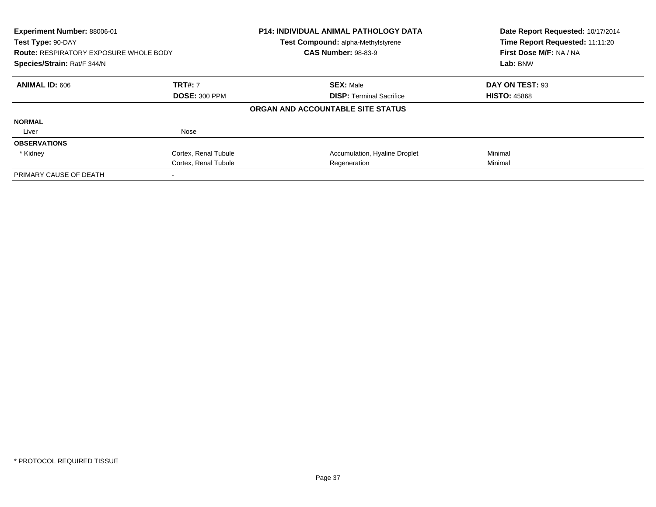| Experiment Number: 88006-01<br>Test Type: 90-DAY<br><b>Route: RESPIRATORY EXPOSURE WHOLE BODY</b><br>Species/Strain: Rat/F 344/N |                      | P14: INDIVIDUAL ANIMAL PATHOLOGY DATA<br>Test Compound: alpha-Methylstyrene<br><b>CAS Number: 98-83-9</b> | Date Report Requested: 10/17/2014<br>Time Report Requested: 11:11:20<br>First Dose M/F: NA / NA<br>Lab: BNW |
|----------------------------------------------------------------------------------------------------------------------------------|----------------------|-----------------------------------------------------------------------------------------------------------|-------------------------------------------------------------------------------------------------------------|
|                                                                                                                                  |                      |                                                                                                           |                                                                                                             |
| <b>ANIMAL ID: 606</b>                                                                                                            | <b>TRT#: 7</b>       | <b>SEX: Male</b>                                                                                          | DAY ON TEST: 93                                                                                             |
|                                                                                                                                  | <b>DOSE: 300 PPM</b> | <b>DISP:</b> Terminal Sacrifice                                                                           | <b>HISTO: 45868</b>                                                                                         |
|                                                                                                                                  |                      | ORGAN AND ACCOUNTABLE SITE STATUS                                                                         |                                                                                                             |
| <b>NORMAL</b>                                                                                                                    |                      |                                                                                                           |                                                                                                             |
| Liver                                                                                                                            | Nose                 |                                                                                                           |                                                                                                             |
| <b>OBSERVATIONS</b>                                                                                                              |                      |                                                                                                           |                                                                                                             |
| * Kidney                                                                                                                         | Cortex, Renal Tubule | Accumulation, Hyaline Droplet                                                                             | Minimal                                                                                                     |
|                                                                                                                                  | Cortex, Renal Tubule | Regeneration                                                                                              | Minimal                                                                                                     |
| PRIMARY CAUSE OF DEATH                                                                                                           |                      |                                                                                                           |                                                                                                             |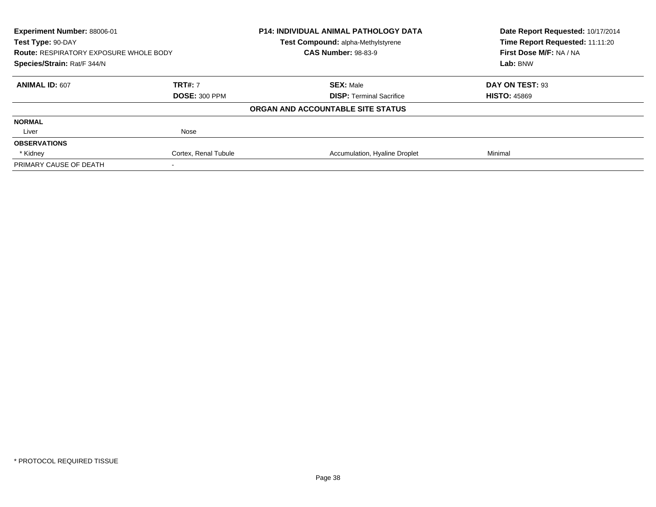| Experiment Number: 88006-01<br>Test Type: 90-DAY |                      | <b>P14: INDIVIDUAL ANIMAL PATHOLOGY DATA</b> | Date Report Requested: 10/17/2014<br>Time Report Requested: 11:11:20 |
|--------------------------------------------------|----------------------|----------------------------------------------|----------------------------------------------------------------------|
|                                                  |                      | <b>Test Compound: alpha-Methylstyrene</b>    |                                                                      |
| <b>Route: RESPIRATORY EXPOSURE WHOLE BODY</b>    |                      | <b>CAS Number: 98-83-9</b>                   | First Dose M/F: NA / NA                                              |
| Species/Strain: Rat/F 344/N                      |                      |                                              | <b>Lab: BNW</b>                                                      |
| ANIMAL ID: 607                                   | <b>TRT#: 7</b>       | <b>SEX: Male</b>                             | DAY ON TEST: 93                                                      |
|                                                  | <b>DOSE: 300 PPM</b> | <b>DISP: Terminal Sacrifice</b>              | <b>HISTO: 45869</b>                                                  |
|                                                  |                      | ORGAN AND ACCOUNTABLE SITE STATUS            |                                                                      |
| <b>NORMAL</b>                                    |                      |                                              |                                                                      |
| Liver                                            | Nose                 |                                              |                                                                      |
| <b>OBSERVATIONS</b>                              |                      |                                              |                                                                      |
| * Kidney                                         | Cortex, Renal Tubule | Accumulation, Hyaline Droplet                | Minimal                                                              |
| PRIMARY CAUSE OF DEATH                           |                      |                                              |                                                                      |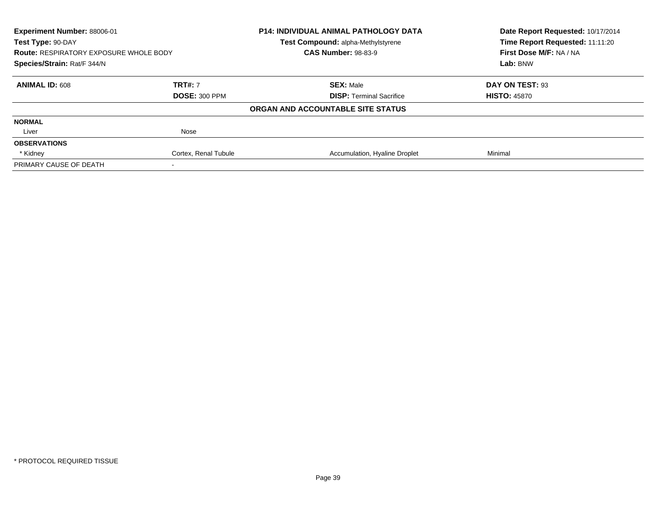| Experiment Number: 88006-01                   |                      | <b>P14: INDIVIDUAL ANIMAL PATHOLOGY DATA</b> | Date Report Requested: 10/17/2014 |
|-----------------------------------------------|----------------------|----------------------------------------------|-----------------------------------|
| Test Type: 90-DAY                             |                      | <b>Test Compound: alpha-Methylstyrene</b>    | Time Report Requested: 11:11:20   |
| <b>Route: RESPIRATORY EXPOSURE WHOLE BODY</b> |                      | <b>CAS Number: 98-83-9</b>                   | First Dose M/F: NA / NA           |
| Species/Strain: Rat/F 344/N                   |                      |                                              | Lab: BNW                          |
| <b>ANIMAL ID: 608</b>                         | <b>TRT#: 7</b>       | <b>SEX: Male</b>                             | DAY ON TEST: 93                   |
|                                               | <b>DOSE: 300 PPM</b> | <b>DISP:</b> Terminal Sacrifice              | <b>HISTO: 45870</b>               |
|                                               |                      | ORGAN AND ACCOUNTABLE SITE STATUS            |                                   |
| <b>NORMAL</b>                                 |                      |                                              |                                   |
| Liver                                         | Nose                 |                                              |                                   |
| <b>OBSERVATIONS</b>                           |                      |                                              |                                   |
| * Kidney                                      | Cortex, Renal Tubule | Accumulation, Hyaline Droplet                | Minimal                           |
| PRIMARY CAUSE OF DEATH                        |                      |                                              |                                   |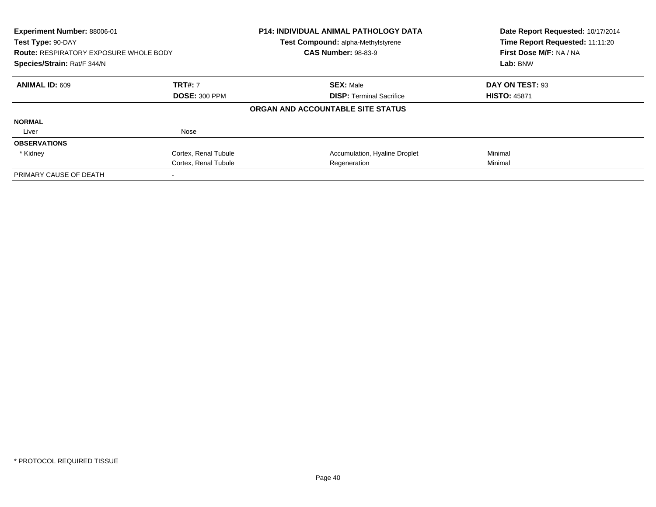| Experiment Number: 88006-01<br>Test Type: 90-DAY<br><b>Route: RESPIRATORY EXPOSURE WHOLE BODY</b><br>Species/Strain: Rat/F 344/N |                      | <b>P14: INDIVIDUAL ANIMAL PATHOLOGY DATA</b><br>Test Compound: alpha-Methylstyrene<br><b>CAS Number: 98-83-9</b> | Date Report Requested: 10/17/2014<br>Time Report Requested: 11:11:20<br>First Dose M/F: NA / NA<br>Lab: BNW |
|----------------------------------------------------------------------------------------------------------------------------------|----------------------|------------------------------------------------------------------------------------------------------------------|-------------------------------------------------------------------------------------------------------------|
|                                                                                                                                  |                      |                                                                                                                  |                                                                                                             |
| <b>ANIMAL ID: 609</b>                                                                                                            | <b>TRT#: 7</b>       | <b>SEX: Male</b>                                                                                                 | DAY ON TEST: 93                                                                                             |
|                                                                                                                                  | <b>DOSE: 300 PPM</b> | <b>DISP:</b> Terminal Sacrifice                                                                                  | <b>HISTO: 45871</b>                                                                                         |
|                                                                                                                                  |                      | ORGAN AND ACCOUNTABLE SITE STATUS                                                                                |                                                                                                             |
| <b>NORMAL</b>                                                                                                                    |                      |                                                                                                                  |                                                                                                             |
| Liver                                                                                                                            | Nose                 |                                                                                                                  |                                                                                                             |
| <b>OBSERVATIONS</b>                                                                                                              |                      |                                                                                                                  |                                                                                                             |
| * Kidney                                                                                                                         | Cortex, Renal Tubule | Accumulation, Hyaline Droplet                                                                                    | Minimal                                                                                                     |
|                                                                                                                                  | Cortex, Renal Tubule | Regeneration                                                                                                     | Minimal                                                                                                     |
| PRIMARY CAUSE OF DEATH                                                                                                           |                      |                                                                                                                  |                                                                                                             |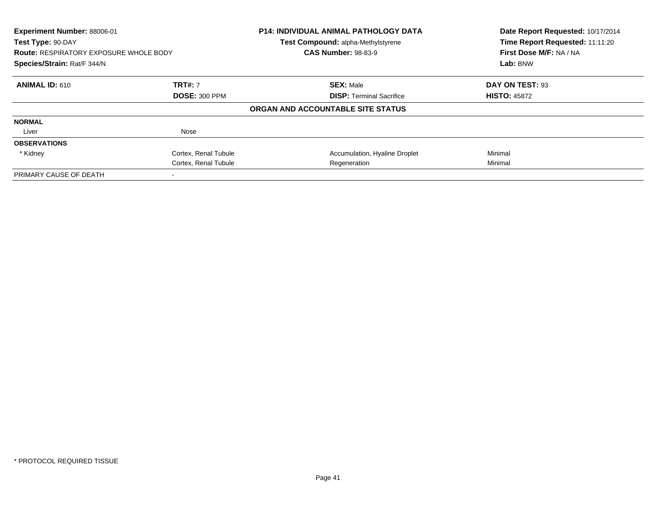| Experiment Number: 88006-01<br>Test Type: 90-DAY<br><b>Route: RESPIRATORY EXPOSURE WHOLE BODY</b> |                      | <b>P14: INDIVIDUAL ANIMAL PATHOLOGY DATA</b><br>Test Compound: alpha-Methylstyrene<br><b>CAS Number: 98-83-9</b> | Date Report Requested: 10/17/2014<br>Time Report Requested: 11:11:20<br>First Dose M/F: NA / NA |
|---------------------------------------------------------------------------------------------------|----------------------|------------------------------------------------------------------------------------------------------------------|-------------------------------------------------------------------------------------------------|
| Species/Strain: Rat/F 344/N                                                                       |                      |                                                                                                                  | Lab: BNW                                                                                        |
| <b>ANIMAL ID: 610</b>                                                                             | <b>TRT#: 7</b>       | <b>SEX: Male</b>                                                                                                 | DAY ON TEST: 93                                                                                 |
|                                                                                                   | <b>DOSE: 300 PPM</b> | <b>DISP: Terminal Sacrifice</b>                                                                                  | <b>HISTO: 45872</b>                                                                             |
|                                                                                                   |                      | ORGAN AND ACCOUNTABLE SITE STATUS                                                                                |                                                                                                 |
| <b>NORMAL</b>                                                                                     |                      |                                                                                                                  |                                                                                                 |
| Liver                                                                                             | Nose                 |                                                                                                                  |                                                                                                 |
| <b>OBSERVATIONS</b>                                                                               |                      |                                                                                                                  |                                                                                                 |
| * Kidney                                                                                          | Cortex, Renal Tubule | Accumulation, Hyaline Droplet                                                                                    | Minimal                                                                                         |
|                                                                                                   | Cortex, Renal Tubule | Regeneration                                                                                                     | Minimal                                                                                         |
| PRIMARY CAUSE OF DEATH                                                                            |                      |                                                                                                                  |                                                                                                 |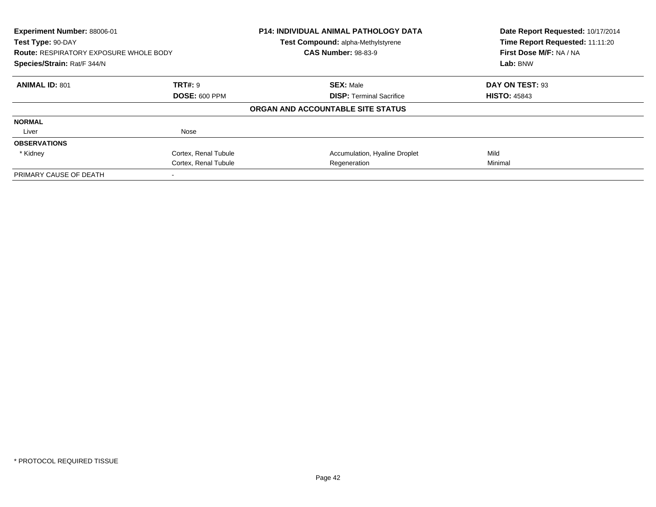| Experiment Number: 88006-01<br>Test Type: 90-DAY<br><b>Route: RESPIRATORY EXPOSURE WHOLE BODY</b><br>Species/Strain: Rat/F 344/N |                      | P14: INDIVIDUAL ANIMAL PATHOLOGY DATA<br>Test Compound: alpha-Methylstyrene<br><b>CAS Number: 98-83-9</b> | Date Report Requested: 10/17/2014<br>Time Report Requested: 11:11:20<br>First Dose M/F: NA / NA<br>Lab: BNW |
|----------------------------------------------------------------------------------------------------------------------------------|----------------------|-----------------------------------------------------------------------------------------------------------|-------------------------------------------------------------------------------------------------------------|
|                                                                                                                                  |                      |                                                                                                           |                                                                                                             |
| <b>ANIMAL ID: 801</b>                                                                                                            | <b>TRT#: 9</b>       | <b>SEX: Male</b>                                                                                          | DAY ON TEST: 93                                                                                             |
|                                                                                                                                  | <b>DOSE: 600 PPM</b> | <b>DISP:</b> Terminal Sacrifice                                                                           | <b>HISTO: 45843</b>                                                                                         |
|                                                                                                                                  |                      | ORGAN AND ACCOUNTABLE SITE STATUS                                                                         |                                                                                                             |
| <b>NORMAL</b>                                                                                                                    |                      |                                                                                                           |                                                                                                             |
| Liver                                                                                                                            | Nose                 |                                                                                                           |                                                                                                             |
| <b>OBSERVATIONS</b>                                                                                                              |                      |                                                                                                           |                                                                                                             |
| * Kidney                                                                                                                         | Cortex, Renal Tubule | Accumulation, Hyaline Droplet                                                                             | Mild                                                                                                        |
|                                                                                                                                  | Cortex, Renal Tubule | Regeneration                                                                                              | Minimal                                                                                                     |
| PRIMARY CAUSE OF DEATH                                                                                                           |                      |                                                                                                           |                                                                                                             |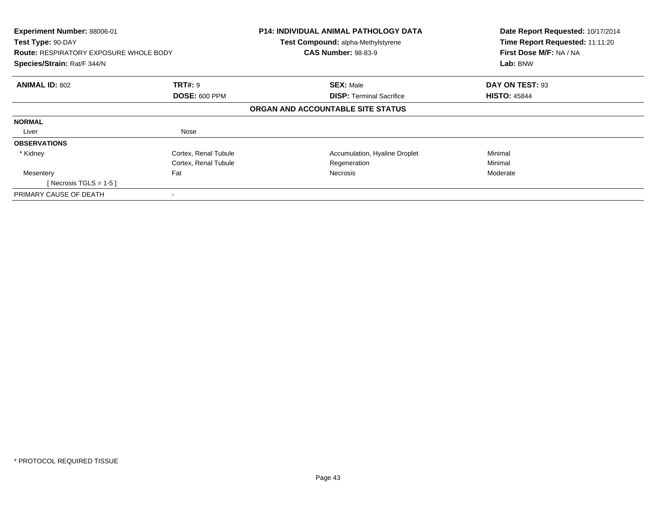| Experiment Number: 88006-01<br>Test Type: 90-DAY<br><b>Route: RESPIRATORY EXPOSURE WHOLE BODY</b><br>Species/Strain: Rat/F 344/N |                      | <b>P14: INDIVIDUAL ANIMAL PATHOLOGY DATA</b><br>Test Compound: alpha-Methylstyrene<br><b>CAS Number: 98-83-9</b> | Date Report Requested: 10/17/2014<br>Time Report Requested: 11:11:20<br>First Dose M/F: NA / NA<br>Lab: BNW |
|----------------------------------------------------------------------------------------------------------------------------------|----------------------|------------------------------------------------------------------------------------------------------------------|-------------------------------------------------------------------------------------------------------------|
| <b>ANIMAL ID: 802</b>                                                                                                            | <b>TRT#: 9</b>       | <b>SEX: Male</b>                                                                                                 | DAY ON TEST: 93                                                                                             |
|                                                                                                                                  | <b>DOSE: 600 PPM</b> | <b>DISP: Terminal Sacrifice</b>                                                                                  | <b>HISTO: 45844</b>                                                                                         |
|                                                                                                                                  |                      | ORGAN AND ACCOUNTABLE SITE STATUS                                                                                |                                                                                                             |
| <b>NORMAL</b>                                                                                                                    |                      |                                                                                                                  |                                                                                                             |
| Liver                                                                                                                            | Nose                 |                                                                                                                  |                                                                                                             |
| <b>OBSERVATIONS</b>                                                                                                              |                      |                                                                                                                  |                                                                                                             |
| * Kidney                                                                                                                         | Cortex, Renal Tubule | Accumulation, Hyaline Droplet                                                                                    | Minimal                                                                                                     |
|                                                                                                                                  | Cortex, Renal Tubule | Regeneration                                                                                                     | Minimal                                                                                                     |
| Mesentery                                                                                                                        | Fat                  | <b>Necrosis</b>                                                                                                  | Moderate                                                                                                    |
| [ Necrosis TGLS = $1-5$ ]                                                                                                        |                      |                                                                                                                  |                                                                                                             |
| PRIMARY CAUSE OF DEATH                                                                                                           |                      |                                                                                                                  |                                                                                                             |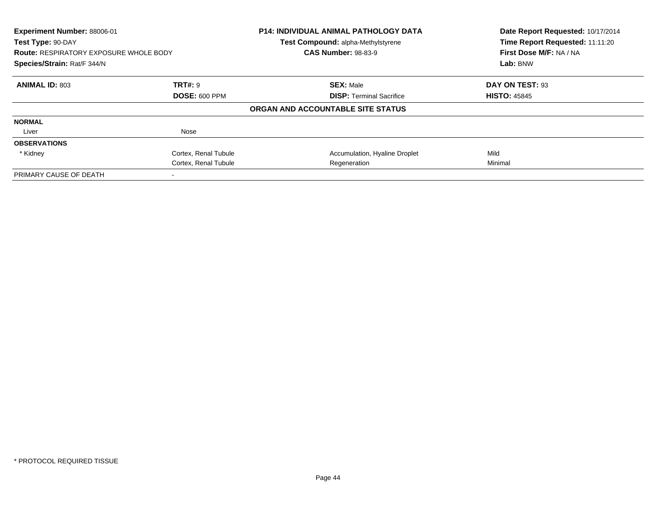| Experiment Number: 88006-01<br>Test Type: 90-DAY<br><b>Route: RESPIRATORY EXPOSURE WHOLE BODY</b><br>Species/Strain: Rat/F 344/N |                      | P14: INDIVIDUAL ANIMAL PATHOLOGY DATA<br>Test Compound: alpha-Methylstyrene<br><b>CAS Number: 98-83-9</b> | Date Report Requested: 10/17/2014<br>Time Report Requested: 11:11:20<br>First Dose M/F: NA / NA<br>Lab: BNW |
|----------------------------------------------------------------------------------------------------------------------------------|----------------------|-----------------------------------------------------------------------------------------------------------|-------------------------------------------------------------------------------------------------------------|
|                                                                                                                                  |                      |                                                                                                           |                                                                                                             |
| <b>ANIMAL ID: 803</b>                                                                                                            | <b>TRT#: 9</b>       | <b>SEX: Male</b>                                                                                          | DAY ON TEST: 93                                                                                             |
|                                                                                                                                  | <b>DOSE: 600 PPM</b> | <b>DISP:</b> Terminal Sacrifice                                                                           | <b>HISTO: 45845</b>                                                                                         |
|                                                                                                                                  |                      | ORGAN AND ACCOUNTABLE SITE STATUS                                                                         |                                                                                                             |
| <b>NORMAL</b>                                                                                                                    |                      |                                                                                                           |                                                                                                             |
| Liver                                                                                                                            | Nose                 |                                                                                                           |                                                                                                             |
| <b>OBSERVATIONS</b>                                                                                                              |                      |                                                                                                           |                                                                                                             |
| * Kidney                                                                                                                         | Cortex, Renal Tubule | Accumulation, Hyaline Droplet                                                                             | Mild                                                                                                        |
|                                                                                                                                  | Cortex, Renal Tubule | Regeneration                                                                                              | Minimal                                                                                                     |
| PRIMARY CAUSE OF DEATH                                                                                                           |                      |                                                                                                           |                                                                                                             |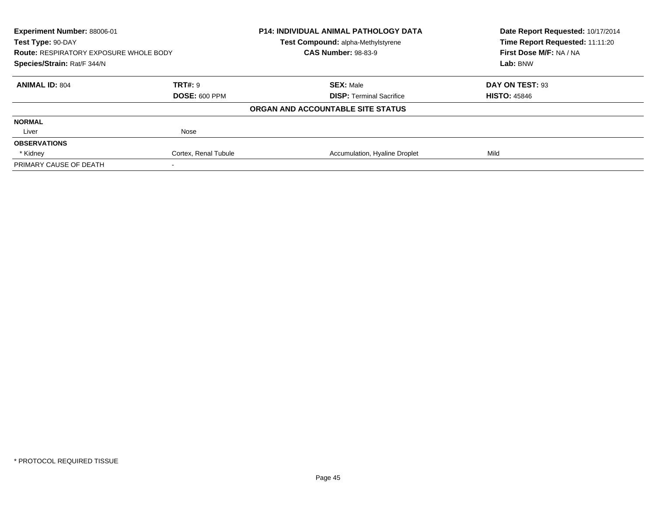| Experiment Number: 88006-01<br>Test Type: 90-DAY<br><b>Route: RESPIRATORY EXPOSURE WHOLE BODY</b><br>Species/Strain: Rat/F 344/N |                      | <b>P14: INDIVIDUAL ANIMAL PATHOLOGY DATA</b> | Date Report Requested: 10/17/2014<br>Time Report Requested: 11:11:20<br>First Dose M/F: NA / NA<br>Lab: BNW |
|----------------------------------------------------------------------------------------------------------------------------------|----------------------|----------------------------------------------|-------------------------------------------------------------------------------------------------------------|
|                                                                                                                                  |                      | Test Compound: alpha-Methylstyrene           |                                                                                                             |
|                                                                                                                                  |                      | <b>CAS Number: 98-83-9</b>                   |                                                                                                             |
|                                                                                                                                  |                      |                                              |                                                                                                             |
| <b>ANIMAL ID: 804</b>                                                                                                            | TRT#: 9              | <b>SEX: Male</b>                             | DAY ON TEST: 93                                                                                             |
|                                                                                                                                  | <b>DOSE: 600 PPM</b> | <b>DISP:</b> Terminal Sacrifice              | <b>HISTO: 45846</b>                                                                                         |
|                                                                                                                                  |                      | ORGAN AND ACCOUNTABLE SITE STATUS            |                                                                                                             |
| <b>NORMAL</b>                                                                                                                    |                      |                                              |                                                                                                             |
| Liver                                                                                                                            | Nose                 |                                              |                                                                                                             |
| <b>OBSERVATIONS</b>                                                                                                              |                      |                                              |                                                                                                             |
| * Kidney                                                                                                                         | Cortex, Renal Tubule | Accumulation, Hyaline Droplet                | Mild                                                                                                        |
| PRIMARY CAUSE OF DEATH                                                                                                           |                      |                                              |                                                                                                             |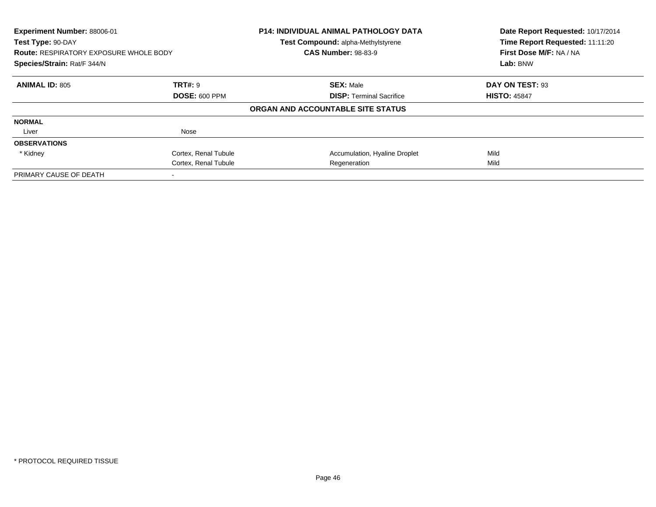| Experiment Number: 88006-01<br>Test Type: 90-DAY |                      | <b>P14: INDIVIDUAL ANIMAL PATHOLOGY DATA</b> | Date Report Requested: 10/17/2014<br>Time Report Requested: 11:11:20 |
|--------------------------------------------------|----------------------|----------------------------------------------|----------------------------------------------------------------------|
|                                                  |                      | Test Compound: alpha-Methylstyrene           |                                                                      |
| <b>Route: RESPIRATORY EXPOSURE WHOLE BODY</b>    |                      | <b>CAS Number: 98-83-9</b>                   | First Dose M/F: NA / NA                                              |
| Species/Strain: Rat/F 344/N                      |                      |                                              | Lab: BNW                                                             |
| <b>ANIMAL ID: 805</b>                            | <b>TRT#: 9</b>       | <b>SEX: Male</b>                             | DAY ON TEST: 93                                                      |
|                                                  | <b>DOSE: 600 PPM</b> | <b>DISP:</b> Terminal Sacrifice              | <b>HISTO: 45847</b>                                                  |
|                                                  |                      | ORGAN AND ACCOUNTABLE SITE STATUS            |                                                                      |
| <b>NORMAL</b>                                    |                      |                                              |                                                                      |
| Liver                                            | Nose                 |                                              |                                                                      |
| <b>OBSERVATIONS</b>                              |                      |                                              |                                                                      |
| * Kidney                                         | Cortex, Renal Tubule | Accumulation, Hyaline Droplet                | Mild                                                                 |
|                                                  | Cortex, Renal Tubule | Regeneration                                 | Mild                                                                 |
| PRIMARY CAUSE OF DEATH                           |                      |                                              |                                                                      |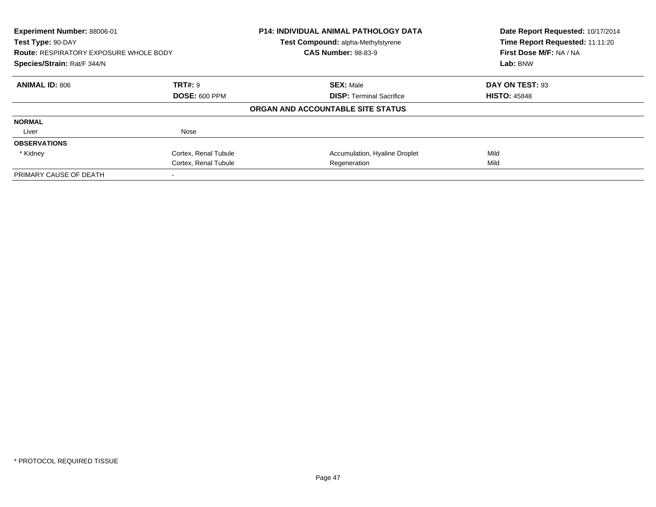| Experiment Number: 88006-01<br>Test Type: 90-DAY |                      | <b>P14: INDIVIDUAL ANIMAL PATHOLOGY DATA</b><br>Test Compound: alpha-Methylstyrene | Date Report Requested: 10/17/2014<br>Time Report Requested: 11:11:20 |
|--------------------------------------------------|----------------------|------------------------------------------------------------------------------------|----------------------------------------------------------------------|
| <b>Route: RESPIRATORY EXPOSURE WHOLE BODY</b>    |                      | <b>CAS Number: 98-83-9</b>                                                         | First Dose M/F: NA / NA                                              |
| Species/Strain: Rat/F 344/N                      |                      |                                                                                    | Lab: BNW                                                             |
| <b>ANIMAL ID: 806</b>                            | <b>TRT#: 9</b>       | <b>SEX: Male</b>                                                                   | DAY ON TEST: 93                                                      |
|                                                  | <b>DOSE: 600 PPM</b> | <b>DISP:</b> Terminal Sacrifice                                                    | <b>HISTO: 45848</b>                                                  |
|                                                  |                      | ORGAN AND ACCOUNTABLE SITE STATUS                                                  |                                                                      |
| <b>NORMAL</b>                                    |                      |                                                                                    |                                                                      |
| Liver                                            | Nose                 |                                                                                    |                                                                      |
| <b>OBSERVATIONS</b>                              |                      |                                                                                    |                                                                      |
| * Kidney                                         | Cortex, Renal Tubule | Accumulation, Hyaline Droplet                                                      | Mild                                                                 |
|                                                  | Cortex, Renal Tubule | Regeneration                                                                       | Mild                                                                 |
| PRIMARY CAUSE OF DEATH                           |                      |                                                                                    |                                                                      |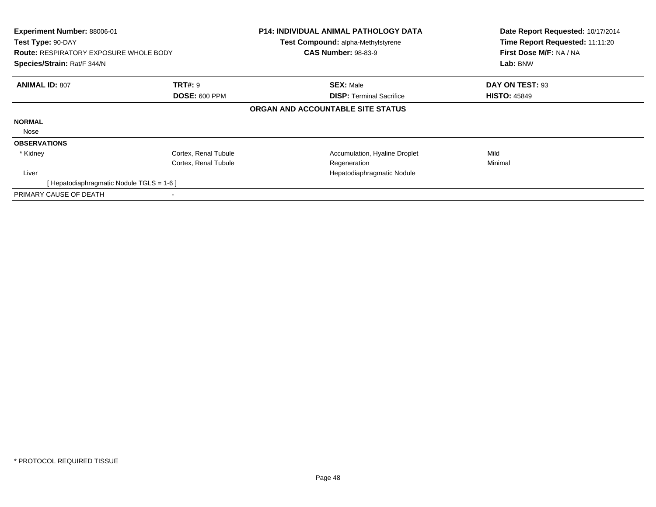| Experiment Number: 88006-01<br>Test Type: 90-DAY<br><b>Route: RESPIRATORY EXPOSURE WHOLE BODY</b><br>Species/Strain: Rat/F 344/N |                                        | <b>P14: INDIVIDUAL ANIMAL PATHOLOGY DATA</b><br>Test Compound: alpha-Methylstyrene<br><b>CAS Number: 98-83-9</b> | Date Report Requested: 10/17/2014<br>Time Report Requested: 11:11:20<br>First Dose M/F: NA / NA<br>Lab: BNW |
|----------------------------------------------------------------------------------------------------------------------------------|----------------------------------------|------------------------------------------------------------------------------------------------------------------|-------------------------------------------------------------------------------------------------------------|
| <b>ANIMAL ID: 807</b>                                                                                                            | <b>TRT#: 9</b><br><b>DOSE: 600 PPM</b> | <b>SEX: Male</b><br><b>DISP:</b> Terminal Sacrifice                                                              | DAY ON TEST: 93<br><b>HISTO: 45849</b>                                                                      |
|                                                                                                                                  |                                        | ORGAN AND ACCOUNTABLE SITE STATUS                                                                                |                                                                                                             |
| <b>NORMAL</b>                                                                                                                    |                                        |                                                                                                                  |                                                                                                             |
| Nose                                                                                                                             |                                        |                                                                                                                  |                                                                                                             |
| <b>OBSERVATIONS</b>                                                                                                              |                                        |                                                                                                                  |                                                                                                             |
| * Kidney                                                                                                                         | Cortex, Renal Tubule                   | Accumulation, Hyaline Droplet                                                                                    | Mild                                                                                                        |
|                                                                                                                                  | Cortex, Renal Tubule                   | Regeneration                                                                                                     | Minimal                                                                                                     |
| Liver                                                                                                                            |                                        | Hepatodiaphragmatic Nodule                                                                                       |                                                                                                             |
| [ Hepatodiaphragmatic Nodule TGLS = 1-6 ]                                                                                        |                                        |                                                                                                                  |                                                                                                             |
| PRIMARY CAUSE OF DEATH                                                                                                           |                                        |                                                                                                                  |                                                                                                             |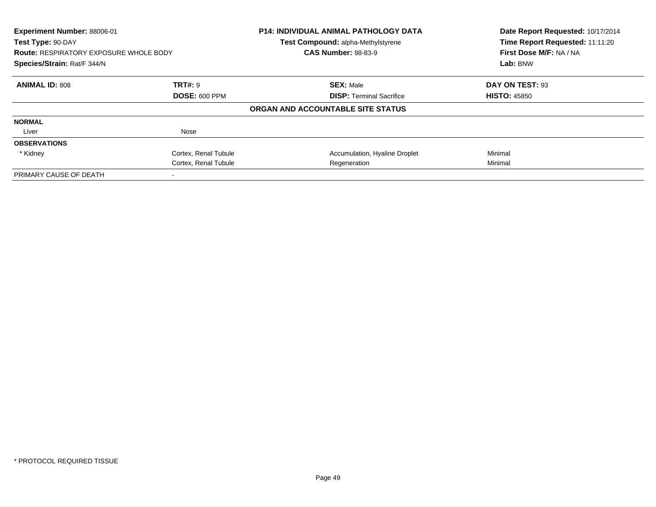| Experiment Number: 88006-01<br>Test Type: 90-DAY<br><b>Route: RESPIRATORY EXPOSURE WHOLE BODY</b><br>Species/Strain: Rat/F 344/N |                      | <b>P14: INDIVIDUAL ANIMAL PATHOLOGY DATA</b><br>Test Compound: alpha-Methylstyrene<br><b>CAS Number: 98-83-9</b> | Date Report Requested: 10/17/2014<br>Time Report Requested: 11:11:20<br>First Dose M/F: NA / NA |  |
|----------------------------------------------------------------------------------------------------------------------------------|----------------------|------------------------------------------------------------------------------------------------------------------|-------------------------------------------------------------------------------------------------|--|
|                                                                                                                                  |                      |                                                                                                                  | Lab: BNW                                                                                        |  |
| <b>ANIMAL ID: 808</b>                                                                                                            | <b>TRT#: 9</b>       | <b>SEX: Male</b>                                                                                                 | DAY ON TEST: 93                                                                                 |  |
|                                                                                                                                  | <b>DOSE: 600 PPM</b> | <b>DISP:</b> Terminal Sacrifice                                                                                  | <b>HISTO: 45850</b>                                                                             |  |
|                                                                                                                                  |                      | ORGAN AND ACCOUNTABLE SITE STATUS                                                                                |                                                                                                 |  |
| <b>NORMAL</b>                                                                                                                    |                      |                                                                                                                  |                                                                                                 |  |
| Liver                                                                                                                            | Nose                 |                                                                                                                  |                                                                                                 |  |
| <b>OBSERVATIONS</b>                                                                                                              |                      |                                                                                                                  |                                                                                                 |  |
| * Kidney                                                                                                                         | Cortex, Renal Tubule | Accumulation, Hyaline Droplet                                                                                    | Minimal                                                                                         |  |
|                                                                                                                                  | Cortex, Renal Tubule | Regeneration                                                                                                     | Minimal                                                                                         |  |
| PRIMARY CAUSE OF DEATH                                                                                                           |                      |                                                                                                                  |                                                                                                 |  |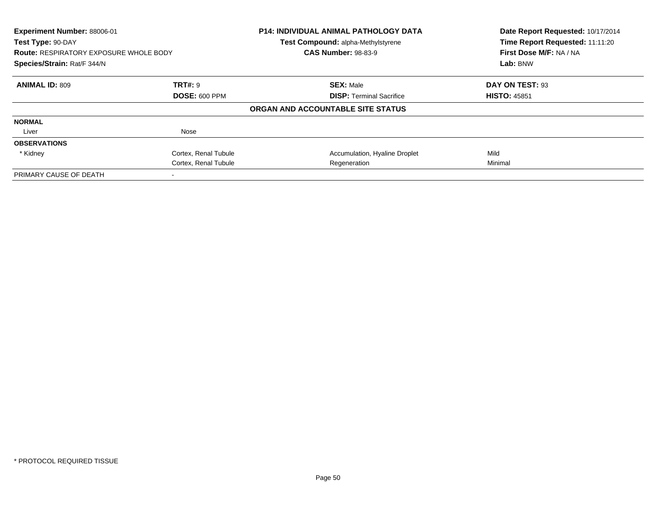| Experiment Number: 88006-01<br>Test Type: 90-DAY<br><b>Route: RESPIRATORY EXPOSURE WHOLE BODY</b><br>Species/Strain: Rat/F 344/N |                      | P14: INDIVIDUAL ANIMAL PATHOLOGY DATA<br>Test Compound: alpha-Methylstyrene<br><b>CAS Number: 98-83-9</b> | Date Report Requested: 10/17/2014<br>Time Report Requested: 11:11:20<br>First Dose M/F: NA / NA |  |
|----------------------------------------------------------------------------------------------------------------------------------|----------------------|-----------------------------------------------------------------------------------------------------------|-------------------------------------------------------------------------------------------------|--|
|                                                                                                                                  |                      |                                                                                                           | Lab: BNW                                                                                        |  |
| <b>ANIMAL ID: 809</b>                                                                                                            | <b>TRT#: 9</b>       | <b>SEX: Male</b>                                                                                          | DAY ON TEST: 93                                                                                 |  |
|                                                                                                                                  | <b>DOSE: 600 PPM</b> | <b>DISP:</b> Terminal Sacrifice                                                                           | <b>HISTO: 45851</b>                                                                             |  |
|                                                                                                                                  |                      | ORGAN AND ACCOUNTABLE SITE STATUS                                                                         |                                                                                                 |  |
| <b>NORMAL</b>                                                                                                                    |                      |                                                                                                           |                                                                                                 |  |
| Liver                                                                                                                            | Nose                 |                                                                                                           |                                                                                                 |  |
| <b>OBSERVATIONS</b>                                                                                                              |                      |                                                                                                           |                                                                                                 |  |
| * Kidney                                                                                                                         | Cortex, Renal Tubule | Accumulation, Hyaline Droplet                                                                             | Mild                                                                                            |  |
|                                                                                                                                  | Cortex, Renal Tubule | Regeneration                                                                                              | Minimal                                                                                         |  |
| PRIMARY CAUSE OF DEATH                                                                                                           |                      |                                                                                                           |                                                                                                 |  |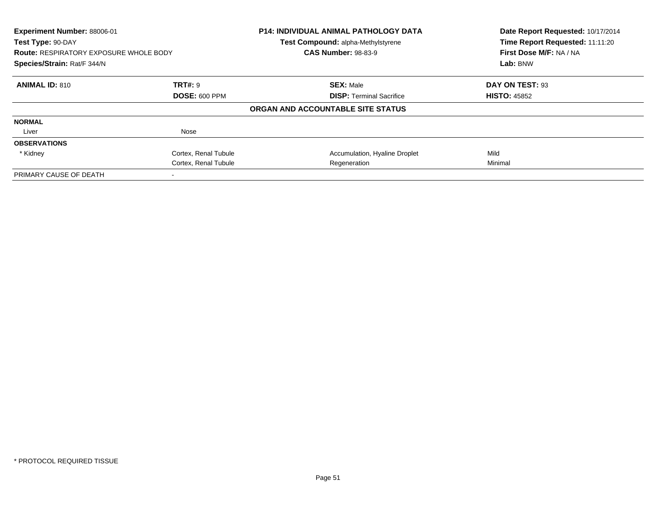| Experiment Number: 88006-01<br>Test Type: 90-DAY |                      | P14: INDIVIDUAL ANIMAL PATHOLOGY DATA<br>Test Compound: alpha-Methylstyrene | Date Report Requested: 10/17/2014<br>Time Report Requested: 11:11:20 |  |
|--------------------------------------------------|----------------------|-----------------------------------------------------------------------------|----------------------------------------------------------------------|--|
| <b>Route: RESPIRATORY EXPOSURE WHOLE BODY</b>    |                      | <b>CAS Number: 98-83-9</b>                                                  | First Dose M/F: NA / NA                                              |  |
| Species/Strain: Rat/F 344/N                      |                      |                                                                             | Lab: BNW                                                             |  |
| <b>ANIMAL ID: 810</b>                            | <b>TRT#: 9</b>       | <b>SEX: Male</b>                                                            | DAY ON TEST: 93                                                      |  |
|                                                  | <b>DOSE: 600 PPM</b> | <b>DISP:</b> Terminal Sacrifice                                             | <b>HISTO: 45852</b>                                                  |  |
|                                                  |                      | ORGAN AND ACCOUNTABLE SITE STATUS                                           |                                                                      |  |
| <b>NORMAL</b>                                    |                      |                                                                             |                                                                      |  |
| Liver                                            | Nose                 |                                                                             |                                                                      |  |
| <b>OBSERVATIONS</b>                              |                      |                                                                             |                                                                      |  |
| * Kidney                                         | Cortex, Renal Tubule | Accumulation, Hyaline Droplet                                               | Mild                                                                 |  |
|                                                  | Cortex, Renal Tubule | Regeneration                                                                | Minimal                                                              |  |
| PRIMARY CAUSE OF DEATH                           |                      |                                                                             |                                                                      |  |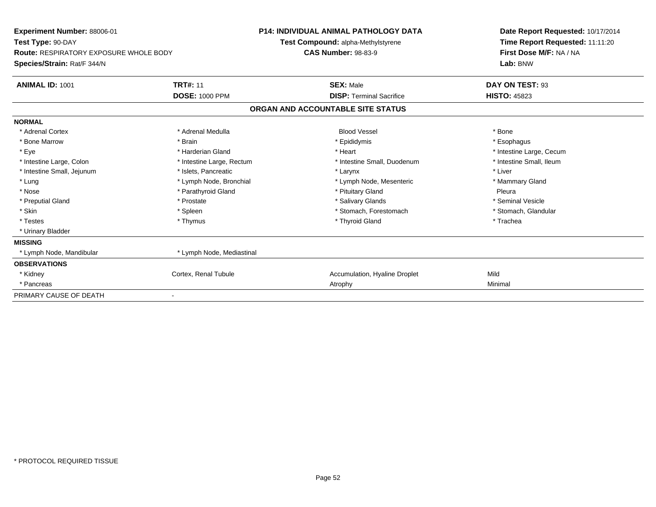| Experiment Number: 88006-01                   |                           | <b>P14: INDIVIDUAL ANIMAL PATHOLOGY DATA</b> | Date Report Requested: 10/17/2014 |  |  |
|-----------------------------------------------|---------------------------|----------------------------------------------|-----------------------------------|--|--|
| Test Type: 90-DAY                             |                           | Test Compound: alpha-Methylstyrene           | Time Report Requested: 11:11:20   |  |  |
| <b>Route: RESPIRATORY EXPOSURE WHOLE BODY</b> |                           | <b>CAS Number: 98-83-9</b>                   | First Dose M/F: NA / NA           |  |  |
| Species/Strain: Rat/F 344/N                   |                           |                                              | Lab: BNW                          |  |  |
| <b>ANIMAL ID: 1001</b>                        | <b>TRT#: 11</b>           | <b>SEX: Male</b>                             | DAY ON TEST: 93                   |  |  |
|                                               | <b>DOSE: 1000 PPM</b>     | <b>DISP: Terminal Sacrifice</b>              | <b>HISTO: 45823</b>               |  |  |
|                                               |                           | ORGAN AND ACCOUNTABLE SITE STATUS            |                                   |  |  |
| <b>NORMAL</b>                                 |                           |                                              |                                   |  |  |
| * Adrenal Cortex                              | * Adrenal Medulla         | <b>Blood Vessel</b>                          | * Bone                            |  |  |
| * Bone Marrow                                 | * Brain                   | * Epididymis                                 | * Esophagus                       |  |  |
| * Eye                                         | * Harderian Gland         | * Heart                                      | * Intestine Large, Cecum          |  |  |
| * Intestine Large, Colon                      | * Intestine Large, Rectum | * Intestine Small, Duodenum                  | * Intestine Small, Ileum          |  |  |
| * Intestine Small, Jejunum                    | * Islets, Pancreatic      | * Larynx                                     | * Liver                           |  |  |
| * Lung                                        | * Lymph Node, Bronchial   | * Lymph Node, Mesenteric                     | * Mammary Gland                   |  |  |
| * Nose                                        | * Parathyroid Gland       | * Pituitary Gland                            | Pleura                            |  |  |
| * Preputial Gland                             | * Prostate                | * Salivary Glands                            | * Seminal Vesicle                 |  |  |
| * Skin                                        | * Spleen                  | * Stomach, Forestomach                       | * Stomach, Glandular              |  |  |
| * Testes                                      | * Thymus                  | * Thyroid Gland                              | * Trachea                         |  |  |
| * Urinary Bladder                             |                           |                                              |                                   |  |  |
| <b>MISSING</b>                                |                           |                                              |                                   |  |  |
| * Lymph Node, Mandibular                      | * Lymph Node, Mediastinal |                                              |                                   |  |  |
| <b>OBSERVATIONS</b>                           |                           |                                              |                                   |  |  |
| * Kidney                                      | Cortex, Renal Tubule      | Accumulation, Hyaline Droplet                | Mild                              |  |  |
| * Pancreas                                    |                           | Atrophy                                      | Minimal                           |  |  |
| PRIMARY CAUSE OF DEATH                        |                           |                                              |                                   |  |  |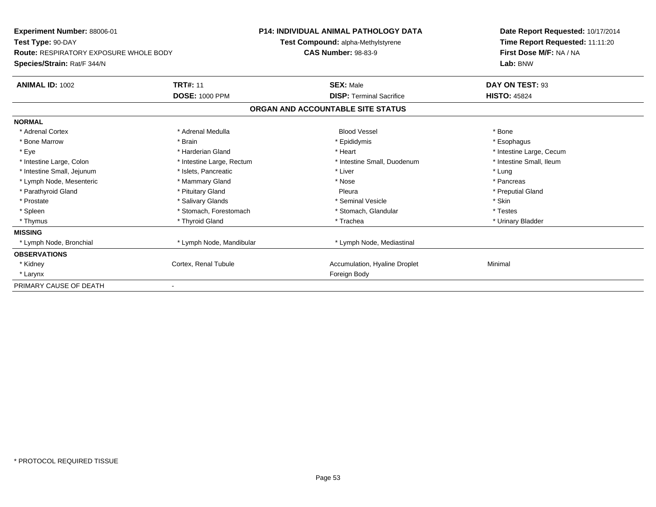| Experiment Number: 88006-01                   |                           | <b>P14: INDIVIDUAL ANIMAL PATHOLOGY DATA</b> | Date Report Requested: 10/17/2014 |  |  |
|-----------------------------------------------|---------------------------|----------------------------------------------|-----------------------------------|--|--|
| Test Type: 90-DAY                             |                           | Test Compound: alpha-Methylstyrene           | Time Report Requested: 11:11:20   |  |  |
| <b>Route: RESPIRATORY EXPOSURE WHOLE BODY</b> |                           | <b>CAS Number: 98-83-9</b>                   | First Dose M/F: NA / NA           |  |  |
| Species/Strain: Rat/F 344/N                   |                           |                                              | Lab: BNW                          |  |  |
| <b>ANIMAL ID: 1002</b>                        | <b>TRT#: 11</b>           | <b>SEX: Male</b>                             | DAY ON TEST: 93                   |  |  |
|                                               | <b>DOSE: 1000 PPM</b>     | <b>DISP: Terminal Sacrifice</b>              | <b>HISTO: 45824</b>               |  |  |
|                                               |                           | ORGAN AND ACCOUNTABLE SITE STATUS            |                                   |  |  |
| <b>NORMAL</b>                                 |                           |                                              |                                   |  |  |
| * Adrenal Cortex                              | * Adrenal Medulla         | <b>Blood Vessel</b>                          | * Bone                            |  |  |
| * Bone Marrow                                 | * Brain                   | * Epididymis                                 | * Esophagus                       |  |  |
| * Eye                                         | * Harderian Gland         | * Heart                                      | * Intestine Large, Cecum          |  |  |
| * Intestine Large, Colon                      | * Intestine Large, Rectum | * Intestine Small, Duodenum                  | * Intestine Small. Ileum          |  |  |
| * Intestine Small, Jejunum                    | * Islets, Pancreatic      | * Liver                                      | * Lung                            |  |  |
| * Lymph Node, Mesenteric                      | * Mammary Gland           | * Nose                                       | * Pancreas                        |  |  |
| * Parathyroid Gland                           | * Pituitary Gland         | Pleura                                       | * Preputial Gland                 |  |  |
| * Prostate                                    | * Salivary Glands         | * Seminal Vesicle                            | * Skin                            |  |  |
| * Spleen                                      | * Stomach. Forestomach    | * Stomach, Glandular                         | * Testes                          |  |  |
| * Thymus                                      | * Thyroid Gland           | * Trachea                                    | * Urinary Bladder                 |  |  |
| <b>MISSING</b>                                |                           |                                              |                                   |  |  |
| * Lymph Node, Bronchial                       | * Lymph Node, Mandibular  | * Lymph Node, Mediastinal                    |                                   |  |  |
| <b>OBSERVATIONS</b>                           |                           |                                              |                                   |  |  |
| * Kidney                                      | Cortex, Renal Tubule      | Accumulation, Hyaline Droplet                | Minimal                           |  |  |
| * Larynx                                      |                           | Foreign Body                                 |                                   |  |  |
| PRIMARY CAUSE OF DEATH                        |                           |                                              |                                   |  |  |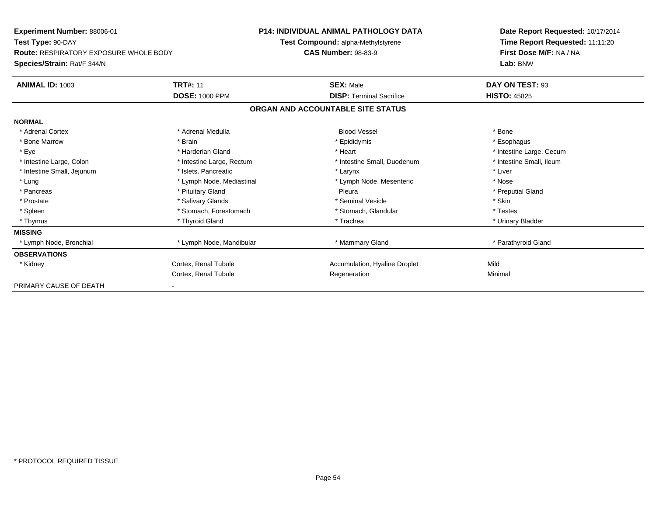| <b>Experiment Number: 88006-01</b>            |                           | <b>P14: INDIVIDUAL ANIMAL PATHOLOGY DATA</b> | Date Report Requested: 10/17/2014 |  |  |
|-----------------------------------------------|---------------------------|----------------------------------------------|-----------------------------------|--|--|
| Test Type: 90-DAY                             |                           | Test Compound: alpha-Methylstyrene           | Time Report Requested: 11:11:20   |  |  |
| <b>Route: RESPIRATORY EXPOSURE WHOLE BODY</b> |                           | <b>CAS Number: 98-83-9</b>                   | First Dose M/F: NA / NA           |  |  |
| Species/Strain: Rat/F 344/N                   |                           |                                              | Lab: BNW                          |  |  |
| <b>ANIMAL ID: 1003</b>                        | <b>TRT#: 11</b>           | <b>SEX: Male</b>                             | DAY ON TEST: 93                   |  |  |
|                                               | <b>DOSE: 1000 PPM</b>     | <b>DISP: Terminal Sacrifice</b>              | <b>HISTO: 45825</b>               |  |  |
|                                               |                           | ORGAN AND ACCOUNTABLE SITE STATUS            |                                   |  |  |
| <b>NORMAL</b>                                 |                           |                                              |                                   |  |  |
| * Adrenal Cortex                              | * Adrenal Medulla         | <b>Blood Vessel</b>                          | * Bone                            |  |  |
| * Bone Marrow                                 | * Brain                   | * Epididymis                                 | * Esophagus                       |  |  |
| * Eye                                         | * Harderian Gland         | * Heart                                      | * Intestine Large, Cecum          |  |  |
| * Intestine Large, Colon                      | * Intestine Large, Rectum | * Intestine Small, Duodenum                  | * Intestine Small, Ileum          |  |  |
| * Intestine Small, Jejunum                    | * Islets, Pancreatic      | * Larynx                                     | * Liver                           |  |  |
| * Lung                                        | * Lymph Node, Mediastinal | * Lymph Node, Mesenteric                     | * Nose                            |  |  |
| * Pancreas                                    | * Pituitary Gland         | Pleura                                       | * Preputial Gland                 |  |  |
| * Prostate                                    | * Salivary Glands         | * Seminal Vesicle                            | * Skin                            |  |  |
| * Spleen                                      | * Stomach, Forestomach    | * Stomach, Glandular                         | * Testes                          |  |  |
| * Thymus                                      | * Thyroid Gland           | * Trachea                                    | * Urinary Bladder                 |  |  |
| <b>MISSING</b>                                |                           |                                              |                                   |  |  |
| * Lymph Node, Bronchial                       | * Lymph Node, Mandibular  | * Mammary Gland                              | * Parathyroid Gland               |  |  |
| <b>OBSERVATIONS</b>                           |                           |                                              |                                   |  |  |
| * Kidney                                      | Cortex, Renal Tubule      | Accumulation, Hyaline Droplet                | Mild                              |  |  |
|                                               | Cortex, Renal Tubule      | Regeneration                                 | Minimal                           |  |  |
| PRIMARY CAUSE OF DEATH                        | ٠                         |                                              |                                   |  |  |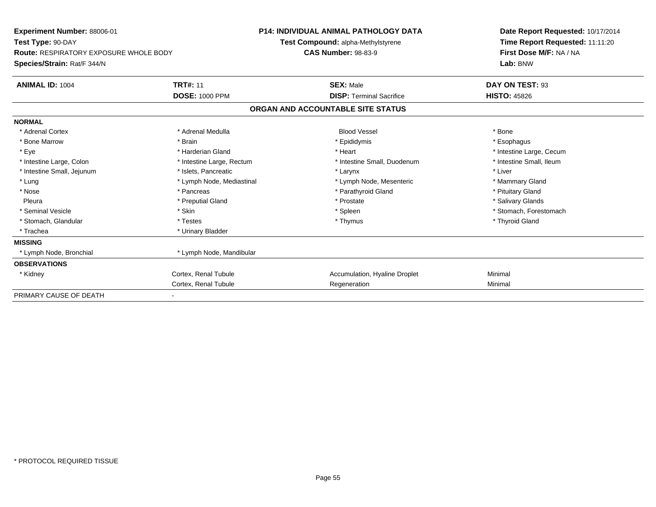| Experiment Number: 88006-01                   |                           | <b>P14: INDIVIDUAL ANIMAL PATHOLOGY DATA</b> |                                   |  | Date Report Requested: 10/17/2014 |  |  |
|-----------------------------------------------|---------------------------|----------------------------------------------|-----------------------------------|--|-----------------------------------|--|--|
| Test Type: 90-DAY                             |                           | Test Compound: alpha-Methylstyrene           |                                   |  | Time Report Requested: 11:11:20   |  |  |
| <b>Route: RESPIRATORY EXPOSURE WHOLE BODY</b> |                           | <b>CAS Number: 98-83-9</b>                   |                                   |  | First Dose M/F: NA / NA           |  |  |
| Species/Strain: Rat/F 344/N                   |                           |                                              |                                   |  | Lab: BNW                          |  |  |
| ANIMAL ID: 1004                               | <b>TRT#: 11</b>           |                                              | <b>SEX: Male</b>                  |  | DAY ON TEST: 93                   |  |  |
|                                               | <b>DOSE: 1000 PPM</b>     |                                              | <b>DISP:</b> Terminal Sacrifice   |  | <b>HISTO: 45826</b>               |  |  |
|                                               |                           |                                              | ORGAN AND ACCOUNTABLE SITE STATUS |  |                                   |  |  |
| <b>NORMAL</b>                                 |                           |                                              |                                   |  |                                   |  |  |
| * Adrenal Cortex                              | * Adrenal Medulla         |                                              | <b>Blood Vessel</b>               |  | * Bone                            |  |  |
| * Bone Marrow                                 | * Brain                   |                                              | * Epididymis                      |  | * Esophagus                       |  |  |
| * Eye                                         | * Harderian Gland         |                                              | * Heart                           |  | * Intestine Large, Cecum          |  |  |
| * Intestine Large, Colon                      | * Intestine Large, Rectum |                                              | * Intestine Small, Duodenum       |  | * Intestine Small, Ileum          |  |  |
| * Intestine Small, Jejunum                    | * Islets, Pancreatic      |                                              | * Larynx                          |  | * Liver                           |  |  |
| * Lung                                        | * Lymph Node, Mediastinal |                                              | * Lymph Node, Mesenteric          |  | * Mammary Gland                   |  |  |
| * Nose                                        | * Pancreas                |                                              | * Parathyroid Gland               |  | * Pituitary Gland                 |  |  |
| Pleura                                        | * Preputial Gland         |                                              | * Prostate                        |  | * Salivary Glands                 |  |  |
| * Seminal Vesicle                             | * Skin                    |                                              | * Spleen                          |  | * Stomach, Forestomach            |  |  |
| * Stomach, Glandular                          | * Testes                  |                                              | * Thymus                          |  | * Thyroid Gland                   |  |  |
| * Trachea                                     | * Urinary Bladder         |                                              |                                   |  |                                   |  |  |
| <b>MISSING</b>                                |                           |                                              |                                   |  |                                   |  |  |
| * Lymph Node, Bronchial                       | * Lymph Node, Mandibular  |                                              |                                   |  |                                   |  |  |
| <b>OBSERVATIONS</b>                           |                           |                                              |                                   |  |                                   |  |  |
| * Kidney                                      | Cortex, Renal Tubule      |                                              | Accumulation, Hyaline Droplet     |  | Minimal                           |  |  |
|                                               | Cortex, Renal Tubule      |                                              | Regeneration                      |  | Minimal                           |  |  |
| PRIMARY CAUSE OF DEATH                        |                           |                                              |                                   |  |                                   |  |  |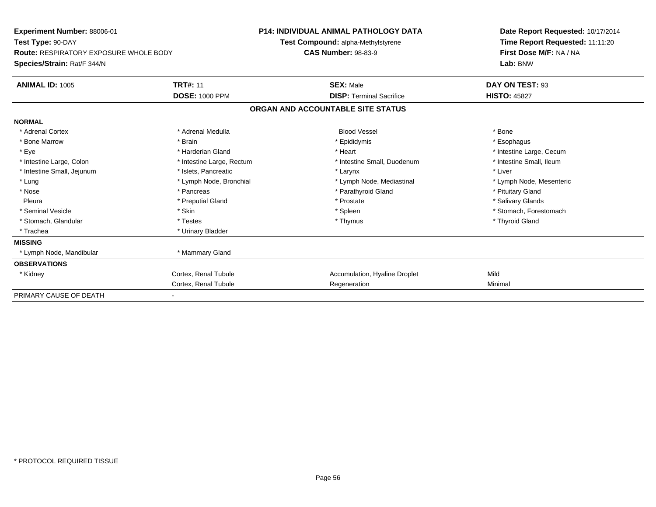| Experiment Number: 88006-01                   |                           | <b>P14: INDIVIDUAL ANIMAL PATHOLOGY DATA</b> |                                    |  | Date Report Requested: 10/17/2014 |  |  |
|-----------------------------------------------|---------------------------|----------------------------------------------|------------------------------------|--|-----------------------------------|--|--|
| Test Type: 90-DAY                             |                           |                                              | Test Compound: alpha-Methylstyrene |  | Time Report Requested: 11:11:20   |  |  |
| <b>Route: RESPIRATORY EXPOSURE WHOLE BODY</b> |                           | <b>CAS Number: 98-83-9</b>                   |                                    |  | First Dose M/F: NA / NA           |  |  |
| Species/Strain: Rat/F 344/N                   |                           |                                              |                                    |  | Lab: BNW                          |  |  |
| <b>ANIMAL ID: 1005</b>                        | <b>TRT#: 11</b>           |                                              | <b>SEX: Male</b>                   |  | DAY ON TEST: 93                   |  |  |
|                                               | <b>DOSE: 1000 PPM</b>     |                                              | <b>DISP: Terminal Sacrifice</b>    |  | <b>HISTO: 45827</b>               |  |  |
|                                               |                           |                                              | ORGAN AND ACCOUNTABLE SITE STATUS  |  |                                   |  |  |
| <b>NORMAL</b>                                 |                           |                                              |                                    |  |                                   |  |  |
| * Adrenal Cortex                              | * Adrenal Medulla         |                                              | <b>Blood Vessel</b>                |  | * Bone                            |  |  |
| * Bone Marrow                                 | * Brain                   |                                              | * Epididymis                       |  | * Esophagus                       |  |  |
| * Eye                                         | * Harderian Gland         |                                              | * Heart                            |  | * Intestine Large, Cecum          |  |  |
| * Intestine Large, Colon                      | * Intestine Large, Rectum |                                              | * Intestine Small, Duodenum        |  | * Intestine Small, Ileum          |  |  |
| * Intestine Small, Jejunum                    | * Islets, Pancreatic      |                                              | * Larynx                           |  | * Liver                           |  |  |
| * Lung                                        | * Lymph Node, Bronchial   |                                              | * Lymph Node, Mediastinal          |  | * Lymph Node, Mesenteric          |  |  |
| * Nose                                        | * Pancreas                |                                              | * Parathyroid Gland                |  | * Pituitary Gland                 |  |  |
| Pleura                                        | * Preputial Gland         |                                              | * Prostate                         |  | * Salivary Glands                 |  |  |
| * Seminal Vesicle                             | * Skin                    |                                              | * Spleen                           |  | * Stomach, Forestomach            |  |  |
| * Stomach, Glandular                          | * Testes                  |                                              | * Thymus                           |  | * Thyroid Gland                   |  |  |
| * Trachea                                     | * Urinary Bladder         |                                              |                                    |  |                                   |  |  |
| <b>MISSING</b>                                |                           |                                              |                                    |  |                                   |  |  |
| * Lymph Node, Mandibular                      | * Mammary Gland           |                                              |                                    |  |                                   |  |  |
| <b>OBSERVATIONS</b>                           |                           |                                              |                                    |  |                                   |  |  |
| * Kidney                                      | Cortex, Renal Tubule      |                                              | Accumulation, Hyaline Droplet      |  | Mild                              |  |  |
|                                               | Cortex, Renal Tubule      |                                              | Regeneration                       |  | Minimal                           |  |  |
| PRIMARY CAUSE OF DEATH                        |                           |                                              |                                    |  |                                   |  |  |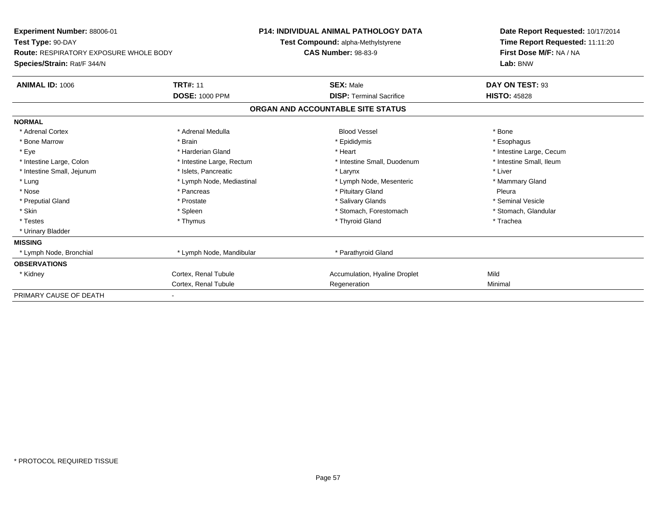| Experiment Number: 88006-01                   |                           | <b>P14: INDIVIDUAL ANIMAL PATHOLOGY DATA</b> |                                   |  | Date Report Requested: 10/17/2014 |  |  |
|-----------------------------------------------|---------------------------|----------------------------------------------|-----------------------------------|--|-----------------------------------|--|--|
| Test Type: 90-DAY                             |                           | Test Compound: alpha-Methylstyrene           |                                   |  | Time Report Requested: 11:11:20   |  |  |
| <b>Route: RESPIRATORY EXPOSURE WHOLE BODY</b> |                           | <b>CAS Number: 98-83-9</b>                   |                                   |  | First Dose M/F: NA / NA           |  |  |
| Species/Strain: Rat/F 344/N                   |                           |                                              |                                   |  | Lab: BNW                          |  |  |
| <b>ANIMAL ID: 1006</b>                        | <b>TRT#: 11</b>           |                                              | <b>SEX: Male</b>                  |  | DAY ON TEST: 93                   |  |  |
|                                               | <b>DOSE: 1000 PPM</b>     |                                              | <b>DISP: Terminal Sacrifice</b>   |  | <b>HISTO: 45828</b>               |  |  |
|                                               |                           |                                              | ORGAN AND ACCOUNTABLE SITE STATUS |  |                                   |  |  |
| <b>NORMAL</b>                                 |                           |                                              |                                   |  |                                   |  |  |
| * Adrenal Cortex                              | * Adrenal Medulla         |                                              | <b>Blood Vessel</b>               |  | * Bone                            |  |  |
| * Bone Marrow                                 | * Brain                   |                                              | * Epididymis                      |  | * Esophagus                       |  |  |
| * Eye                                         | * Harderian Gland         |                                              | * Heart                           |  | * Intestine Large, Cecum          |  |  |
| * Intestine Large, Colon                      | * Intestine Large, Rectum |                                              | * Intestine Small, Duodenum       |  | * Intestine Small, Ileum          |  |  |
| * Intestine Small, Jejunum                    | * Islets, Pancreatic      |                                              | * Larynx                          |  | * Liver                           |  |  |
| * Lung                                        | * Lymph Node, Mediastinal |                                              | * Lymph Node, Mesenteric          |  | * Mammary Gland                   |  |  |
| * Nose                                        | * Pancreas                |                                              | * Pituitary Gland                 |  | Pleura                            |  |  |
| * Preputial Gland                             | * Prostate                |                                              | * Salivary Glands                 |  | * Seminal Vesicle                 |  |  |
| * Skin                                        | * Spleen                  |                                              | * Stomach, Forestomach            |  | * Stomach, Glandular              |  |  |
| * Testes                                      | * Thymus                  |                                              | * Thyroid Gland                   |  | * Trachea                         |  |  |
| * Urinary Bladder                             |                           |                                              |                                   |  |                                   |  |  |
| <b>MISSING</b>                                |                           |                                              |                                   |  |                                   |  |  |
| * Lymph Node, Bronchial                       | * Lymph Node, Mandibular  |                                              | * Parathyroid Gland               |  |                                   |  |  |
| <b>OBSERVATIONS</b>                           |                           |                                              |                                   |  |                                   |  |  |
| * Kidney                                      | Cortex, Renal Tubule      |                                              | Accumulation, Hyaline Droplet     |  | Mild                              |  |  |
|                                               | Cortex, Renal Tubule      |                                              | Regeneration                      |  | Minimal                           |  |  |
| PRIMARY CAUSE OF DEATH                        |                           |                                              |                                   |  |                                   |  |  |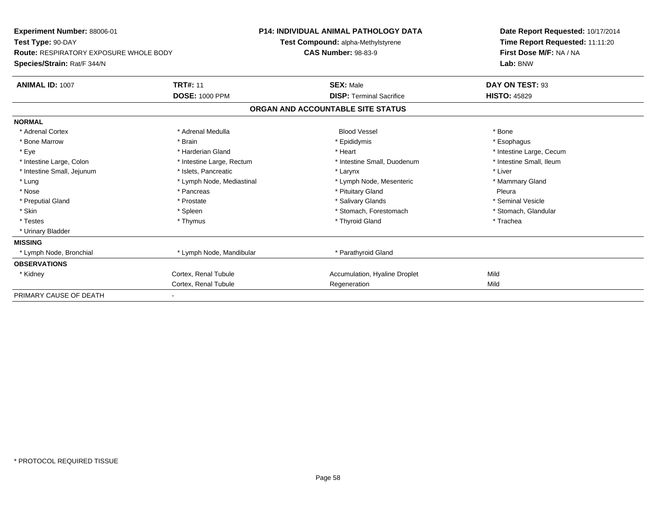| <b>Experiment Number: 88006-01</b>            |                           | P14: INDIVIDUAL ANIMAL PATHOLOGY DATA | Date Report Requested: 10/17/2014 |  |  |
|-----------------------------------------------|---------------------------|---------------------------------------|-----------------------------------|--|--|
| Test Type: 90-DAY                             |                           | Test Compound: alpha-Methylstyrene    | Time Report Requested: 11:11:20   |  |  |
| <b>Route: RESPIRATORY EXPOSURE WHOLE BODY</b> |                           | <b>CAS Number: 98-83-9</b>            | First Dose M/F: NA / NA           |  |  |
| Species/Strain: Rat/F 344/N                   |                           |                                       | Lab: BNW                          |  |  |
| <b>ANIMAL ID: 1007</b>                        | <b>TRT#: 11</b>           | <b>SEX: Male</b>                      | DAY ON TEST: 93                   |  |  |
|                                               | <b>DOSE: 1000 PPM</b>     | <b>DISP: Terminal Sacrifice</b>       | <b>HISTO: 45829</b>               |  |  |
|                                               |                           | ORGAN AND ACCOUNTABLE SITE STATUS     |                                   |  |  |
| <b>NORMAL</b>                                 |                           |                                       |                                   |  |  |
| * Adrenal Cortex                              | * Adrenal Medulla         | <b>Blood Vessel</b>                   | * Bone                            |  |  |
| * Bone Marrow                                 | * Brain                   | * Epididymis                          | * Esophagus                       |  |  |
| * Eye                                         | * Harderian Gland         | * Heart                               | * Intestine Large, Cecum          |  |  |
| * Intestine Large, Colon                      | * Intestine Large, Rectum | * Intestine Small, Duodenum           | * Intestine Small. Ileum          |  |  |
| * Intestine Small, Jejunum                    | * Islets, Pancreatic      | * Larynx                              | * Liver                           |  |  |
| * Lung                                        | * Lymph Node, Mediastinal | * Lymph Node, Mesenteric              | * Mammary Gland                   |  |  |
| * Nose                                        | * Pancreas                | * Pituitary Gland                     | Pleura                            |  |  |
| * Preputial Gland                             | * Prostate                | * Salivary Glands                     | * Seminal Vesicle                 |  |  |
| * Skin                                        | * Spleen                  | * Stomach, Forestomach                | * Stomach, Glandular              |  |  |
| * Testes                                      | * Thymus                  | * Thyroid Gland                       | * Trachea                         |  |  |
| * Urinary Bladder                             |                           |                                       |                                   |  |  |
| <b>MISSING</b>                                |                           |                                       |                                   |  |  |
| * Lymph Node, Bronchial                       | * Lymph Node, Mandibular  | * Parathyroid Gland                   |                                   |  |  |
| <b>OBSERVATIONS</b>                           |                           |                                       |                                   |  |  |
| * Kidney                                      | Cortex, Renal Tubule      | Accumulation, Hyaline Droplet         | Mild                              |  |  |
|                                               | Cortex, Renal Tubule      | Regeneration                          | Mild                              |  |  |
| PRIMARY CAUSE OF DEATH                        |                           |                                       |                                   |  |  |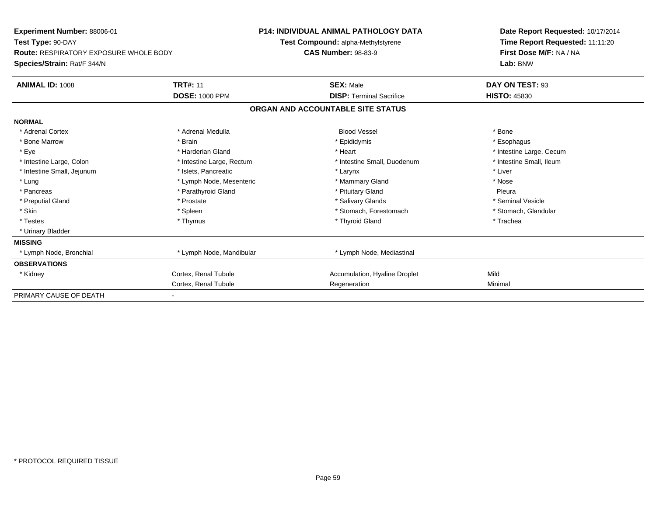| Experiment Number: 88006-01                   |                           | <b>P14: INDIVIDUAL ANIMAL PATHOLOGY DATA</b> | Date Report Requested: 10/17/2014 |  |  |
|-----------------------------------------------|---------------------------|----------------------------------------------|-----------------------------------|--|--|
| Test Type: 90-DAY                             |                           | Test Compound: alpha-Methylstyrene           | Time Report Requested: 11:11:20   |  |  |
| <b>Route: RESPIRATORY EXPOSURE WHOLE BODY</b> |                           | <b>CAS Number: 98-83-9</b>                   | First Dose M/F: NA / NA           |  |  |
| Species/Strain: Rat/F 344/N                   |                           |                                              | Lab: BNW                          |  |  |
| <b>ANIMAL ID: 1008</b>                        | <b>TRT#: 11</b>           | <b>SEX: Male</b>                             | DAY ON TEST: 93                   |  |  |
|                                               | <b>DOSE: 1000 PPM</b>     | <b>DISP: Terminal Sacrifice</b>              | <b>HISTO: 45830</b>               |  |  |
|                                               |                           | ORGAN AND ACCOUNTABLE SITE STATUS            |                                   |  |  |
| <b>NORMAL</b>                                 |                           |                                              |                                   |  |  |
| * Adrenal Cortex                              | * Adrenal Medulla         | <b>Blood Vessel</b>                          | * Bone                            |  |  |
| * Bone Marrow                                 | * Brain                   | * Epididymis                                 | * Esophagus                       |  |  |
| * Eye                                         | * Harderian Gland         | * Heart                                      | * Intestine Large, Cecum          |  |  |
| * Intestine Large, Colon                      | * Intestine Large, Rectum | * Intestine Small, Duodenum                  | * Intestine Small, Ileum          |  |  |
| * Intestine Small, Jejunum                    | * Islets, Pancreatic      | * Larynx                                     | * Liver                           |  |  |
| * Lung                                        | * Lymph Node, Mesenteric  | * Mammary Gland                              | * Nose                            |  |  |
| * Pancreas                                    | * Parathyroid Gland       | * Pituitary Gland                            | Pleura                            |  |  |
| * Preputial Gland                             | * Prostate                | * Salivary Glands                            | * Seminal Vesicle                 |  |  |
| * Skin                                        | * Spleen                  | * Stomach. Forestomach                       | * Stomach, Glandular              |  |  |
| * Testes                                      | * Thymus                  | * Thyroid Gland                              | * Trachea                         |  |  |
| * Urinary Bladder                             |                           |                                              |                                   |  |  |
| <b>MISSING</b>                                |                           |                                              |                                   |  |  |
| * Lymph Node, Bronchial                       | * Lymph Node, Mandibular  | * Lymph Node, Mediastinal                    |                                   |  |  |
| <b>OBSERVATIONS</b>                           |                           |                                              |                                   |  |  |
| * Kidney                                      | Cortex, Renal Tubule      | Accumulation, Hyaline Droplet                | Mild                              |  |  |
|                                               | Cortex, Renal Tubule      | Regeneration                                 | Minimal                           |  |  |
| PRIMARY CAUSE OF DEATH                        |                           |                                              |                                   |  |  |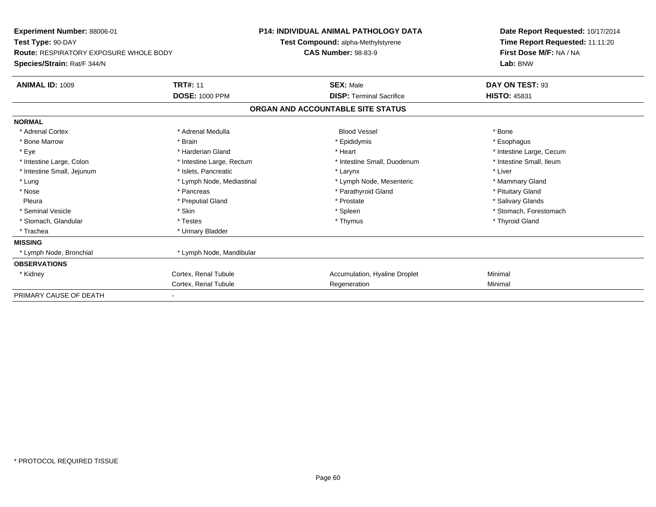| Experiment Number: 88006-01<br>Test Type: 90-DAY<br><b>Route: RESPIRATORY EXPOSURE WHOLE BODY</b> |                           | <b>P14: INDIVIDUAL ANIMAL PATHOLOGY DATA</b><br>Test Compound: alpha-Methylstyrene |                                   |  | Date Report Requested: 10/17/2014                          |  |  |
|---------------------------------------------------------------------------------------------------|---------------------------|------------------------------------------------------------------------------------|-----------------------------------|--|------------------------------------------------------------|--|--|
|                                                                                                   |                           | <b>CAS Number: 98-83-9</b>                                                         |                                   |  | Time Report Requested: 11:11:20<br>First Dose M/F: NA / NA |  |  |
| Species/Strain: Rat/F 344/N                                                                       |                           |                                                                                    |                                   |  | Lab: BNW                                                   |  |  |
| <b>ANIMAL ID: 1009</b>                                                                            | <b>TRT#: 11</b>           |                                                                                    | <b>SEX: Male</b>                  |  | DAY ON TEST: 93                                            |  |  |
|                                                                                                   | <b>DOSE: 1000 PPM</b>     |                                                                                    | <b>DISP: Terminal Sacrifice</b>   |  | <b>HISTO: 45831</b>                                        |  |  |
|                                                                                                   |                           |                                                                                    | ORGAN AND ACCOUNTABLE SITE STATUS |  |                                                            |  |  |
| <b>NORMAL</b>                                                                                     |                           |                                                                                    |                                   |  |                                                            |  |  |
| * Adrenal Cortex                                                                                  | * Adrenal Medulla         |                                                                                    | <b>Blood Vessel</b>               |  | * Bone                                                     |  |  |
| * Bone Marrow                                                                                     | * Brain                   |                                                                                    | * Epididymis                      |  | * Esophagus                                                |  |  |
| * Eye                                                                                             | * Harderian Gland         |                                                                                    | * Heart                           |  | * Intestine Large, Cecum                                   |  |  |
| * Intestine Large, Colon                                                                          | * Intestine Large, Rectum |                                                                                    | * Intestine Small, Duodenum       |  | * Intestine Small, Ileum                                   |  |  |
| * Intestine Small, Jejunum                                                                        | * Islets, Pancreatic      |                                                                                    | * Larynx                          |  | * Liver                                                    |  |  |
| * Lung                                                                                            | * Lymph Node, Mediastinal |                                                                                    | * Lymph Node, Mesenteric          |  | * Mammary Gland                                            |  |  |
| * Nose                                                                                            | * Pancreas                |                                                                                    | * Parathyroid Gland               |  | * Pituitary Gland                                          |  |  |
| Pleura                                                                                            | * Preputial Gland         |                                                                                    | * Prostate                        |  | * Salivary Glands                                          |  |  |
| * Seminal Vesicle                                                                                 | * Skin                    |                                                                                    | * Spleen                          |  | * Stomach, Forestomach                                     |  |  |
| * Stomach, Glandular                                                                              | * Testes                  |                                                                                    | * Thymus                          |  | * Thyroid Gland                                            |  |  |
| * Trachea                                                                                         | * Urinary Bladder         |                                                                                    |                                   |  |                                                            |  |  |
| <b>MISSING</b>                                                                                    |                           |                                                                                    |                                   |  |                                                            |  |  |
| * Lymph Node, Bronchial                                                                           | * Lymph Node, Mandibular  |                                                                                    |                                   |  |                                                            |  |  |
| <b>OBSERVATIONS</b>                                                                               |                           |                                                                                    |                                   |  |                                                            |  |  |
| * Kidney                                                                                          | Cortex, Renal Tubule      |                                                                                    | Accumulation, Hyaline Droplet     |  | Minimal                                                    |  |  |
|                                                                                                   | Cortex, Renal Tubule      |                                                                                    | Regeneration                      |  | Minimal                                                    |  |  |
| PRIMARY CAUSE OF DEATH                                                                            |                           |                                                                                    |                                   |  |                                                            |  |  |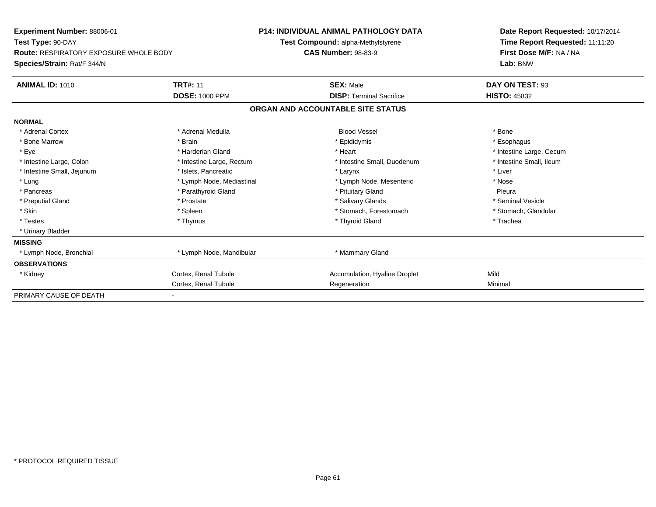| Experiment Number: 88006-01                   |                           | <b>P14: INDIVIDUAL ANIMAL PATHOLOGY DATA</b> |                                    |  | Date Report Requested: 10/17/2014 |  |
|-----------------------------------------------|---------------------------|----------------------------------------------|------------------------------------|--|-----------------------------------|--|
| Test Type: 90-DAY                             |                           |                                              | Test Compound: alpha-Methylstyrene |  | Time Report Requested: 11:11:20   |  |
| <b>Route: RESPIRATORY EXPOSURE WHOLE BODY</b> |                           | <b>CAS Number: 98-83-9</b>                   |                                    |  | First Dose M/F: NA / NA           |  |
| Species/Strain: Rat/F 344/N                   |                           |                                              |                                    |  | Lab: BNW                          |  |
| <b>ANIMAL ID: 1010</b>                        | <b>TRT#: 11</b>           |                                              | <b>SEX: Male</b>                   |  | DAY ON TEST: 93                   |  |
|                                               | <b>DOSE: 1000 PPM</b>     |                                              | <b>DISP: Terminal Sacrifice</b>    |  | <b>HISTO: 45832</b>               |  |
|                                               |                           | ORGAN AND ACCOUNTABLE SITE STATUS            |                                    |  |                                   |  |
| <b>NORMAL</b>                                 |                           |                                              |                                    |  |                                   |  |
| * Adrenal Cortex                              | * Adrenal Medulla         |                                              | <b>Blood Vessel</b>                |  | * Bone                            |  |
| * Bone Marrow                                 | * Brain                   |                                              | * Epididymis                       |  | * Esophagus                       |  |
| * Eye                                         | * Harderian Gland         |                                              | * Heart                            |  | * Intestine Large, Cecum          |  |
| * Intestine Large, Colon                      | * Intestine Large, Rectum |                                              | * Intestine Small, Duodenum        |  | * Intestine Small, Ileum          |  |
| * Intestine Small, Jejunum                    | * Islets, Pancreatic      |                                              | * Larynx                           |  | * Liver                           |  |
| * Lung                                        | * Lymph Node, Mediastinal |                                              | * Lymph Node, Mesenteric           |  | * Nose                            |  |
| * Pancreas                                    | * Parathyroid Gland       |                                              | * Pituitary Gland                  |  | Pleura                            |  |
| * Preputial Gland                             | * Prostate                |                                              | * Salivary Glands                  |  | * Seminal Vesicle                 |  |
| * Skin                                        | * Spleen                  |                                              | * Stomach, Forestomach             |  | * Stomach, Glandular              |  |
| * Testes                                      | * Thymus                  |                                              | * Thyroid Gland                    |  | * Trachea                         |  |
| * Urinary Bladder                             |                           |                                              |                                    |  |                                   |  |
| <b>MISSING</b>                                |                           |                                              |                                    |  |                                   |  |
| * Lymph Node, Bronchial                       | * Lymph Node, Mandibular  |                                              | * Mammary Gland                    |  |                                   |  |
| <b>OBSERVATIONS</b>                           |                           |                                              |                                    |  |                                   |  |
| * Kidney                                      | Cortex, Renal Tubule      |                                              | Accumulation, Hyaline Droplet      |  | Mild                              |  |
|                                               | Cortex, Renal Tubule      |                                              | Regeneration                       |  | Minimal                           |  |
| PRIMARY CAUSE OF DEATH                        |                           |                                              |                                    |  |                                   |  |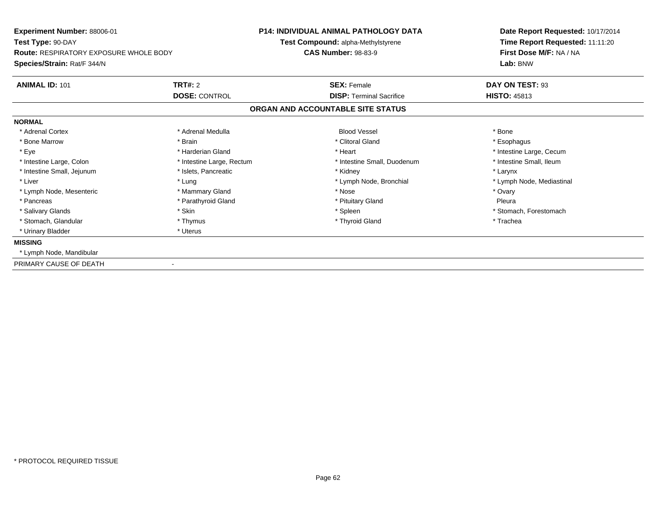| Experiment Number: 88006-01<br>Test Type: 90-DAY |                           | <b>P14: INDIVIDUAL ANIMAL PATHOLOGY DATA</b> | Date Report Requested: 10/17/2014<br>Time Report Requested: 11:11:20 |
|--------------------------------------------------|---------------------------|----------------------------------------------|----------------------------------------------------------------------|
|                                                  |                           | Test Compound: alpha-Methylstyrene           |                                                                      |
| <b>Route: RESPIRATORY EXPOSURE WHOLE BODY</b>    |                           | <b>CAS Number: 98-83-9</b>                   | First Dose M/F: NA / NA                                              |
| Species/Strain: Rat/F 344/N                      |                           |                                              | Lab: BNW                                                             |
| <b>ANIMAL ID: 101</b>                            | <b>TRT#: 2</b>            | <b>SEX: Female</b>                           | DAY ON TEST: 93                                                      |
|                                                  | <b>DOSE: CONTROL</b>      | <b>DISP:</b> Terminal Sacrifice              | <b>HISTO: 45813</b>                                                  |
|                                                  |                           | ORGAN AND ACCOUNTABLE SITE STATUS            |                                                                      |
| <b>NORMAL</b>                                    |                           |                                              |                                                                      |
| * Adrenal Cortex                                 | * Adrenal Medulla         | <b>Blood Vessel</b>                          | * Bone                                                               |
| * Bone Marrow                                    | * Brain                   | * Clitoral Gland                             | * Esophagus                                                          |
| * Eye                                            | * Harderian Gland         | * Heart                                      | * Intestine Large, Cecum                                             |
| * Intestine Large, Colon                         | * Intestine Large, Rectum | * Intestine Small, Duodenum                  | * Intestine Small. Ileum                                             |
| * Intestine Small, Jejunum                       | * Islets, Pancreatic      | * Kidney                                     | * Larynx                                                             |
| * Liver                                          | * Lung                    | * Lymph Node, Bronchial                      | * Lymph Node, Mediastinal                                            |
| * Lymph Node, Mesenteric                         | * Mammary Gland           | * Nose                                       | * Ovary                                                              |
| * Pancreas                                       | * Parathyroid Gland       | * Pituitary Gland                            | Pleura                                                               |
| * Salivary Glands                                | * Skin                    | * Spleen                                     | * Stomach, Forestomach                                               |
| * Stomach, Glandular                             | * Thymus                  | * Thyroid Gland                              | * Trachea                                                            |
| * Urinary Bladder                                | * Uterus                  |                                              |                                                                      |
| <b>MISSING</b>                                   |                           |                                              |                                                                      |
| * Lymph Node, Mandibular                         |                           |                                              |                                                                      |
| PRIMARY CAUSE OF DEATH                           |                           |                                              |                                                                      |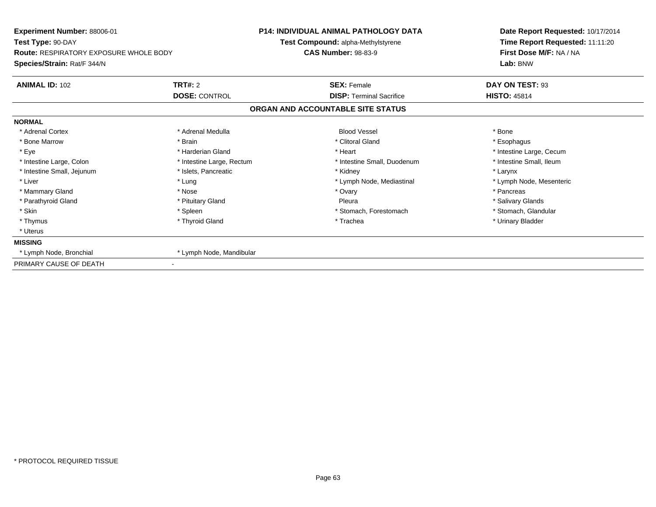| Experiment Number: 88006-01<br>Test Type: 90-DAY<br><b>Route: RESPIRATORY EXPOSURE WHOLE BODY</b> |                           | <b>P14: INDIVIDUAL ANIMAL PATHOLOGY DATA</b> | Date Report Requested: 10/17/2014                          |  |
|---------------------------------------------------------------------------------------------------|---------------------------|----------------------------------------------|------------------------------------------------------------|--|
|                                                                                                   |                           | Test Compound: alpha-Methylstyrene           | Time Report Requested: 11:11:20<br>First Dose M/F: NA / NA |  |
|                                                                                                   |                           | <b>CAS Number: 98-83-9</b>                   |                                                            |  |
| Species/Strain: Rat/F 344/N                                                                       |                           |                                              | Lab: BNW                                                   |  |
| <b>ANIMAL ID: 102</b>                                                                             | <b>TRT#: 2</b>            | <b>SEX: Female</b>                           | DAY ON TEST: 93                                            |  |
|                                                                                                   | <b>DOSE: CONTROL</b>      | <b>DISP: Terminal Sacrifice</b>              | <b>HISTO: 45814</b>                                        |  |
|                                                                                                   |                           | ORGAN AND ACCOUNTABLE SITE STATUS            |                                                            |  |
| <b>NORMAL</b>                                                                                     |                           |                                              |                                                            |  |
| * Adrenal Cortex                                                                                  | * Adrenal Medulla         | <b>Blood Vessel</b>                          | * Bone                                                     |  |
| * Bone Marrow                                                                                     | * Brain                   | * Clitoral Gland                             | * Esophagus                                                |  |
| * Eye                                                                                             | * Harderian Gland         | * Heart                                      | * Intestine Large, Cecum                                   |  |
| * Intestine Large, Colon                                                                          | * Intestine Large, Rectum | * Intestine Small, Duodenum                  | * Intestine Small. Ileum                                   |  |
| * Intestine Small, Jejunum                                                                        | * Islets, Pancreatic      | * Kidney                                     | * Larynx                                                   |  |
| * Liver                                                                                           | * Lung                    | * Lymph Node, Mediastinal                    | * Lymph Node, Mesenteric                                   |  |
| * Mammary Gland                                                                                   | * Nose                    | * Ovary                                      | * Pancreas                                                 |  |
| * Parathyroid Gland                                                                               | * Pituitary Gland         | Pleura                                       | * Salivary Glands                                          |  |
| * Skin                                                                                            | * Spleen                  | * Stomach, Forestomach                       | * Stomach, Glandular                                       |  |
| * Thymus                                                                                          | * Thyroid Gland           | * Trachea                                    | * Urinary Bladder                                          |  |
| * Uterus                                                                                          |                           |                                              |                                                            |  |
| <b>MISSING</b>                                                                                    |                           |                                              |                                                            |  |
| * Lymph Node, Bronchial                                                                           | * Lymph Node, Mandibular  |                                              |                                                            |  |
| PRIMARY CAUSE OF DEATH                                                                            |                           |                                              |                                                            |  |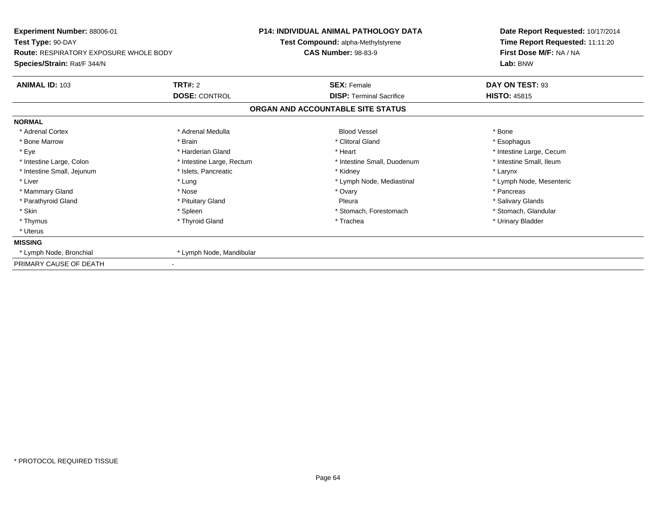| Experiment Number: 88006-01<br>Test Type: 90-DAY |                           | <b>P14: INDIVIDUAL ANIMAL PATHOLOGY DATA</b> | Date Report Requested: 10/17/2014<br>Time Report Requested: 11:11:20 |  |
|--------------------------------------------------|---------------------------|----------------------------------------------|----------------------------------------------------------------------|--|
|                                                  |                           | Test Compound: alpha-Methylstyrene           |                                                                      |  |
| <b>Route: RESPIRATORY EXPOSURE WHOLE BODY</b>    |                           | <b>CAS Number: 98-83-9</b>                   | First Dose M/F: NA / NA                                              |  |
| Species/Strain: Rat/F 344/N                      |                           |                                              | Lab: BNW                                                             |  |
| <b>ANIMAL ID: 103</b>                            | <b>TRT#: 2</b>            | <b>SEX: Female</b>                           | DAY ON TEST: 93                                                      |  |
|                                                  | <b>DOSE: CONTROL</b>      | <b>DISP: Terminal Sacrifice</b>              | <b>HISTO: 45815</b>                                                  |  |
|                                                  |                           | ORGAN AND ACCOUNTABLE SITE STATUS            |                                                                      |  |
| <b>NORMAL</b>                                    |                           |                                              |                                                                      |  |
| * Adrenal Cortex                                 | * Adrenal Medulla         | <b>Blood Vessel</b>                          | * Bone                                                               |  |
| * Bone Marrow                                    | * Brain                   | * Clitoral Gland                             | * Esophagus                                                          |  |
| * Eye                                            | * Harderian Gland         | * Heart                                      | * Intestine Large, Cecum                                             |  |
| * Intestine Large, Colon                         | * Intestine Large, Rectum | * Intestine Small, Duodenum                  | * Intestine Small, Ileum                                             |  |
| * Intestine Small, Jejunum                       | * Islets, Pancreatic      | * Kidney                                     | * Larynx                                                             |  |
| * Liver                                          | * Lung                    | * Lymph Node, Mediastinal                    | * Lymph Node, Mesenteric                                             |  |
| * Mammary Gland                                  | * Nose                    | * Ovary                                      | * Pancreas                                                           |  |
| * Parathyroid Gland                              | * Pituitary Gland         | Pleura                                       | * Salivary Glands                                                    |  |
| * Skin                                           | * Spleen                  | * Stomach, Forestomach                       | * Stomach, Glandular                                                 |  |
| * Thymus                                         | * Thyroid Gland           | * Trachea                                    | * Urinary Bladder                                                    |  |
| * Uterus                                         |                           |                                              |                                                                      |  |
| <b>MISSING</b>                                   |                           |                                              |                                                                      |  |
| * Lymph Node, Bronchial                          | * Lymph Node, Mandibular  |                                              |                                                                      |  |
| PRIMARY CAUSE OF DEATH                           |                           |                                              |                                                                      |  |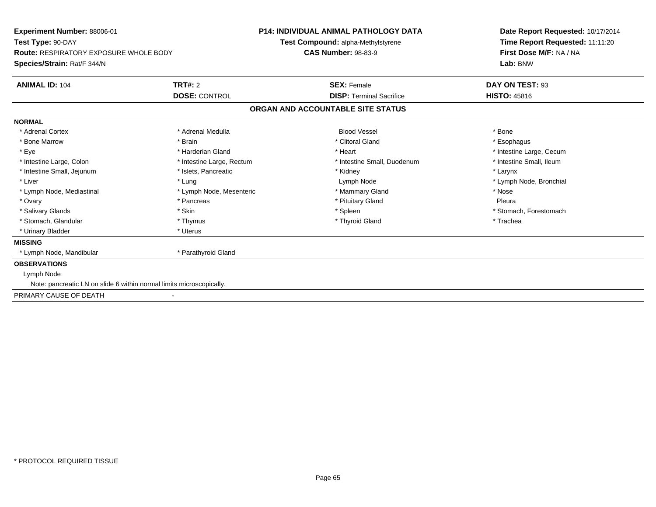| Experiment Number: 88006-01                                          |                           | <b>P14: INDIVIDUAL ANIMAL PATHOLOGY DATA</b> | Date Report Requested: 10/17/2014 |  |
|----------------------------------------------------------------------|---------------------------|----------------------------------------------|-----------------------------------|--|
| Test Type: 90-DAY                                                    |                           | Test Compound: alpha-Methylstyrene           | Time Report Requested: 11:11:20   |  |
| <b>Route: RESPIRATORY EXPOSURE WHOLE BODY</b>                        |                           | <b>CAS Number: 98-83-9</b>                   | First Dose M/F: NA / NA           |  |
| Species/Strain: Rat/F 344/N                                          |                           |                                              | Lab: BNW                          |  |
| <b>ANIMAL ID: 104</b>                                                | TRT#: 2                   | <b>SEX: Female</b>                           | DAY ON TEST: 93                   |  |
|                                                                      | <b>DOSE: CONTROL</b>      | <b>DISP: Terminal Sacrifice</b>              | <b>HISTO: 45816</b>               |  |
|                                                                      |                           | ORGAN AND ACCOUNTABLE SITE STATUS            |                                   |  |
| <b>NORMAL</b>                                                        |                           |                                              |                                   |  |
| * Adrenal Cortex                                                     | * Adrenal Medulla         | <b>Blood Vessel</b>                          | * Bone                            |  |
| * Bone Marrow                                                        | * Brain                   | * Clitoral Gland                             | * Esophagus                       |  |
| * Eye                                                                | * Harderian Gland         | * Heart                                      | * Intestine Large, Cecum          |  |
| * Intestine Large, Colon                                             | * Intestine Large, Rectum | * Intestine Small, Duodenum                  | * Intestine Small, Ileum          |  |
| * Intestine Small, Jejunum                                           | * Islets, Pancreatic      | * Kidney                                     | * Larynx                          |  |
| * Liver                                                              | * Lung                    | Lymph Node                                   | * Lymph Node, Bronchial           |  |
| * Lymph Node, Mediastinal                                            | * Lymph Node, Mesenteric  | * Mammary Gland                              | * Nose                            |  |
| * Ovary                                                              | * Pancreas                | * Pituitary Gland                            | Pleura                            |  |
| * Salivary Glands                                                    | * Skin                    | * Spleen                                     | * Stomach, Forestomach            |  |
| * Stomach, Glandular                                                 | * Thymus                  | * Thyroid Gland                              | * Trachea                         |  |
| * Urinary Bladder                                                    | * Uterus                  |                                              |                                   |  |
| <b>MISSING</b>                                                       |                           |                                              |                                   |  |
| * Lymph Node, Mandibular                                             | * Parathyroid Gland       |                                              |                                   |  |
| <b>OBSERVATIONS</b>                                                  |                           |                                              |                                   |  |
| Lymph Node                                                           |                           |                                              |                                   |  |
| Note: pancreatic LN on slide 6 within normal limits microscopically. |                           |                                              |                                   |  |
| PRIMARY CAUSE OF DEATH                                               |                           |                                              |                                   |  |
|                                                                      |                           |                                              |                                   |  |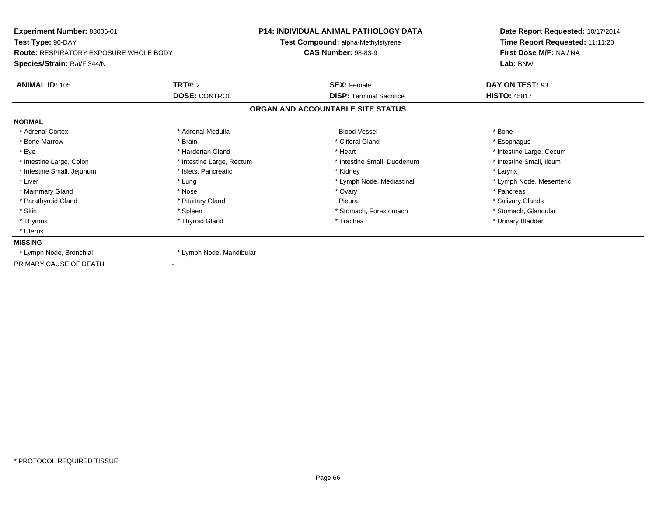| Experiment Number: 88006-01<br>Test Type: 90-DAY<br><b>Route: RESPIRATORY EXPOSURE WHOLE BODY</b> |                           | <b>P14: INDIVIDUAL ANIMAL PATHOLOGY DATA</b> | Date Report Requested: 10/17/2014<br>Time Report Requested: 11:11:20<br>First Dose M/F: NA / NA |
|---------------------------------------------------------------------------------------------------|---------------------------|----------------------------------------------|-------------------------------------------------------------------------------------------------|
|                                                                                                   |                           | Test Compound: alpha-Methylstyrene           |                                                                                                 |
|                                                                                                   |                           | <b>CAS Number: 98-83-9</b>                   |                                                                                                 |
| Species/Strain: Rat/F 344/N                                                                       |                           |                                              | Lab: BNW                                                                                        |
| <b>ANIMAL ID: 105</b>                                                                             | <b>TRT#: 2</b>            | <b>SEX: Female</b>                           | DAY ON TEST: 93                                                                                 |
|                                                                                                   | <b>DOSE: CONTROL</b>      | <b>DISP: Terminal Sacrifice</b>              | <b>HISTO: 45817</b>                                                                             |
|                                                                                                   |                           | ORGAN AND ACCOUNTABLE SITE STATUS            |                                                                                                 |
| <b>NORMAL</b>                                                                                     |                           |                                              |                                                                                                 |
| * Adrenal Cortex                                                                                  | * Adrenal Medulla         | <b>Blood Vessel</b>                          | * Bone                                                                                          |
| * Bone Marrow                                                                                     | * Brain                   | * Clitoral Gland                             | * Esophagus                                                                                     |
| * Eye                                                                                             | * Harderian Gland         | * Heart                                      | * Intestine Large, Cecum                                                                        |
| * Intestine Large, Colon                                                                          | * Intestine Large, Rectum | * Intestine Small, Duodenum                  | * Intestine Small. Ileum                                                                        |
| * Intestine Small, Jejunum                                                                        | * Islets, Pancreatic      | * Kidney                                     | * Larynx                                                                                        |
| * Liver                                                                                           | * Lung                    | * Lymph Node, Mediastinal                    | * Lymph Node, Mesenteric                                                                        |
| * Mammary Gland                                                                                   | * Nose                    | * Ovary                                      | * Pancreas                                                                                      |
| * Parathyroid Gland                                                                               | * Pituitary Gland         | Pleura                                       | * Salivary Glands                                                                               |
| * Skin                                                                                            | * Spleen                  | * Stomach, Forestomach                       | * Stomach, Glandular                                                                            |
| * Thymus                                                                                          | * Thyroid Gland           | * Trachea                                    | * Urinary Bladder                                                                               |
| * Uterus                                                                                          |                           |                                              |                                                                                                 |
| <b>MISSING</b>                                                                                    |                           |                                              |                                                                                                 |
| * Lymph Node, Bronchial                                                                           | * Lymph Node, Mandibular  |                                              |                                                                                                 |
| PRIMARY CAUSE OF DEATH                                                                            |                           |                                              |                                                                                                 |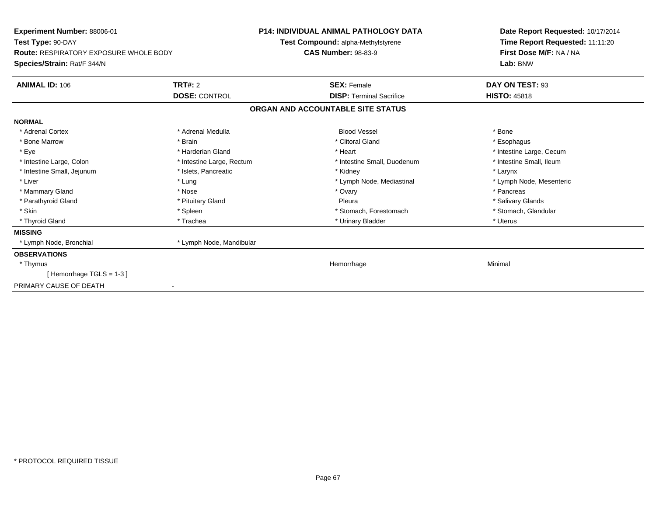| Experiment Number: 88006-01<br>Test Type: 90-DAY<br><b>Route: RESPIRATORY EXPOSURE WHOLE BODY</b><br>Species/Strain: Rat/F 344/N |                           | <b>P14: INDIVIDUAL ANIMAL PATHOLOGY DATA</b><br><b>Test Compound: alpha-Methylstyrene</b><br><b>CAS Number: 98-83-9</b> | Date Report Requested: 10/17/2014<br>Time Report Requested: 11:11:20<br>First Dose M/F: NA / NA<br>Lab: BNW |
|----------------------------------------------------------------------------------------------------------------------------------|---------------------------|-------------------------------------------------------------------------------------------------------------------------|-------------------------------------------------------------------------------------------------------------|
| <b>ANIMAL ID: 106</b>                                                                                                            | TRT#: 2                   | <b>SEX: Female</b>                                                                                                      | DAY ON TEST: 93                                                                                             |
|                                                                                                                                  | <b>DOSE: CONTROL</b>      | <b>DISP: Terminal Sacrifice</b>                                                                                         | <b>HISTO: 45818</b>                                                                                         |
|                                                                                                                                  |                           | ORGAN AND ACCOUNTABLE SITE STATUS                                                                                       |                                                                                                             |
| <b>NORMAL</b>                                                                                                                    |                           |                                                                                                                         |                                                                                                             |
| * Adrenal Cortex                                                                                                                 | * Adrenal Medulla         | <b>Blood Vessel</b>                                                                                                     | * Bone                                                                                                      |
| * Bone Marrow                                                                                                                    | * Brain                   | * Clitoral Gland                                                                                                        | * Esophagus                                                                                                 |
| * Eye                                                                                                                            | * Harderian Gland         | * Heart                                                                                                                 | * Intestine Large, Cecum                                                                                    |
| * Intestine Large, Colon                                                                                                         | * Intestine Large, Rectum | * Intestine Small, Duodenum                                                                                             | * Intestine Small, Ileum                                                                                    |
| * Intestine Small, Jejunum                                                                                                       | * Islets, Pancreatic      | * Kidney                                                                                                                | * Larynx                                                                                                    |
| * Liver                                                                                                                          | * Lung                    | * Lymph Node, Mediastinal                                                                                               | * Lymph Node, Mesenteric                                                                                    |
| * Mammary Gland                                                                                                                  | * Nose                    | * Ovary                                                                                                                 | * Pancreas                                                                                                  |
| * Parathyroid Gland                                                                                                              | * Pituitary Gland         | Pleura                                                                                                                  | * Salivary Glands                                                                                           |
| * Skin                                                                                                                           | * Spleen                  | * Stomach, Forestomach                                                                                                  | * Stomach, Glandular                                                                                        |
| * Thyroid Gland                                                                                                                  | * Trachea                 | * Urinary Bladder                                                                                                       | * Uterus                                                                                                    |
| <b>MISSING</b>                                                                                                                   |                           |                                                                                                                         |                                                                                                             |
| * Lymph Node, Bronchial                                                                                                          | * Lymph Node, Mandibular  |                                                                                                                         |                                                                                                             |
| <b>OBSERVATIONS</b>                                                                                                              |                           |                                                                                                                         |                                                                                                             |
| * Thymus                                                                                                                         |                           | Hemorrhage                                                                                                              | Minimal                                                                                                     |
| [Hemorrhage TGLS = 1-3]                                                                                                          |                           |                                                                                                                         |                                                                                                             |
| PRIMARY CAUSE OF DEATH                                                                                                           |                           |                                                                                                                         |                                                                                                             |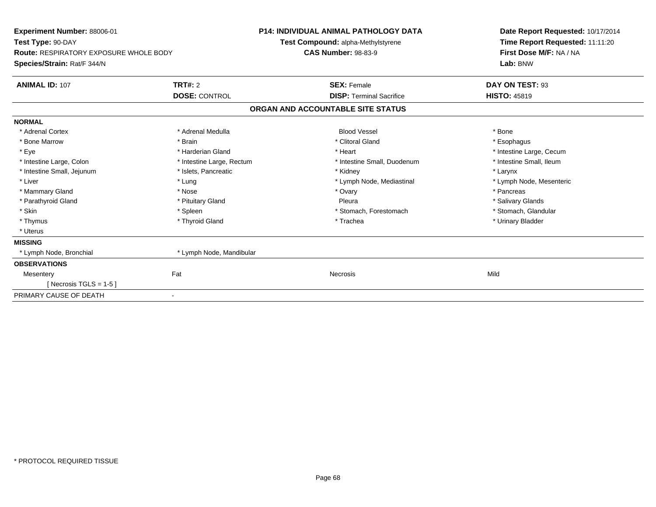| Experiment Number: 88006-01                   |                           | <b>P14: INDIVIDUAL ANIMAL PATHOLOGY DATA</b> |                                 | Date Report Requested: 10/17/2014 |
|-----------------------------------------------|---------------------------|----------------------------------------------|---------------------------------|-----------------------------------|
| Test Type: 90-DAY                             |                           | Test Compound: alpha-Methylstyrene           |                                 | Time Report Requested: 11:11:20   |
| <b>Route: RESPIRATORY EXPOSURE WHOLE BODY</b> |                           | <b>CAS Number: 98-83-9</b>                   |                                 | First Dose M/F: NA / NA           |
| Species/Strain: Rat/F 344/N                   |                           |                                              |                                 | Lab: BNW                          |
| <b>ANIMAL ID: 107</b>                         | TRT#: 2                   |                                              | <b>SEX: Female</b>              | DAY ON TEST: 93                   |
|                                               | <b>DOSE: CONTROL</b>      |                                              | <b>DISP: Terminal Sacrifice</b> | <b>HISTO: 45819</b>               |
|                                               |                           | ORGAN AND ACCOUNTABLE SITE STATUS            |                                 |                                   |
| <b>NORMAL</b>                                 |                           |                                              |                                 |                                   |
| * Adrenal Cortex                              | * Adrenal Medulla         |                                              | <b>Blood Vessel</b>             | * Bone                            |
| * Bone Marrow                                 | * Brain                   |                                              | * Clitoral Gland                | * Esophagus                       |
| * Eye                                         | * Harderian Gland         | * Heart                                      |                                 | * Intestine Large, Cecum          |
| * Intestine Large, Colon                      | * Intestine Large, Rectum |                                              | * Intestine Small, Duodenum     | * Intestine Small, Ileum          |
| * Intestine Small, Jejunum                    | * Islets, Pancreatic      | * Kidney                                     |                                 | * Larynx                          |
| * Liver                                       | * Lung                    |                                              | * Lymph Node, Mediastinal       | * Lymph Node, Mesenteric          |
| * Mammary Gland                               | * Nose                    | * Ovary                                      |                                 | * Pancreas                        |
| * Parathyroid Gland                           | * Pituitary Gland         | Pleura                                       |                                 | * Salivary Glands                 |
| * Skin                                        | * Spleen                  |                                              | * Stomach, Forestomach          | * Stomach, Glandular              |
| * Thymus                                      | * Thyroid Gland           |                                              | * Trachea                       | * Urinary Bladder                 |
| * Uterus                                      |                           |                                              |                                 |                                   |
| <b>MISSING</b>                                |                           |                                              |                                 |                                   |
| * Lymph Node, Bronchial                       | * Lymph Node, Mandibular  |                                              |                                 |                                   |
| <b>OBSERVATIONS</b>                           |                           |                                              |                                 |                                   |
| Mesentery                                     | Fat                       | Necrosis                                     |                                 | Mild                              |
| [ Necrosis TGLS = $1-5$ ]                     |                           |                                              |                                 |                                   |
| PRIMARY CAUSE OF DEATH                        |                           |                                              |                                 |                                   |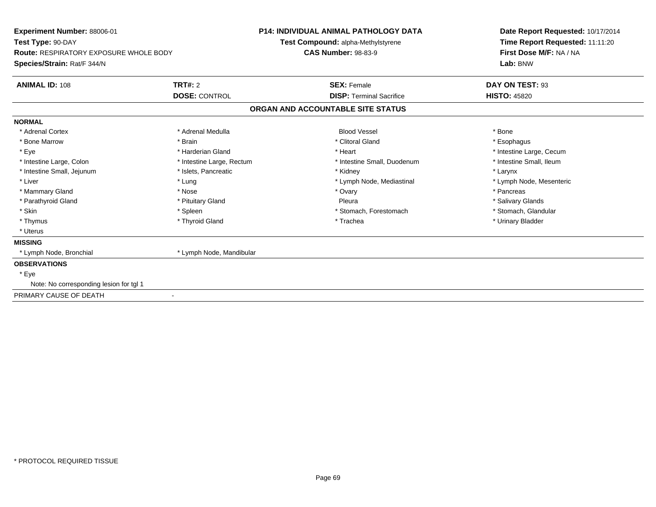| Experiment Number: 88006-01                   |                           | <b>P14: INDIVIDUAL ANIMAL PATHOLOGY DATA</b> | Date Report Requested: 10/17/2014 |  |
|-----------------------------------------------|---------------------------|----------------------------------------------|-----------------------------------|--|
| Test Type: 90-DAY                             |                           | Test Compound: alpha-Methylstyrene           | Time Report Requested: 11:11:20   |  |
| <b>Route: RESPIRATORY EXPOSURE WHOLE BODY</b> |                           | <b>CAS Number: 98-83-9</b>                   | First Dose M/F: NA / NA           |  |
| Species/Strain: Rat/F 344/N                   |                           |                                              | Lab: BNW                          |  |
| <b>ANIMAL ID: 108</b>                         | TRT#: 2                   | <b>SEX: Female</b>                           | DAY ON TEST: 93                   |  |
|                                               | <b>DOSE: CONTROL</b>      | <b>DISP: Terminal Sacrifice</b>              | <b>HISTO: 45820</b>               |  |
|                                               |                           | ORGAN AND ACCOUNTABLE SITE STATUS            |                                   |  |
| <b>NORMAL</b>                                 |                           |                                              |                                   |  |
| * Adrenal Cortex                              | * Adrenal Medulla         | <b>Blood Vessel</b>                          | * Bone                            |  |
| * Bone Marrow                                 | * Brain                   | * Clitoral Gland                             | * Esophagus                       |  |
| * Eye                                         | * Harderian Gland         | * Heart                                      | * Intestine Large, Cecum          |  |
| * Intestine Large, Colon                      | * Intestine Large, Rectum | * Intestine Small, Duodenum                  | * Intestine Small, Ileum          |  |
| * Intestine Small, Jejunum                    | * Islets, Pancreatic      | * Kidney                                     | * Larynx                          |  |
| * Liver                                       | * Lung                    | * Lymph Node, Mediastinal                    | * Lymph Node, Mesenteric          |  |
| * Mammary Gland                               | * Nose                    | * Ovary                                      | * Pancreas                        |  |
| * Parathyroid Gland                           | * Pituitary Gland         | Pleura                                       | * Salivary Glands                 |  |
| * Skin                                        | * Spleen                  | * Stomach, Forestomach                       | * Stomach, Glandular              |  |
| * Thymus                                      | * Thyroid Gland           | * Trachea                                    | * Urinary Bladder                 |  |
| * Uterus                                      |                           |                                              |                                   |  |
| <b>MISSING</b>                                |                           |                                              |                                   |  |
| * Lymph Node, Bronchial                       | * Lymph Node, Mandibular  |                                              |                                   |  |
| <b>OBSERVATIONS</b>                           |                           |                                              |                                   |  |
| * Eye                                         |                           |                                              |                                   |  |
| Note: No corresponding lesion for tgl 1       |                           |                                              |                                   |  |
| PRIMARY CAUSE OF DEATH                        | $\blacksquare$            |                                              |                                   |  |
|                                               |                           |                                              |                                   |  |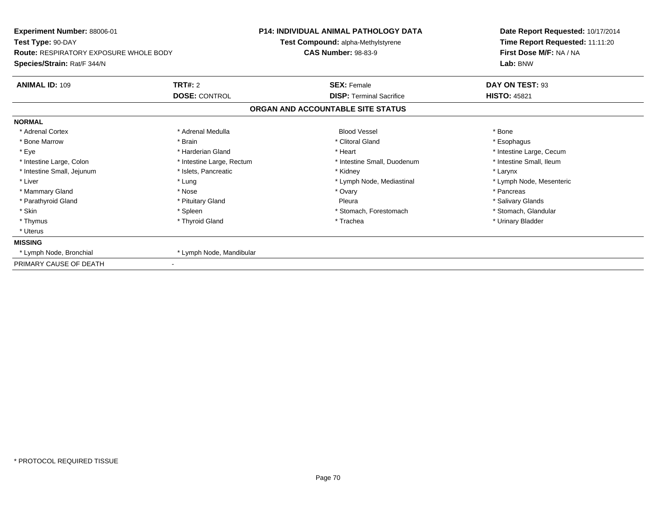| Experiment Number: 88006-01                   |                           | <b>P14: INDIVIDUAL ANIMAL PATHOLOGY DATA</b> | Date Report Requested: 10/17/2014 |  |
|-----------------------------------------------|---------------------------|----------------------------------------------|-----------------------------------|--|
| Test Type: 90-DAY                             |                           | Test Compound: alpha-Methylstyrene           | Time Report Requested: 11:11:20   |  |
| <b>Route: RESPIRATORY EXPOSURE WHOLE BODY</b> |                           | <b>CAS Number: 98-83-9</b>                   | First Dose M/F: NA / NA           |  |
| Species/Strain: Rat/F 344/N                   |                           |                                              | Lab: BNW                          |  |
| <b>ANIMAL ID: 109</b>                         | <b>TRT#: 2</b>            | <b>SEX: Female</b>                           | DAY ON TEST: 93                   |  |
|                                               | <b>DOSE: CONTROL</b>      | <b>DISP:</b> Terminal Sacrifice              | <b>HISTO: 45821</b>               |  |
|                                               |                           | ORGAN AND ACCOUNTABLE SITE STATUS            |                                   |  |
| <b>NORMAL</b>                                 |                           |                                              |                                   |  |
| * Adrenal Cortex                              | * Adrenal Medulla         | <b>Blood Vessel</b>                          | * Bone                            |  |
| * Bone Marrow                                 | * Brain                   | * Clitoral Gland                             | * Esophagus                       |  |
| * Eye                                         | * Harderian Gland         | * Heart                                      | * Intestine Large, Cecum          |  |
| * Intestine Large, Colon                      | * Intestine Large, Rectum | * Intestine Small, Duodenum                  | * Intestine Small, Ileum          |  |
| * Intestine Small, Jejunum                    | * Islets, Pancreatic      | * Kidney                                     | * Larynx                          |  |
| * Liver                                       | * Lung                    | * Lymph Node, Mediastinal                    | * Lymph Node, Mesenteric          |  |
| * Mammary Gland                               | * Nose                    | * Ovary                                      | * Pancreas                        |  |
| * Parathyroid Gland                           | * Pituitary Gland         | Pleura                                       | * Salivary Glands                 |  |
| * Skin                                        | * Spleen                  | * Stomach, Forestomach                       | * Stomach, Glandular              |  |
| * Thymus                                      | * Thyroid Gland           | * Trachea                                    | * Urinary Bladder                 |  |
| * Uterus                                      |                           |                                              |                                   |  |
| <b>MISSING</b>                                |                           |                                              |                                   |  |
| * Lymph Node, Bronchial                       | * Lymph Node, Mandibular  |                                              |                                   |  |
| PRIMARY CAUSE OF DEATH                        |                           |                                              |                                   |  |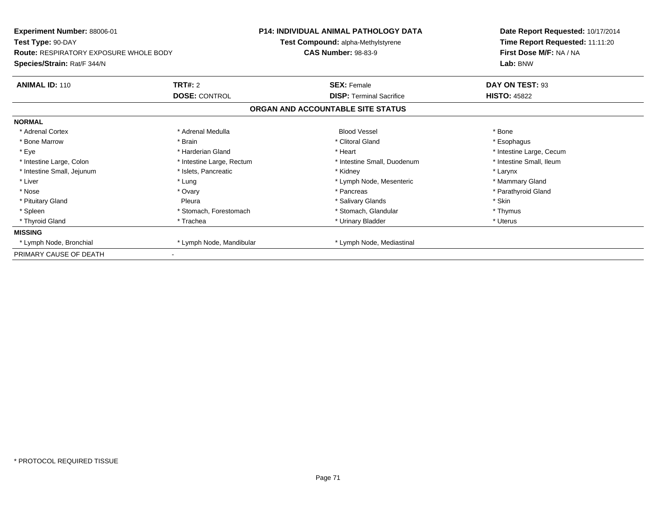| <b>Experiment Number: 88006-01</b><br>Test Type: 90-DAY |                           | <b>P14: INDIVIDUAL ANIMAL PATHOLOGY DATA</b> | Date Report Requested: 10/17/2014<br>Time Report Requested: 11:11:20 |
|---------------------------------------------------------|---------------------------|----------------------------------------------|----------------------------------------------------------------------|
|                                                         |                           | Test Compound: alpha-Methylstyrene           |                                                                      |
| <b>Route: RESPIRATORY EXPOSURE WHOLE BODY</b>           |                           | <b>CAS Number: 98-83-9</b>                   | First Dose M/F: NA / NA                                              |
| Species/Strain: Rat/F 344/N                             |                           |                                              | Lab: BNW                                                             |
| <b>ANIMAL ID: 110</b>                                   | <b>TRT#: 2</b>            | <b>SEX: Female</b>                           | DAY ON TEST: 93                                                      |
|                                                         | <b>DOSE: CONTROL</b>      | <b>DISP: Terminal Sacrifice</b>              | <b>HISTO: 45822</b>                                                  |
|                                                         |                           | ORGAN AND ACCOUNTABLE SITE STATUS            |                                                                      |
| <b>NORMAL</b>                                           |                           |                                              |                                                                      |
| * Adrenal Cortex                                        | * Adrenal Medulla         | <b>Blood Vessel</b>                          | * Bone                                                               |
| * Bone Marrow                                           | * Brain                   | * Clitoral Gland                             | * Esophagus                                                          |
| * Eye                                                   | * Harderian Gland         | * Heart                                      | * Intestine Large, Cecum                                             |
| * Intestine Large, Colon                                | * Intestine Large, Rectum | * Intestine Small, Duodenum                  | * Intestine Small, Ileum                                             |
| * Intestine Small, Jejunum                              | * Islets. Pancreatic      | * Kidney                                     | * Larynx                                                             |
| * Liver                                                 | * Lung                    | * Lymph Node, Mesenteric                     | * Mammary Gland                                                      |
| * Nose                                                  | * Ovary                   | * Pancreas                                   | * Parathyroid Gland                                                  |
| * Pituitary Gland                                       | Pleura                    | * Salivary Glands                            | * Skin                                                               |
| * Spleen                                                | * Stomach, Forestomach    | * Stomach, Glandular                         | * Thymus                                                             |
| * Thyroid Gland                                         | * Trachea                 | * Urinary Bladder                            | * Uterus                                                             |
| <b>MISSING</b>                                          |                           |                                              |                                                                      |
| * Lymph Node, Bronchial                                 | * Lymph Node, Mandibular  | * Lymph Node, Mediastinal                    |                                                                      |
| PRIMARY CAUSE OF DEATH                                  |                           |                                              |                                                                      |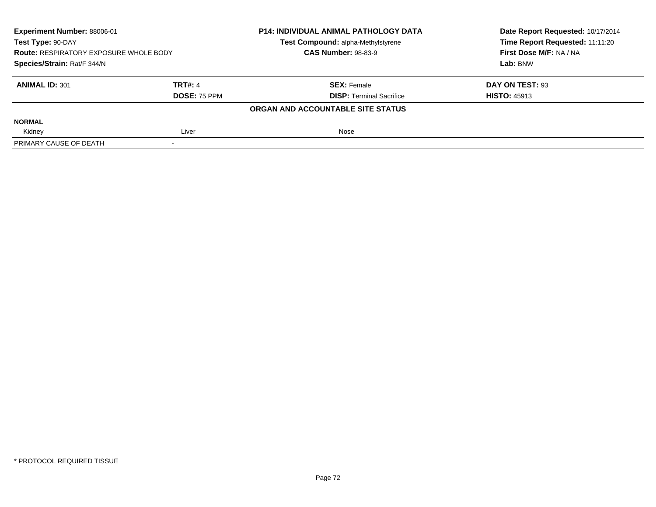| Experiment Number: 88006-01<br>Test Type: 90-DAY<br><b>Route: RESPIRATORY EXPOSURE WHOLE BODY</b><br>Species/Strain: Rat/F 344/N |              | <b>P14: INDIVIDUAL ANIMAL PATHOLOGY DATA</b> | Date Report Requested: 10/17/2014 |
|----------------------------------------------------------------------------------------------------------------------------------|--------------|----------------------------------------------|-----------------------------------|
|                                                                                                                                  |              | Test Compound: alpha-Methylstyrene           | Time Report Requested: 11:11:20   |
|                                                                                                                                  |              | <b>CAS Number: 98-83-9</b>                   | First Dose M/F: NA / NA           |
|                                                                                                                                  |              |                                              | Lab: BNW                          |
| <b>ANIMAL ID: 301</b>                                                                                                            | TRT#: 4      | <b>SEX: Female</b>                           | DAY ON TEST: 93                   |
|                                                                                                                                  | DOSE: 75 PPM | <b>DISP: Terminal Sacrifice</b>              | <b>HISTO: 45913</b>               |
|                                                                                                                                  |              | ORGAN AND ACCOUNTABLE SITE STATUS            |                                   |
| <b>NORMAL</b>                                                                                                                    |              |                                              |                                   |
| Kidney                                                                                                                           | Liver        | Nose                                         |                                   |
| PRIMARY CAUSE OF DEATH                                                                                                           |              |                                              |                                   |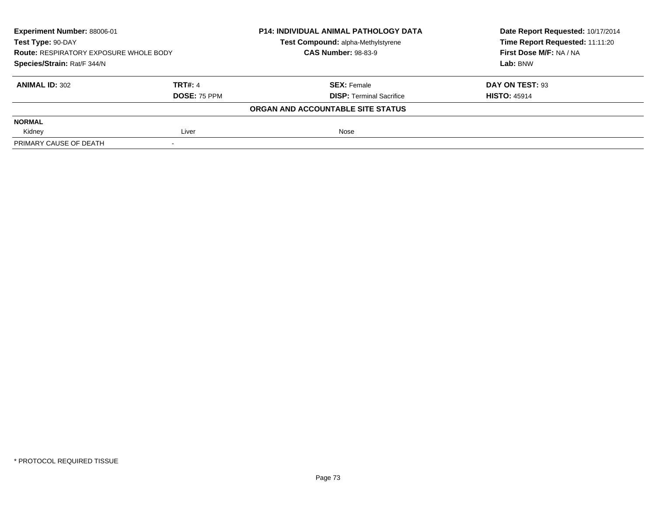| Experiment Number: 88006-01<br>Test Type: 90-DAY<br><b>Route: RESPIRATORY EXPOSURE WHOLE BODY</b><br>Species/Strain: Rat/F 344/N |                     | <b>P14: INDIVIDUAL ANIMAL PATHOLOGY DATA</b> | Date Report Requested: 10/17/2014 |
|----------------------------------------------------------------------------------------------------------------------------------|---------------------|----------------------------------------------|-----------------------------------|
|                                                                                                                                  |                     | Test Compound: alpha-Methylstyrene           | Time Report Requested: 11:11:20   |
|                                                                                                                                  |                     | <b>CAS Number: 98-83-9</b>                   | First Dose M/F: NA / NA           |
|                                                                                                                                  |                     |                                              | Lab: BNW                          |
| <b>ANIMAL ID: 302</b>                                                                                                            | TRT#: 4             | <b>SEX: Female</b>                           | DAY ON TEST: 93                   |
|                                                                                                                                  | <b>DOSE: 75 PPM</b> | <b>DISP: Terminal Sacrifice</b>              | <b>HISTO: 45914</b>               |
|                                                                                                                                  |                     | ORGAN AND ACCOUNTABLE SITE STATUS            |                                   |
| <b>NORMAL</b>                                                                                                                    |                     |                                              |                                   |
| Kidney                                                                                                                           | Liver               | Nose                                         |                                   |
| PRIMARY CAUSE OF DEATH                                                                                                           |                     |                                              |                                   |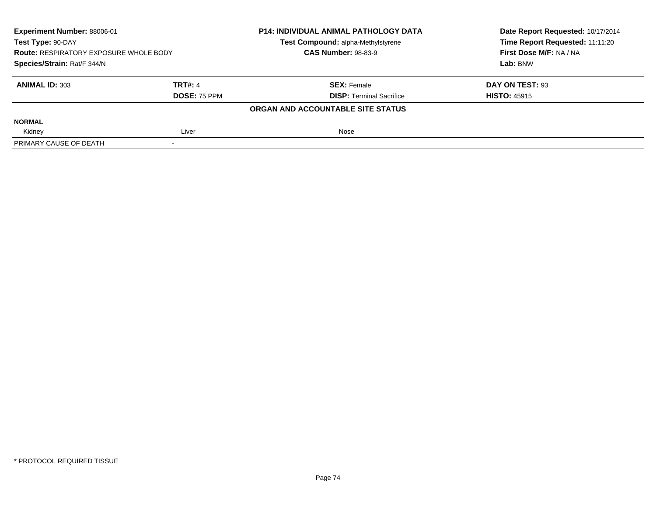| Experiment Number: 88006-01<br>Test Type: 90-DAY<br><b>Route: RESPIRATORY EXPOSURE WHOLE BODY</b><br>Species/Strain: Rat/F 344/N |                     | <b>P14: INDIVIDUAL ANIMAL PATHOLOGY DATA</b> | Date Report Requested: 10/17/2014 |
|----------------------------------------------------------------------------------------------------------------------------------|---------------------|----------------------------------------------|-----------------------------------|
|                                                                                                                                  |                     | Test Compound: alpha-Methylstyrene           | Time Report Requested: 11:11:20   |
|                                                                                                                                  |                     | <b>CAS Number: 98-83-9</b>                   | First Dose M/F: NA / NA           |
|                                                                                                                                  |                     |                                              | Lab: BNW                          |
| <b>ANIMAL ID: 303</b>                                                                                                            | <b>TRT#: 4</b>      | <b>SEX: Female</b>                           | DAY ON TEST: 93                   |
|                                                                                                                                  | <b>DOSE: 75 PPM</b> | <b>DISP: Terminal Sacrifice</b>              | <b>HISTO: 45915</b>               |
|                                                                                                                                  |                     | ORGAN AND ACCOUNTABLE SITE STATUS            |                                   |
| <b>NORMAL</b>                                                                                                                    |                     |                                              |                                   |
| Kidney                                                                                                                           | Liver               | Nose                                         |                                   |
| PRIMARY CAUSE OF DEATH                                                                                                           |                     |                                              |                                   |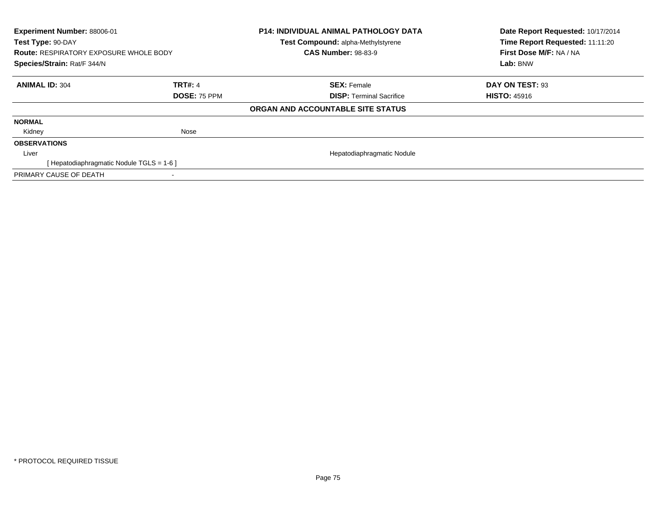| Experiment Number: 88006-01<br>Test Type: 90-DAY<br><b>Route: RESPIRATORY EXPOSURE WHOLE BODY</b><br>Species/Strain: Rat/F 344/N |                | <b>P14: INDIVIDUAL ANIMAL PATHOLOGY DATA</b><br>Test Compound: alpha-Methylstyrene<br><b>CAS Number: 98-83-9</b> | Date Report Requested: 10/17/2014<br>Time Report Requested: 11:11:20<br>First Dose M/F: NA / NA<br>Lab: BNW |
|----------------------------------------------------------------------------------------------------------------------------------|----------------|------------------------------------------------------------------------------------------------------------------|-------------------------------------------------------------------------------------------------------------|
| <b>ANIMAL ID: 304</b>                                                                                                            | <b>TRT#: 4</b> | <b>SEX: Female</b>                                                                                               | DAY ON TEST: 93                                                                                             |
|                                                                                                                                  | DOSE: 75 PPM   | <b>DISP:</b> Terminal Sacrifice                                                                                  | <b>HISTO: 45916</b>                                                                                         |
|                                                                                                                                  |                | ORGAN AND ACCOUNTABLE SITE STATUS                                                                                |                                                                                                             |
| <b>NORMAL</b>                                                                                                                    |                |                                                                                                                  |                                                                                                             |
| Kidney                                                                                                                           | Nose           |                                                                                                                  |                                                                                                             |
| <b>OBSERVATIONS</b>                                                                                                              |                |                                                                                                                  |                                                                                                             |
| Liver                                                                                                                            |                | Hepatodiaphragmatic Nodule                                                                                       |                                                                                                             |
| [Hepatodiaphragmatic Nodule TGLS = 1-6]                                                                                          |                |                                                                                                                  |                                                                                                             |
| PRIMARY CAUSE OF DEATH                                                                                                           |                |                                                                                                                  |                                                                                                             |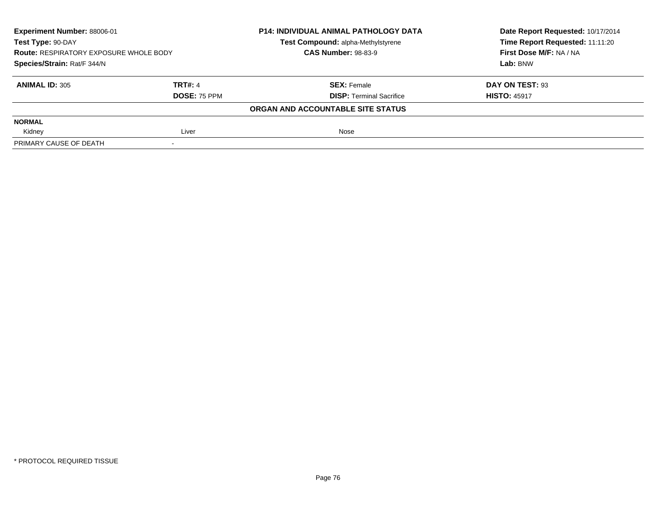| Experiment Number: 88006-01<br>Test Type: 90-DAY<br><b>Route: RESPIRATORY EXPOSURE WHOLE BODY</b><br>Species/Strain: Rat/F 344/N |                     | <b>P14: INDIVIDUAL ANIMAL PATHOLOGY DATA</b> | Date Report Requested: 10/17/2014 |
|----------------------------------------------------------------------------------------------------------------------------------|---------------------|----------------------------------------------|-----------------------------------|
|                                                                                                                                  |                     | Test Compound: alpha-Methylstyrene           | Time Report Requested: 11:11:20   |
|                                                                                                                                  |                     | <b>CAS Number: 98-83-9</b>                   | First Dose M/F: NA / NA           |
|                                                                                                                                  |                     |                                              | Lab: BNW                          |
| <b>ANIMAL ID: 305</b>                                                                                                            | TRT#: 4             | <b>SEX: Female</b>                           | DAY ON TEST: 93                   |
|                                                                                                                                  | <b>DOSE: 75 PPM</b> | <b>DISP: Terminal Sacrifice</b>              | <b>HISTO: 45917</b>               |
|                                                                                                                                  |                     | ORGAN AND ACCOUNTABLE SITE STATUS            |                                   |
| <b>NORMAL</b>                                                                                                                    |                     |                                              |                                   |
| Kidney                                                                                                                           | Liver               | Nose                                         |                                   |
| PRIMARY CAUSE OF DEATH                                                                                                           |                     |                                              |                                   |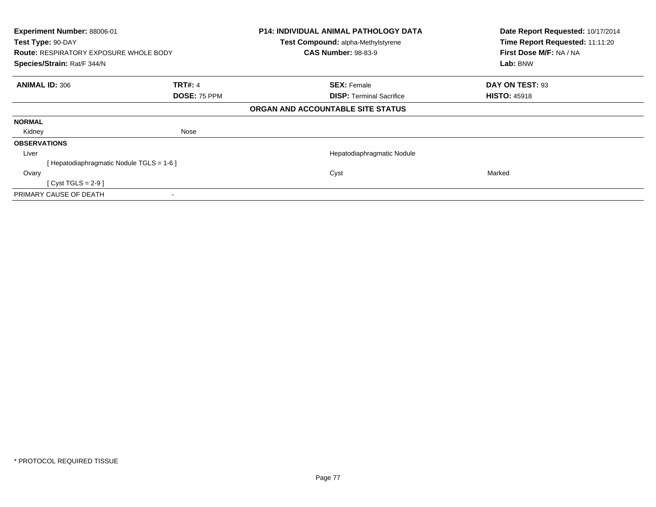| Test Type: 90-DAY     | Experiment Number: 88006-01<br><b>Route: RESPIRATORY EXPOSURE WHOLE BODY</b><br>Species/Strain: Rat/F 344/N |                                | <b>P14: INDIVIDUAL ANIMAL PATHOLOGY DATA</b><br>Test Compound: alpha-Methylstyrene<br><b>CAS Number: 98-83-9</b> | Date Report Requested: 10/17/2014<br>Time Report Requested: 11:11:20<br>First Dose M/F: NA / NA<br>Lab: BNW |
|-----------------------|-------------------------------------------------------------------------------------------------------------|--------------------------------|------------------------------------------------------------------------------------------------------------------|-------------------------------------------------------------------------------------------------------------|
| <b>ANIMAL ID: 306</b> |                                                                                                             | <b>TRT#: 4</b><br>DOSE: 75 PPM | <b>SEX: Female</b><br><b>DISP:</b> Terminal Sacrifice                                                            | DAY ON TEST: 93<br><b>HISTO: 45918</b>                                                                      |
|                       |                                                                                                             |                                | ORGAN AND ACCOUNTABLE SITE STATUS                                                                                |                                                                                                             |
| <b>NORMAL</b>         |                                                                                                             |                                |                                                                                                                  |                                                                                                             |
| Kidney                |                                                                                                             | Nose                           |                                                                                                                  |                                                                                                             |
| <b>OBSERVATIONS</b>   |                                                                                                             |                                |                                                                                                                  |                                                                                                             |
| Liver                 |                                                                                                             |                                | Hepatodiaphragmatic Nodule                                                                                       |                                                                                                             |
|                       | [Hepatodiaphragmatic Nodule TGLS = 1-6]                                                                     |                                |                                                                                                                  |                                                                                                             |
| Ovary                 |                                                                                                             |                                | Cyst                                                                                                             | Marked                                                                                                      |
|                       | [ Cyst TGLS = $2-9$ ]                                                                                       |                                |                                                                                                                  |                                                                                                             |
|                       | PRIMARY CAUSE OF DEATH                                                                                      |                                |                                                                                                                  |                                                                                                             |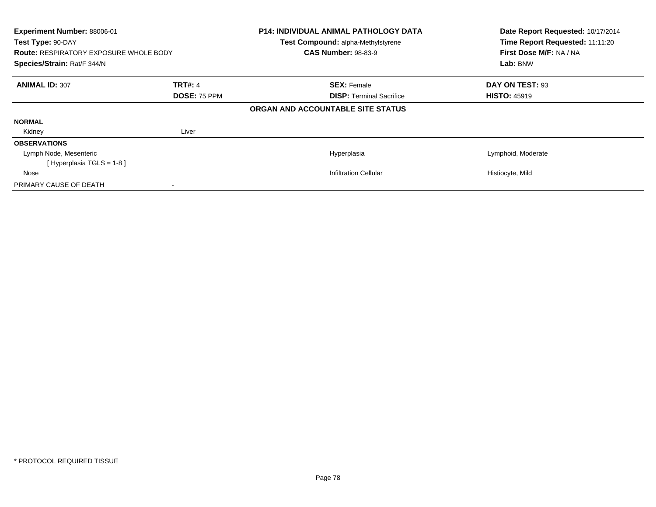| Experiment Number: 88006-01<br>Test Type: 90-DAY<br><b>Route: RESPIRATORY EXPOSURE WHOLE BODY</b><br>Species/Strain: Rat/F 344/N |                | <b>P14: INDIVIDUAL ANIMAL PATHOLOGY DATA</b><br>Test Compound: alpha-Methylstyrene<br><b>CAS Number: 98-83-9</b> | Date Report Requested: 10/17/2014<br>Time Report Requested: 11:11:20<br>First Dose M/F: NA / NA<br>Lab: BNW |
|----------------------------------------------------------------------------------------------------------------------------------|----------------|------------------------------------------------------------------------------------------------------------------|-------------------------------------------------------------------------------------------------------------|
| <b>ANIMAL ID: 307</b>                                                                                                            | <b>TRT#: 4</b> | <b>SEX: Female</b>                                                                                               | DAY ON TEST: 93                                                                                             |
|                                                                                                                                  | DOSE: 75 PPM   | <b>DISP:</b> Terminal Sacrifice                                                                                  | <b>HISTO: 45919</b>                                                                                         |
|                                                                                                                                  |                | ORGAN AND ACCOUNTABLE SITE STATUS                                                                                |                                                                                                             |
| <b>NORMAL</b>                                                                                                                    |                |                                                                                                                  |                                                                                                             |
| Kidney                                                                                                                           | Liver          |                                                                                                                  |                                                                                                             |
| <b>OBSERVATIONS</b>                                                                                                              |                |                                                                                                                  |                                                                                                             |
| Lymph Node, Mesenteric                                                                                                           |                | Hyperplasia                                                                                                      | Lymphoid, Moderate                                                                                          |
| [Hyperplasia TGLS = 1-8]                                                                                                         |                |                                                                                                                  |                                                                                                             |
| Nose                                                                                                                             |                | Infiltration Cellular                                                                                            | Histiocyte, Mild                                                                                            |
| PRIMARY CAUSE OF DEATH                                                                                                           |                |                                                                                                                  |                                                                                                             |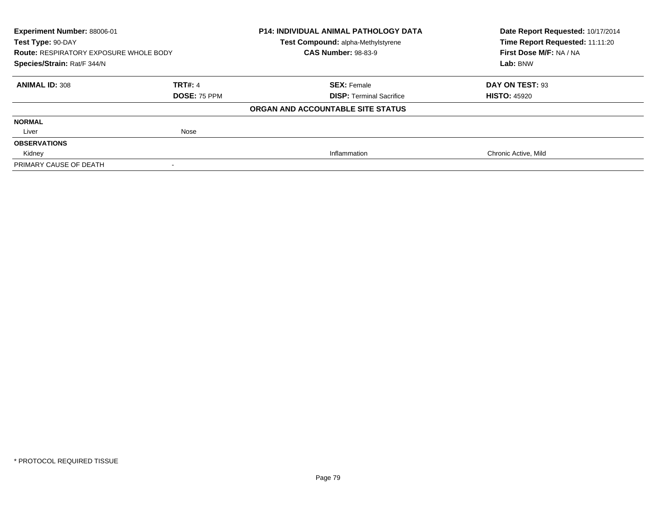| Experiment Number: 88006-01<br>Test Type: 90-DAY |                | <b>P14: INDIVIDUAL ANIMAL PATHOLOGY DATA</b><br>Test Compound: alpha-Methylstyrene | Date Report Requested: 10/17/2014<br>Time Report Requested: 11:11:20 |
|--------------------------------------------------|----------------|------------------------------------------------------------------------------------|----------------------------------------------------------------------|
| <b>Route: RESPIRATORY EXPOSURE WHOLE BODY</b>    |                | <b>CAS Number: 98-83-9</b>                                                         | First Dose M/F: NA / NA                                              |
| Species/Strain: Rat/F 344/N                      |                |                                                                                    | Lab: BNW                                                             |
| <b>ANIMAL ID: 308</b>                            | <b>TRT#: 4</b> | <b>SEX: Female</b>                                                                 | DAY ON TEST: 93                                                      |
|                                                  | DOSE: 75 PPM   | <b>DISP: Terminal Sacrifice</b>                                                    | <b>HISTO: 45920</b>                                                  |
|                                                  |                | ORGAN AND ACCOUNTABLE SITE STATUS                                                  |                                                                      |
| <b>NORMAL</b>                                    |                |                                                                                    |                                                                      |
| Liver                                            | Nose           |                                                                                    |                                                                      |
| <b>OBSERVATIONS</b>                              |                |                                                                                    |                                                                      |
| Kidney                                           |                | Inflammation                                                                       | Chronic Active, Mild                                                 |
| PRIMARY CAUSE OF DEATH                           |                |                                                                                    |                                                                      |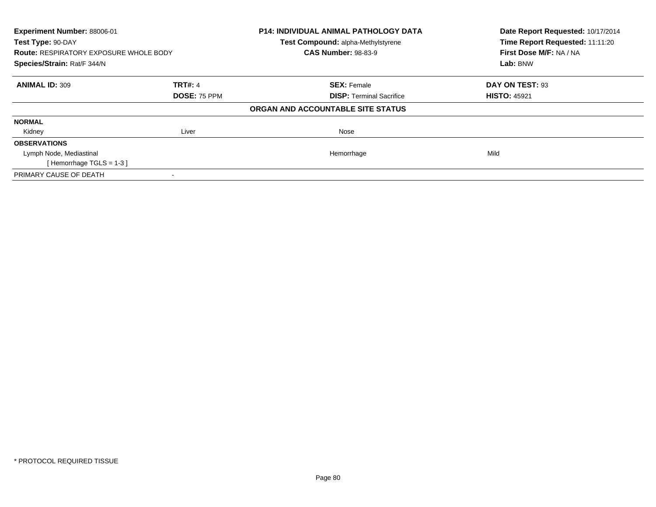| Experiment Number: 88006-01<br>Test Type: 90-DAY |                     | P14: INDIVIDUAL ANIMAL PATHOLOGY DATA | Date Report Requested: 10/17/2014<br>Time Report Requested: 11:11:20 |
|--------------------------------------------------|---------------------|---------------------------------------|----------------------------------------------------------------------|
|                                                  |                     | Test Compound: alpha-Methylstyrene    |                                                                      |
| <b>Route: RESPIRATORY EXPOSURE WHOLE BODY</b>    |                     | <b>CAS Number: 98-83-9</b>            | First Dose M/F: NA / NA                                              |
| Species/Strain: Rat/F 344/N                      |                     |                                       | Lab: BNW                                                             |
| <b>ANIMAL ID: 309</b>                            | <b>TRT#: 4</b>      | <b>SEX: Female</b>                    | DAY ON TEST: 93                                                      |
|                                                  | <b>DOSE: 75 PPM</b> | <b>DISP: Terminal Sacrifice</b>       | <b>HISTO: 45921</b>                                                  |
|                                                  |                     | ORGAN AND ACCOUNTABLE SITE STATUS     |                                                                      |
| <b>NORMAL</b>                                    |                     |                                       |                                                                      |
| Kidney                                           | Liver               | Nose                                  |                                                                      |
| <b>OBSERVATIONS</b>                              |                     |                                       |                                                                      |
| Lymph Node, Mediastinal                          |                     | Hemorrhage                            | Mild                                                                 |
| [Hemorrhage TGLS = $1-3$ ]                       |                     |                                       |                                                                      |
| PRIMARY CAUSE OF DEATH                           |                     |                                       |                                                                      |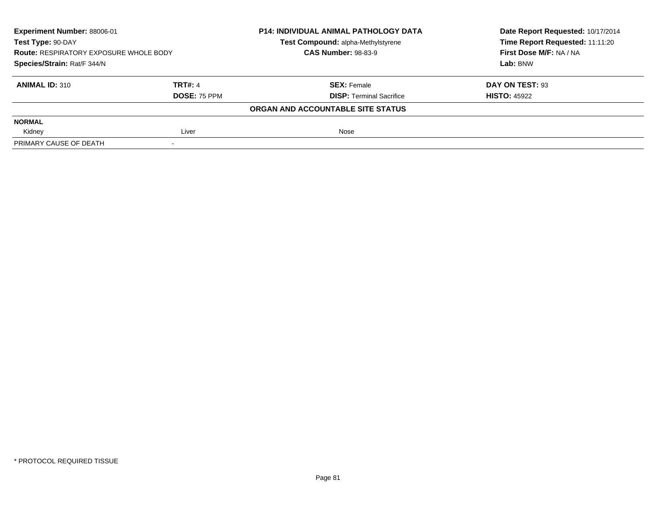| Experiment Number: 88006-01<br>Test Type: 90-DAY<br><b>Route: RESPIRATORY EXPOSURE WHOLE BODY</b><br>Species/Strain: Rat/F 344/N |                     | <b>P14: INDIVIDUAL ANIMAL PATHOLOGY DATA</b> | Date Report Requested: 10/17/2014 |
|----------------------------------------------------------------------------------------------------------------------------------|---------------------|----------------------------------------------|-----------------------------------|
|                                                                                                                                  |                     | Test Compound: alpha-Methylstyrene           | Time Report Requested: 11:11:20   |
|                                                                                                                                  |                     | <b>CAS Number: 98-83-9</b>                   | First Dose M/F: NA / NA           |
|                                                                                                                                  |                     |                                              | Lab: BNW                          |
| <b>ANIMAL ID: 310</b>                                                                                                            | <b>TRT#: 4</b>      | <b>SEX: Female</b>                           | DAY ON TEST: 93                   |
|                                                                                                                                  | <b>DOSE: 75 PPM</b> | <b>DISP: Terminal Sacrifice</b>              | <b>HISTO: 45922</b>               |
|                                                                                                                                  |                     | ORGAN AND ACCOUNTABLE SITE STATUS            |                                   |
| <b>NORMAL</b>                                                                                                                    |                     |                                              |                                   |
| Kidney                                                                                                                           | Liver               | Nose                                         |                                   |
| PRIMARY CAUSE OF DEATH                                                                                                           |                     |                                              |                                   |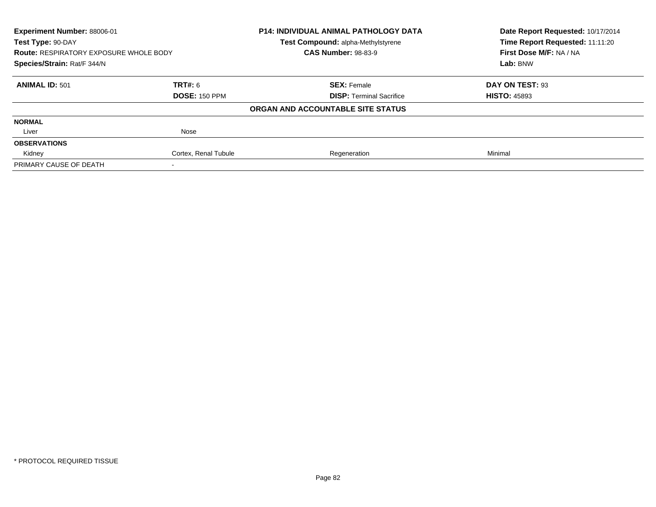| Experiment Number: 88006-01<br>Test Type: 90-DAY |                      | <b>P14: INDIVIDUAL ANIMAL PATHOLOGY DATA</b> | Date Report Requested: 10/17/2014<br>Time Report Requested: 11:11:20 |
|--------------------------------------------------|----------------------|----------------------------------------------|----------------------------------------------------------------------|
|                                                  |                      | <b>Test Compound: alpha-Methylstyrene</b>    |                                                                      |
| <b>Route: RESPIRATORY EXPOSURE WHOLE BODY</b>    |                      | <b>CAS Number: 98-83-9</b>                   | First Dose M/F: NA / NA                                              |
| Species/Strain: Rat/F 344/N                      |                      |                                              | Lab: BNW                                                             |
| <b>ANIMAL ID: 501</b>                            | <b>TRT#:</b> 6       | <b>SEX: Female</b>                           | DAY ON TEST: 93                                                      |
|                                                  | <b>DOSE: 150 PPM</b> | <b>DISP:</b> Terminal Sacrifice              | <b>HISTO: 45893</b>                                                  |
|                                                  |                      | ORGAN AND ACCOUNTABLE SITE STATUS            |                                                                      |
| <b>NORMAL</b>                                    |                      |                                              |                                                                      |
| Liver                                            | Nose                 |                                              |                                                                      |
| <b>OBSERVATIONS</b>                              |                      |                                              |                                                                      |
| Kidney                                           | Cortex, Renal Tubule | Regeneration                                 | Minimal                                                              |
| PRIMARY CAUSE OF DEATH                           |                      |                                              |                                                                      |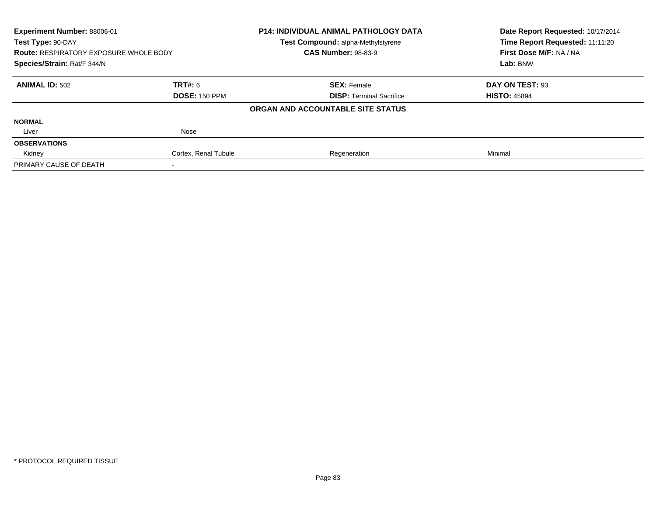| Experiment Number: 88006-01                   |                      | <b>P14: INDIVIDUAL ANIMAL PATHOLOGY DATA</b> | Date Report Requested: 10/17/2014 |
|-----------------------------------------------|----------------------|----------------------------------------------|-----------------------------------|
| Test Type: 90-DAY                             |                      | <b>Test Compound: alpha-Methylstyrene</b>    | Time Report Requested: 11:11:20   |
| <b>Route: RESPIRATORY EXPOSURE WHOLE BODY</b> |                      | <b>CAS Number: 98-83-9</b>                   | First Dose M/F: NA / NA           |
| Species/Strain: Rat/F 344/N                   |                      |                                              | Lab: BNW                          |
| <b>ANIMAL ID: 502</b>                         | TRT#: 6              | <b>SEX: Female</b>                           | DAY ON TEST: 93                   |
|                                               | <b>DOSE: 150 PPM</b> | <b>DISP:</b> Terminal Sacrifice              | <b>HISTO: 45894</b>               |
|                                               |                      | ORGAN AND ACCOUNTABLE SITE STATUS            |                                   |
| <b>NORMAL</b>                                 |                      |                                              |                                   |
| Liver                                         | Nose                 |                                              |                                   |
| <b>OBSERVATIONS</b>                           |                      |                                              |                                   |
| Kidney                                        | Cortex, Renal Tubule | Regeneration                                 | Minimal                           |
| PRIMARY CAUSE OF DEATH                        |                      |                                              |                                   |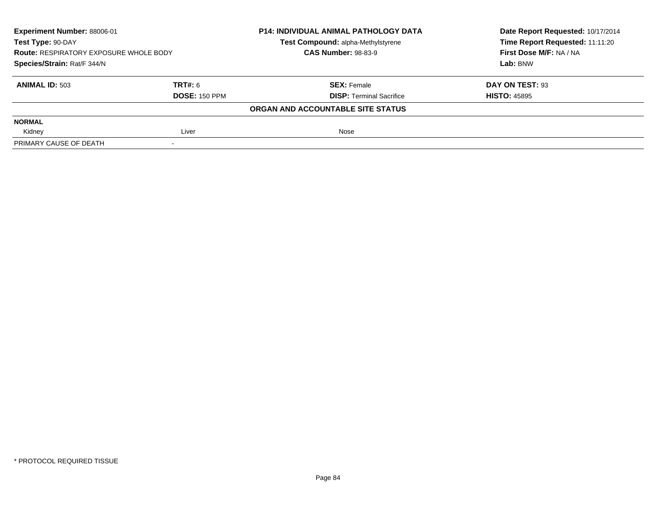| Experiment Number: 88006-01<br>Test Type: 90-DAY<br><b>Route: RESPIRATORY EXPOSURE WHOLE BODY</b><br>Species/Strain: Rat/F 344/N |                      | <b>P14: INDIVIDUAL ANIMAL PATHOLOGY DATA</b> | Date Report Requested: 10/17/2014 |
|----------------------------------------------------------------------------------------------------------------------------------|----------------------|----------------------------------------------|-----------------------------------|
|                                                                                                                                  |                      | Test Compound: alpha-Methylstyrene           | Time Report Requested: 11:11:20   |
|                                                                                                                                  |                      | <b>CAS Number: 98-83-9</b>                   | First Dose M/F: NA / NA           |
|                                                                                                                                  |                      |                                              | Lab: BNW                          |
| <b>ANIMAL ID: 503</b>                                                                                                            | <b>TRT#: 6</b>       | <b>SEX:</b> Female                           | DAY ON TEST: 93                   |
|                                                                                                                                  | <b>DOSE: 150 PPM</b> | <b>DISP: Terminal Sacrifice</b>              | <b>HISTO: 45895</b>               |
|                                                                                                                                  |                      | ORGAN AND ACCOUNTABLE SITE STATUS            |                                   |
| <b>NORMAL</b>                                                                                                                    |                      |                                              |                                   |
| Kidney                                                                                                                           | Liver                | Nose                                         |                                   |
| PRIMARY CAUSE OF DEATH                                                                                                           |                      |                                              |                                   |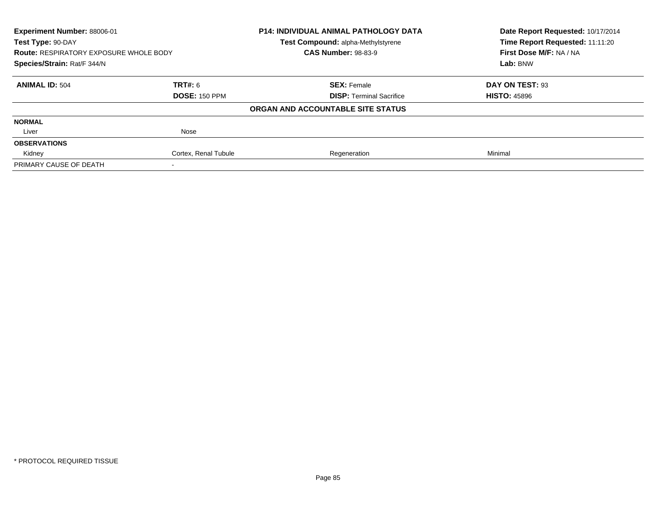| Experiment Number: 88006-01<br>Test Type: 90-DAY |                      | <b>P14: INDIVIDUAL ANIMAL PATHOLOGY DATA</b> | Date Report Requested: 10/17/2014<br>Time Report Requested: 11:11:20 |
|--------------------------------------------------|----------------------|----------------------------------------------|----------------------------------------------------------------------|
|                                                  |                      | <b>Test Compound: alpha-Methylstyrene</b>    |                                                                      |
| <b>Route: RESPIRATORY EXPOSURE WHOLE BODY</b>    |                      | <b>CAS Number: 98-83-9</b>                   | First Dose M/F: NA / NA                                              |
| Species/Strain: Rat/F 344/N                      |                      |                                              | Lab: BNW                                                             |
| <b>ANIMAL ID: 504</b>                            | TRT#: 6              | <b>SEX: Female</b>                           | DAY ON TEST: 93                                                      |
|                                                  | <b>DOSE: 150 PPM</b> | <b>DISP:</b> Terminal Sacrifice              | <b>HISTO: 45896</b>                                                  |
|                                                  |                      | ORGAN AND ACCOUNTABLE SITE STATUS            |                                                                      |
| <b>NORMAL</b>                                    |                      |                                              |                                                                      |
| Liver                                            | Nose                 |                                              |                                                                      |
| <b>OBSERVATIONS</b>                              |                      |                                              |                                                                      |
| Kidney                                           | Cortex, Renal Tubule | Regeneration                                 | Minimal                                                              |
| PRIMARY CAUSE OF DEATH                           |                      |                                              |                                                                      |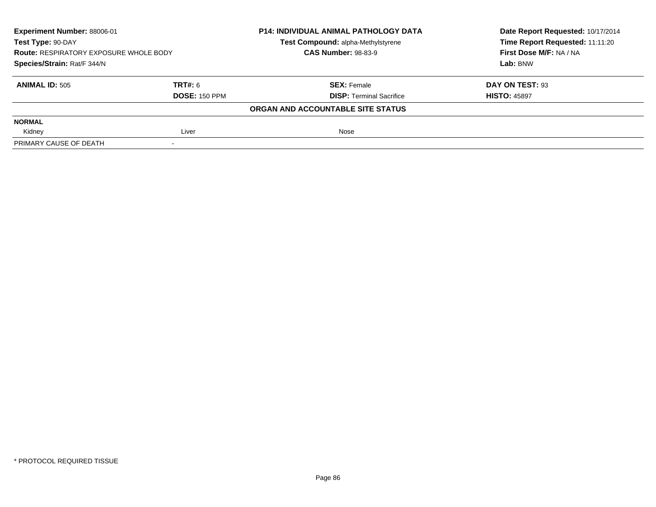| Experiment Number: 88006-01<br>Test Type: 90-DAY<br><b>Route: RESPIRATORY EXPOSURE WHOLE BODY</b><br>Species/Strain: Rat/F 344/N |                      | <b>P14: INDIVIDUAL ANIMAL PATHOLOGY DATA</b> | Date Report Requested: 10/17/2014 |
|----------------------------------------------------------------------------------------------------------------------------------|----------------------|----------------------------------------------|-----------------------------------|
|                                                                                                                                  |                      | Test Compound: alpha-Methylstyrene           | Time Report Requested: 11:11:20   |
|                                                                                                                                  |                      | <b>CAS Number: 98-83-9</b>                   | First Dose M/F: NA / NA           |
|                                                                                                                                  |                      |                                              | Lab: BNW                          |
| <b>ANIMAL ID: 505</b>                                                                                                            | TRT#: 6              | <b>SEX: Female</b>                           | DAY ON TEST: 93                   |
|                                                                                                                                  | <b>DOSE: 150 PPM</b> | <b>DISP: Terminal Sacrifice</b>              | <b>HISTO: 45897</b>               |
|                                                                                                                                  |                      | ORGAN AND ACCOUNTABLE SITE STATUS            |                                   |
| <b>NORMAL</b>                                                                                                                    |                      |                                              |                                   |
| Kidney                                                                                                                           | Liver                | Nose                                         |                                   |
| PRIMARY CAUSE OF DEATH                                                                                                           |                      |                                              |                                   |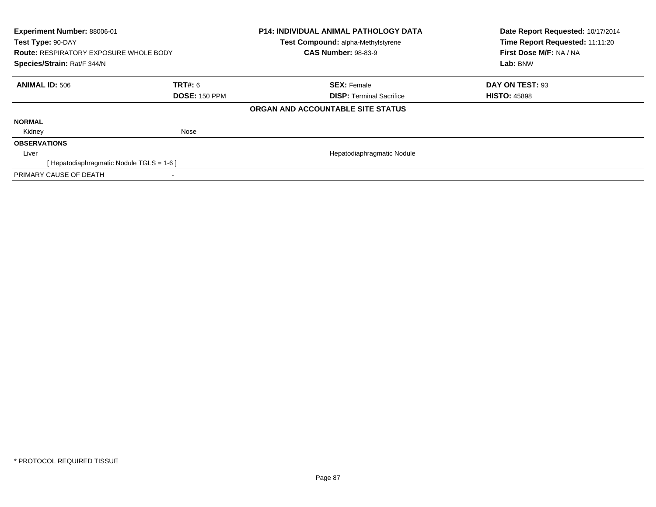| Experiment Number: 88006-01<br>Test Type: 90-DAY<br><b>Route: RESPIRATORY EXPOSURE WHOLE BODY</b><br>Species/Strain: Rat/F 344/N |                      | <b>P14: INDIVIDUAL ANIMAL PATHOLOGY DATA</b><br>Test Compound: alpha-Methylstyrene<br><b>CAS Number: 98-83-9</b> | Date Report Requested: 10/17/2014<br>Time Report Requested: 11:11:20<br>First Dose M/F: NA / NA<br>Lab: BNW |
|----------------------------------------------------------------------------------------------------------------------------------|----------------------|------------------------------------------------------------------------------------------------------------------|-------------------------------------------------------------------------------------------------------------|
|                                                                                                                                  |                      |                                                                                                                  |                                                                                                             |
| <b>ANIMAL ID: 506</b>                                                                                                            | <b>TRT#: 6</b>       | <b>SEX: Female</b>                                                                                               | DAY ON TEST: 93                                                                                             |
|                                                                                                                                  | <b>DOSE: 150 PPM</b> | <b>DISP:</b> Terminal Sacrifice                                                                                  | <b>HISTO: 45898</b>                                                                                         |
|                                                                                                                                  |                      | ORGAN AND ACCOUNTABLE SITE STATUS                                                                                |                                                                                                             |
| <b>NORMAL</b>                                                                                                                    |                      |                                                                                                                  |                                                                                                             |
| Kidney                                                                                                                           | Nose                 |                                                                                                                  |                                                                                                             |
| <b>OBSERVATIONS</b>                                                                                                              |                      |                                                                                                                  |                                                                                                             |
| Liver                                                                                                                            |                      | Hepatodiaphragmatic Nodule                                                                                       |                                                                                                             |
| [Hepatodiaphragmatic Nodule TGLS = 1-6]                                                                                          |                      |                                                                                                                  |                                                                                                             |
| PRIMARY CAUSE OF DEATH                                                                                                           |                      |                                                                                                                  |                                                                                                             |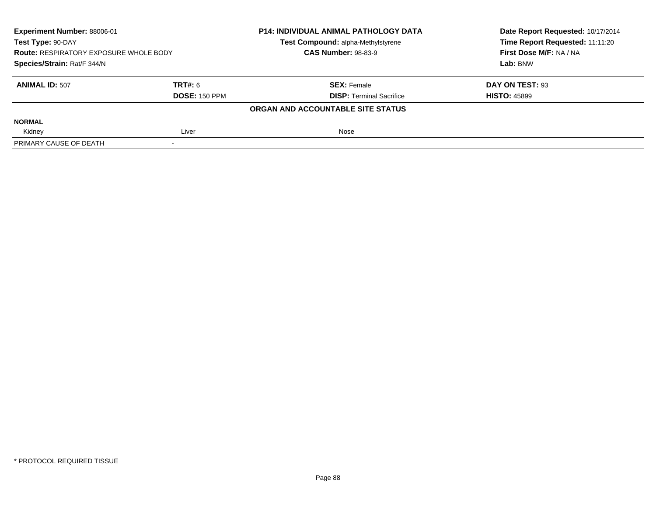| Experiment Number: 88006-01<br>Test Type: 90-DAY<br><b>Route: RESPIRATORY EXPOSURE WHOLE BODY</b><br>Species/Strain: Rat/F 344/N |                      | <b>P14: INDIVIDUAL ANIMAL PATHOLOGY DATA</b> | Date Report Requested: 10/17/2014 |
|----------------------------------------------------------------------------------------------------------------------------------|----------------------|----------------------------------------------|-----------------------------------|
|                                                                                                                                  |                      | Test Compound: alpha-Methylstyrene           | Time Report Requested: 11:11:20   |
|                                                                                                                                  |                      | <b>CAS Number: 98-83-9</b>                   | First Dose M/F: NA / NA           |
|                                                                                                                                  |                      |                                              | Lab: BNW                          |
| <b>ANIMAL ID: 507</b>                                                                                                            | <b>TRT#: 6</b>       | <b>SEX:</b> Female                           | DAY ON TEST: 93                   |
|                                                                                                                                  | <b>DOSE: 150 PPM</b> | <b>DISP: Terminal Sacrifice</b>              | <b>HISTO: 45899</b>               |
|                                                                                                                                  |                      | ORGAN AND ACCOUNTABLE SITE STATUS            |                                   |
| <b>NORMAL</b>                                                                                                                    |                      |                                              |                                   |
| Kidney                                                                                                                           | Liver                | Nose                                         |                                   |
| PRIMARY CAUSE OF DEATH                                                                                                           |                      |                                              |                                   |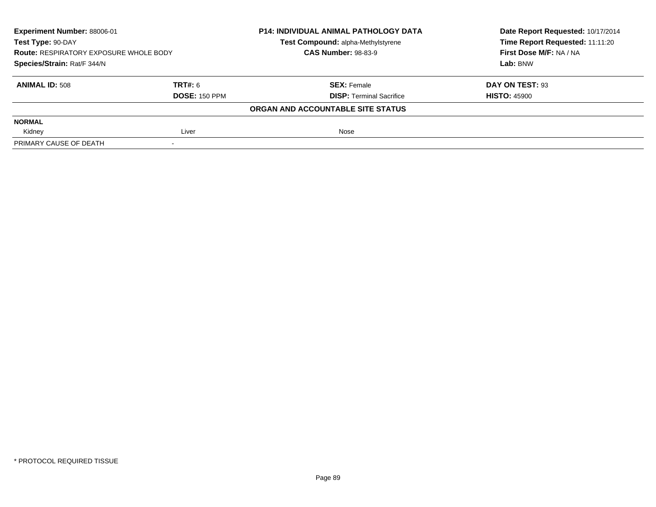| Experiment Number: 88006-01<br>Test Type: 90-DAY<br><b>Route: RESPIRATORY EXPOSURE WHOLE BODY</b><br>Species/Strain: Rat/F 344/N |                      | <b>P14: INDIVIDUAL ANIMAL PATHOLOGY DATA</b> | Date Report Requested: 10/17/2014 |
|----------------------------------------------------------------------------------------------------------------------------------|----------------------|----------------------------------------------|-----------------------------------|
|                                                                                                                                  |                      | Test Compound: alpha-Methylstyrene           | Time Report Requested: 11:11:20   |
|                                                                                                                                  |                      | <b>CAS Number: 98-83-9</b>                   | First Dose M/F: NA / NA           |
|                                                                                                                                  |                      |                                              | Lab: BNW                          |
| <b>ANIMAL ID: 508</b>                                                                                                            | TRT#: 6              | <b>SEX: Female</b>                           | DAY ON TEST: 93                   |
|                                                                                                                                  | <b>DOSE: 150 PPM</b> | <b>DISP: Terminal Sacrifice</b>              | <b>HISTO: 45900</b>               |
|                                                                                                                                  |                      | ORGAN AND ACCOUNTABLE SITE STATUS            |                                   |
| <b>NORMAL</b>                                                                                                                    |                      |                                              |                                   |
| Kidney                                                                                                                           | Liver                | Nose                                         |                                   |
| PRIMARY CAUSE OF DEATH                                                                                                           |                      |                                              |                                   |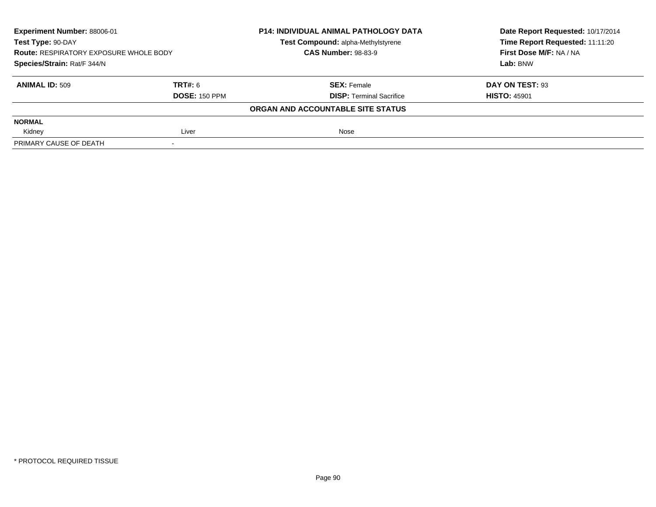| Experiment Number: 88006-01<br>Test Type: 90-DAY<br><b>Route: RESPIRATORY EXPOSURE WHOLE BODY</b><br>Species/Strain: Rat/F 344/N |                      | <b>P14: INDIVIDUAL ANIMAL PATHOLOGY DATA</b> | Date Report Requested: 10/17/2014 |
|----------------------------------------------------------------------------------------------------------------------------------|----------------------|----------------------------------------------|-----------------------------------|
|                                                                                                                                  |                      | Test Compound: alpha-Methylstyrene           | Time Report Requested: 11:11:20   |
|                                                                                                                                  |                      | <b>CAS Number: 98-83-9</b>                   | First Dose M/F: NA / NA           |
|                                                                                                                                  |                      |                                              | Lab: BNW                          |
| <b>ANIMAL ID: 509</b>                                                                                                            | TRT#: 6              | <b>SEX: Female</b>                           | DAY ON TEST: 93                   |
|                                                                                                                                  | <b>DOSE: 150 PPM</b> | <b>DISP: Terminal Sacrifice</b>              | <b>HISTO: 45901</b>               |
|                                                                                                                                  |                      | ORGAN AND ACCOUNTABLE SITE STATUS            |                                   |
| <b>NORMAL</b>                                                                                                                    |                      |                                              |                                   |
| Kidney                                                                                                                           | Liver                | Nose                                         |                                   |
| PRIMARY CAUSE OF DEATH                                                                                                           |                      |                                              |                                   |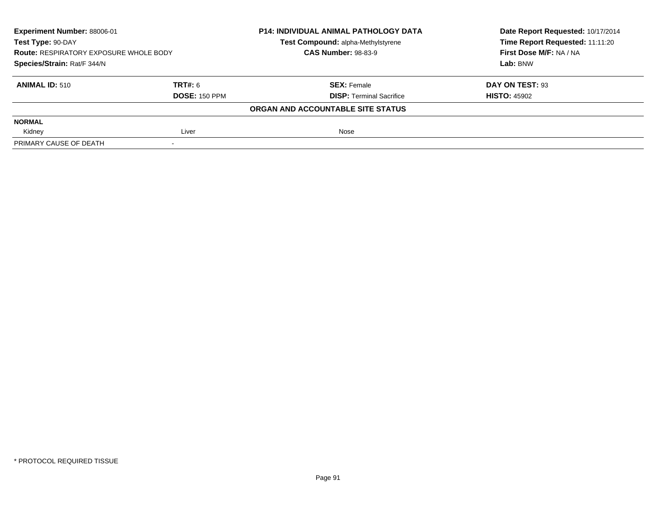| Experiment Number: 88006-01<br>Test Type: 90-DAY<br><b>Route: RESPIRATORY EXPOSURE WHOLE BODY</b><br>Species/Strain: Rat/F 344/N |                      | <b>P14: INDIVIDUAL ANIMAL PATHOLOGY DATA</b> | Date Report Requested: 10/17/2014 |
|----------------------------------------------------------------------------------------------------------------------------------|----------------------|----------------------------------------------|-----------------------------------|
|                                                                                                                                  |                      | Test Compound: alpha-Methylstyrene           | Time Report Requested: 11:11:20   |
|                                                                                                                                  |                      | <b>CAS Number: 98-83-9</b>                   | First Dose M/F: NA / NA           |
|                                                                                                                                  |                      |                                              | Lab: BNW                          |
| <b>ANIMAL ID: 510</b>                                                                                                            | TRT#: 6              | <b>SEX:</b> Female                           | DAY ON TEST: 93                   |
|                                                                                                                                  | <b>DOSE: 150 PPM</b> | <b>DISP: Terminal Sacrifice</b>              | <b>HISTO: 45902</b>               |
|                                                                                                                                  |                      | ORGAN AND ACCOUNTABLE SITE STATUS            |                                   |
| <b>NORMAL</b>                                                                                                                    |                      |                                              |                                   |
| Kidney                                                                                                                           | Liver                | Nose                                         |                                   |
| PRIMARY CAUSE OF DEATH                                                                                                           |                      |                                              |                                   |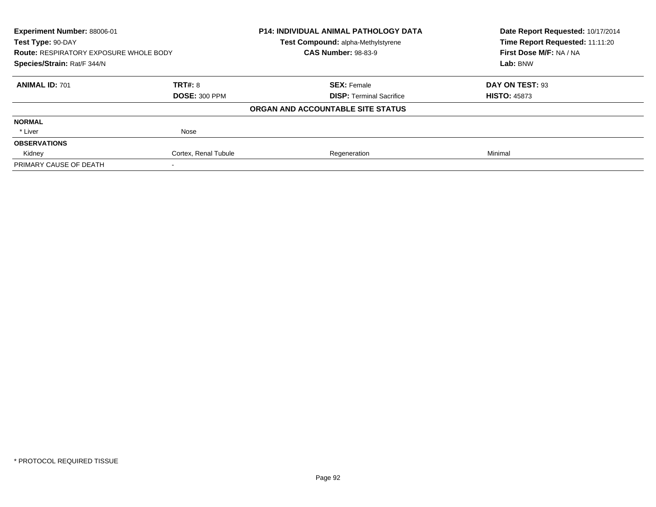| Experiment Number: 88006-01<br>Test Type: 90-DAY<br><b>Route: RESPIRATORY EXPOSURE WHOLE BODY</b><br>Species/Strain: Rat/F 344/N |                      | <b>P14: INDIVIDUAL ANIMAL PATHOLOGY DATA</b><br>Test Compound: alpha-Methylstyrene | Date Report Requested: 10/17/2014<br>Time Report Requested: 11:11:20<br>First Dose M/F: NA / NA<br>Lab: BNW |
|----------------------------------------------------------------------------------------------------------------------------------|----------------------|------------------------------------------------------------------------------------|-------------------------------------------------------------------------------------------------------------|
|                                                                                                                                  |                      | <b>CAS Number: 98-83-9</b>                                                         |                                                                                                             |
|                                                                                                                                  |                      |                                                                                    |                                                                                                             |
| <b>ANIMAL ID: 701</b>                                                                                                            | TRT#: 8              | <b>SEX: Female</b>                                                                 | DAY ON TEST: 93                                                                                             |
|                                                                                                                                  | <b>DOSE: 300 PPM</b> | <b>DISP:</b> Terminal Sacrifice                                                    | <b>HISTO: 45873</b>                                                                                         |
|                                                                                                                                  |                      | ORGAN AND ACCOUNTABLE SITE STATUS                                                  |                                                                                                             |
| <b>NORMAL</b>                                                                                                                    |                      |                                                                                    |                                                                                                             |
| * Liver                                                                                                                          | Nose                 |                                                                                    |                                                                                                             |
| <b>OBSERVATIONS</b>                                                                                                              |                      |                                                                                    |                                                                                                             |
| Kidney                                                                                                                           | Cortex, Renal Tubule | Regeneration                                                                       | Minimal                                                                                                     |
| PRIMARY CAUSE OF DEATH                                                                                                           |                      |                                                                                    |                                                                                                             |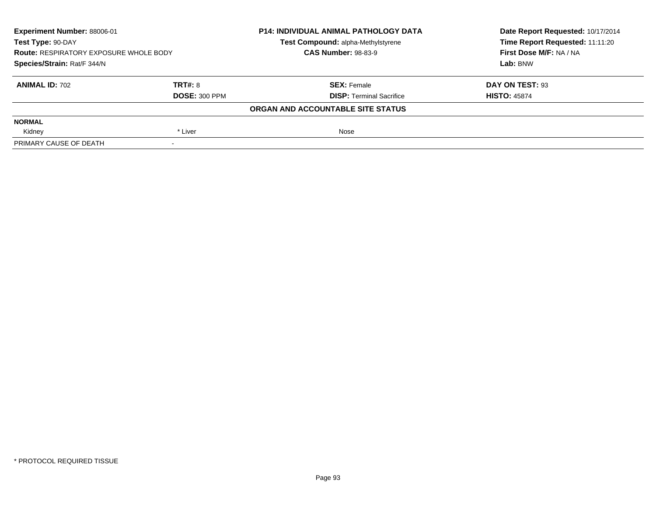| Experiment Number: 88006-01<br>Test Type: 90-DAY<br><b>Route: RESPIRATORY EXPOSURE WHOLE BODY</b><br>Species/Strain: Rat/F 344/N |                      | <b>P14: INDIVIDUAL ANIMAL PATHOLOGY DATA</b> | Date Report Requested: 10/17/2014 |
|----------------------------------------------------------------------------------------------------------------------------------|----------------------|----------------------------------------------|-----------------------------------|
|                                                                                                                                  |                      | Test Compound: alpha-Methylstyrene           | Time Report Requested: 11:11:20   |
|                                                                                                                                  |                      | <b>CAS Number: 98-83-9</b>                   | First Dose M/F: NA / NA           |
|                                                                                                                                  |                      |                                              | Lab: BNW                          |
| <b>ANIMAL ID: 702</b>                                                                                                            | <b>TRT#: 8</b>       | <b>SEX: Female</b>                           | DAY ON TEST: 93                   |
|                                                                                                                                  | <b>DOSE: 300 PPM</b> | <b>DISP: Terminal Sacrifice</b>              | <b>HISTO: 45874</b>               |
|                                                                                                                                  |                      | ORGAN AND ACCOUNTABLE SITE STATUS            |                                   |
| <b>NORMAL</b>                                                                                                                    |                      |                                              |                                   |
| Kidney                                                                                                                           | * Liver              | Nose                                         |                                   |
| PRIMARY CAUSE OF DEATH                                                                                                           |                      |                                              |                                   |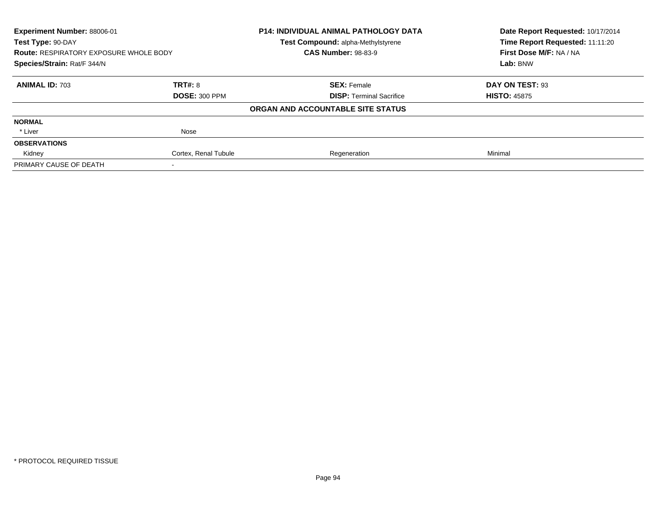| Experiment Number: 88006-01<br>Test Type: 90-DAY |                      | <b>P14: INDIVIDUAL ANIMAL PATHOLOGY DATA</b> | Date Report Requested: 10/17/2014<br>Time Report Requested: 11:11:20 |
|--------------------------------------------------|----------------------|----------------------------------------------|----------------------------------------------------------------------|
|                                                  |                      | <b>Test Compound: alpha-Methylstyrene</b>    |                                                                      |
| <b>Route: RESPIRATORY EXPOSURE WHOLE BODY</b>    |                      | <b>CAS Number: 98-83-9</b>                   | First Dose M/F: NA / NA                                              |
| Species/Strain: Rat/F 344/N                      |                      |                                              | Lab: BNW                                                             |
| <b>ANIMAL ID: 703</b>                            | TRT#: 8              | <b>SEX: Female</b>                           | DAY ON TEST: 93                                                      |
|                                                  | <b>DOSE: 300 PPM</b> | <b>DISP:</b> Terminal Sacrifice              | <b>HISTO: 45875</b>                                                  |
|                                                  |                      | ORGAN AND ACCOUNTABLE SITE STATUS            |                                                                      |
| <b>NORMAL</b>                                    |                      |                                              |                                                                      |
| * Liver                                          | Nose                 |                                              |                                                                      |
| <b>OBSERVATIONS</b>                              |                      |                                              |                                                                      |
| Kidney                                           | Cortex, Renal Tubule | Regeneration                                 | Minimal                                                              |
| PRIMARY CAUSE OF DEATH                           |                      |                                              |                                                                      |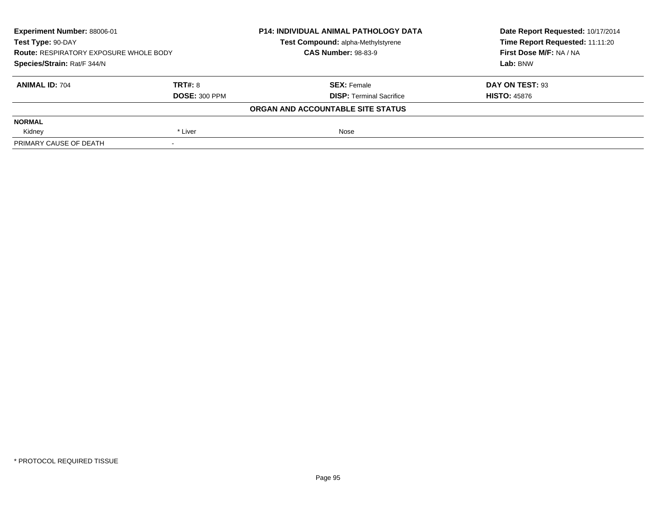| Experiment Number: 88006-01<br>Test Type: 90-DAY<br><b>Route: RESPIRATORY EXPOSURE WHOLE BODY</b><br>Species/Strain: Rat/F 344/N |                      | <b>P14: INDIVIDUAL ANIMAL PATHOLOGY DATA</b> | Date Report Requested: 10/17/2014 |
|----------------------------------------------------------------------------------------------------------------------------------|----------------------|----------------------------------------------|-----------------------------------|
|                                                                                                                                  |                      | Test Compound: alpha-Methylstyrene           | Time Report Requested: 11:11:20   |
|                                                                                                                                  |                      | <b>CAS Number: 98-83-9</b>                   | First Dose M/F: NA / NA           |
|                                                                                                                                  |                      |                                              | Lab: BNW                          |
| <b>ANIMAL ID: 704</b>                                                                                                            | TRT#: 8              | <b>SEX: Female</b>                           | DAY ON TEST: 93                   |
|                                                                                                                                  | <b>DOSE: 300 PPM</b> | <b>DISP: Terminal Sacrifice</b>              | <b>HISTO: 45876</b>               |
|                                                                                                                                  |                      | ORGAN AND ACCOUNTABLE SITE STATUS            |                                   |
| <b>NORMAL</b>                                                                                                                    |                      |                                              |                                   |
| Kidney                                                                                                                           | * Liver              | Nose                                         |                                   |
| PRIMARY CAUSE OF DEATH                                                                                                           |                      |                                              |                                   |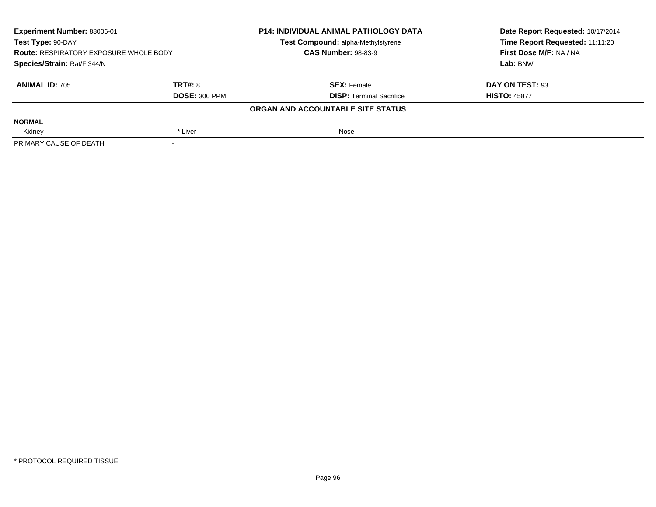| Experiment Number: 88006-01<br>Test Type: 90-DAY<br><b>Route: RESPIRATORY EXPOSURE WHOLE BODY</b><br>Species/Strain: Rat/F 344/N |                      | <b>P14: INDIVIDUAL ANIMAL PATHOLOGY DATA</b> | Date Report Requested: 10/17/2014 |
|----------------------------------------------------------------------------------------------------------------------------------|----------------------|----------------------------------------------|-----------------------------------|
|                                                                                                                                  |                      | Test Compound: alpha-Methylstyrene           | Time Report Requested: 11:11:20   |
|                                                                                                                                  |                      | <b>CAS Number: 98-83-9</b>                   | First Dose M/F: NA / NA           |
|                                                                                                                                  |                      |                                              | Lab: BNW                          |
| <b>ANIMAL ID: 705</b>                                                                                                            | TRT#: 8              | <b>SEX: Female</b>                           | DAY ON TEST: 93                   |
|                                                                                                                                  | <b>DOSE: 300 PPM</b> | <b>DISP: Terminal Sacrifice</b>              | <b>HISTO: 45877</b>               |
|                                                                                                                                  |                      | ORGAN AND ACCOUNTABLE SITE STATUS            |                                   |
| <b>NORMAL</b>                                                                                                                    |                      |                                              |                                   |
| Kidney                                                                                                                           | * Liver              | Nose                                         |                                   |
| PRIMARY CAUSE OF DEATH                                                                                                           |                      |                                              |                                   |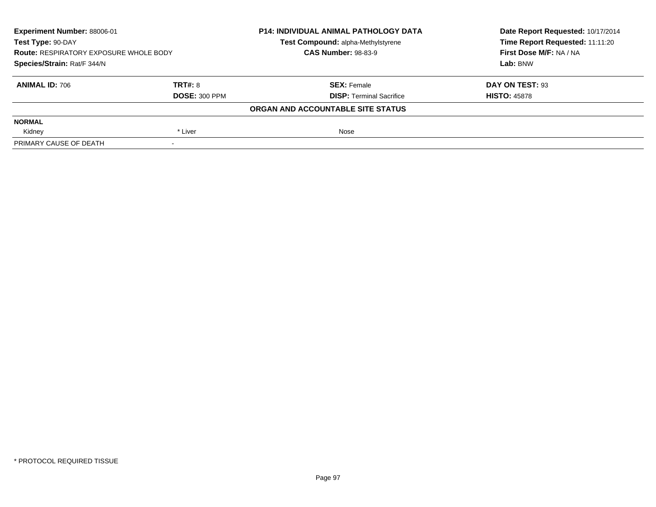| Experiment Number: 88006-01<br>Test Type: 90-DAY<br><b>Route: RESPIRATORY EXPOSURE WHOLE BODY</b><br>Species/Strain: Rat/F 344/N |                      | <b>P14: INDIVIDUAL ANIMAL PATHOLOGY DATA</b>                     | Date Report Requested: 10/17/2014<br>Time Report Requested: 11:11:20 |
|----------------------------------------------------------------------------------------------------------------------------------|----------------------|------------------------------------------------------------------|----------------------------------------------------------------------|
|                                                                                                                                  |                      | Test Compound: alpha-Methylstyrene<br><b>CAS Number: 98-83-9</b> | First Dose M/F: NA / NA                                              |
|                                                                                                                                  |                      |                                                                  | Lab: BNW                                                             |
| <b>ANIMAL ID: 706</b>                                                                                                            | TRT#: 8              | <b>SEX: Female</b>                                               | DAY ON TEST: 93                                                      |
|                                                                                                                                  | <b>DOSE: 300 PPM</b> | <b>DISP:</b> Terminal Sacrifice                                  | <b>HISTO: 45878</b>                                                  |
|                                                                                                                                  |                      | ORGAN AND ACCOUNTABLE SITE STATUS                                |                                                                      |
| <b>NORMAL</b>                                                                                                                    |                      |                                                                  |                                                                      |
| Kidney                                                                                                                           | * Liver              | Nose                                                             |                                                                      |
| PRIMARY CAUSE OF DEATH                                                                                                           | $\,$                 |                                                                  |                                                                      |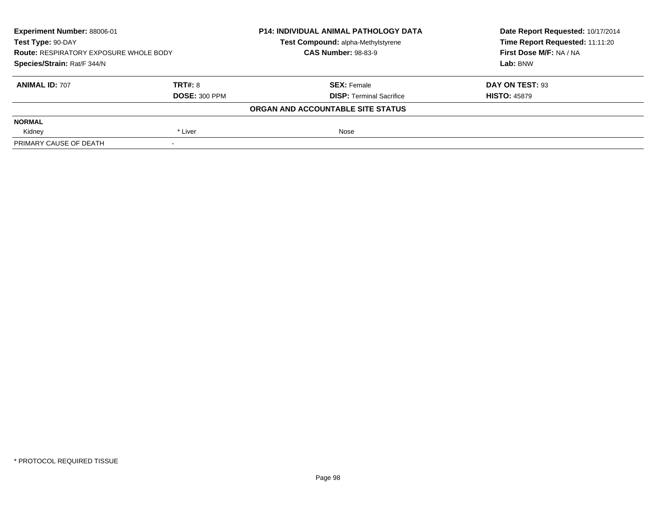| Experiment Number: 88006-01<br>Test Type: 90-DAY<br><b>Route: RESPIRATORY EXPOSURE WHOLE BODY</b><br>Species/Strain: Rat/F 344/N |                      | <b>P14: INDIVIDUAL ANIMAL PATHOLOGY DATA</b> | Date Report Requested: 10/17/2014 |
|----------------------------------------------------------------------------------------------------------------------------------|----------------------|----------------------------------------------|-----------------------------------|
|                                                                                                                                  |                      | Test Compound: alpha-Methylstyrene           | Time Report Requested: 11:11:20   |
|                                                                                                                                  |                      | <b>CAS Number: 98-83-9</b>                   | First Dose M/F: NA / NA           |
|                                                                                                                                  |                      |                                              | Lab: BNW                          |
| <b>ANIMAL ID: 707</b>                                                                                                            | TRT#: 8              | <b>SEX: Female</b>                           | DAY ON TEST: 93                   |
|                                                                                                                                  | <b>DOSE: 300 PPM</b> | <b>DISP: Terminal Sacrifice</b>              | <b>HISTO: 45879</b>               |
|                                                                                                                                  |                      | ORGAN AND ACCOUNTABLE SITE STATUS            |                                   |
| <b>NORMAL</b>                                                                                                                    |                      |                                              |                                   |
| Kidney                                                                                                                           | * Liver              | Nose                                         |                                   |
| PRIMARY CAUSE OF DEATH                                                                                                           |                      |                                              |                                   |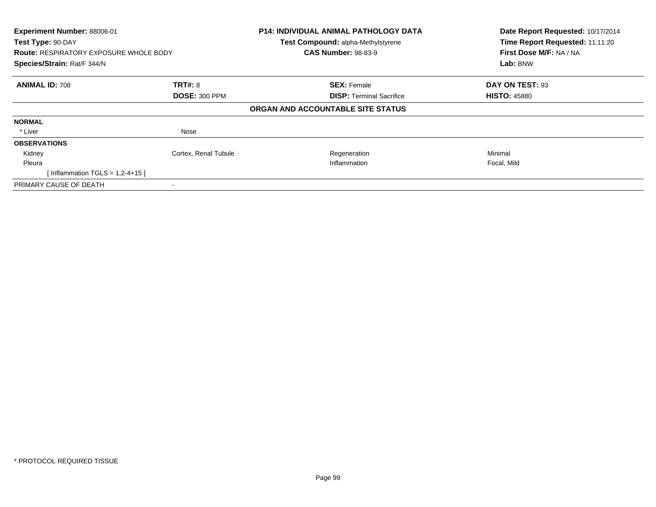| Experiment Number: 88006-01<br>Test Type: 90-DAY<br><b>Route: RESPIRATORY EXPOSURE WHOLE BODY</b><br>Species/Strain: Rat/F 344/N |                      | P14: INDIVIDUAL ANIMAL PATHOLOGY DATA<br>Test Compound: alpha-Methylstyrene<br><b>CAS Number: 98-83-9</b> | Date Report Requested: 10/17/2014<br>Time Report Requested: 11:11:20<br>First Dose M/F: NA / NA<br>Lab: BNW |
|----------------------------------------------------------------------------------------------------------------------------------|----------------------|-----------------------------------------------------------------------------------------------------------|-------------------------------------------------------------------------------------------------------------|
| <b>ANIMAL ID: 708</b>                                                                                                            | <b>TRT#: 8</b>       | <b>SEX: Female</b>                                                                                        | DAY ON TEST: 93                                                                                             |
|                                                                                                                                  | <b>DOSE: 300 PPM</b> | <b>DISP:</b> Terminal Sacrifice                                                                           | <b>HISTO: 45880</b>                                                                                         |
|                                                                                                                                  |                      | ORGAN AND ACCOUNTABLE SITE STATUS                                                                         |                                                                                                             |
| <b>NORMAL</b>                                                                                                                    |                      |                                                                                                           |                                                                                                             |
| * Liver                                                                                                                          | Nose                 |                                                                                                           |                                                                                                             |
| <b>OBSERVATIONS</b>                                                                                                              |                      |                                                                                                           |                                                                                                             |
| Kidney                                                                                                                           | Cortex, Renal Tubule | Regeneration                                                                                              | Minimal                                                                                                     |
| Pleura                                                                                                                           |                      | Inflammation                                                                                              | Focal, Mild                                                                                                 |
| [Inflammation TGLS = $1,2-4+15$ ]                                                                                                |                      |                                                                                                           |                                                                                                             |
| PRIMARY CAUSE OF DEATH                                                                                                           |                      |                                                                                                           |                                                                                                             |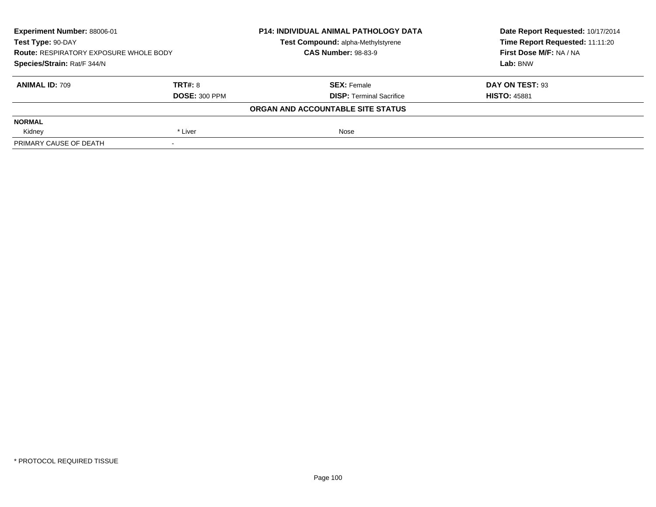| Experiment Number: 88006-01<br>Test Type: 90-DAY<br><b>Route: RESPIRATORY EXPOSURE WHOLE BODY</b><br>Species/Strain: Rat/F 344/N |                      | <b>P14: INDIVIDUAL ANIMAL PATHOLOGY DATA</b><br>Test Compound: alpha-Methylstyrene | Date Report Requested: 10/17/2014<br>Time Report Requested: 11:11:20<br>First Dose M/F: NA / NA<br>Lab: BNW |
|----------------------------------------------------------------------------------------------------------------------------------|----------------------|------------------------------------------------------------------------------------|-------------------------------------------------------------------------------------------------------------|
|                                                                                                                                  |                      | <b>CAS Number: 98-83-9</b>                                                         |                                                                                                             |
|                                                                                                                                  |                      |                                                                                    |                                                                                                             |
| <b>ANIMAL ID: 709</b>                                                                                                            | TRT#: 8              | <b>SEX: Female</b>                                                                 | DAY ON TEST: 93                                                                                             |
|                                                                                                                                  | <b>DOSE: 300 PPM</b> | <b>DISP: Terminal Sacrifice</b>                                                    | <b>HISTO: 45881</b>                                                                                         |
|                                                                                                                                  |                      | ORGAN AND ACCOUNTABLE SITE STATUS                                                  |                                                                                                             |
| <b>NORMAL</b>                                                                                                                    |                      |                                                                                    |                                                                                                             |
| Kidney                                                                                                                           | * Liver              | Nose                                                                               |                                                                                                             |
| PRIMARY CAUSE OF DEATH                                                                                                           |                      |                                                                                    |                                                                                                             |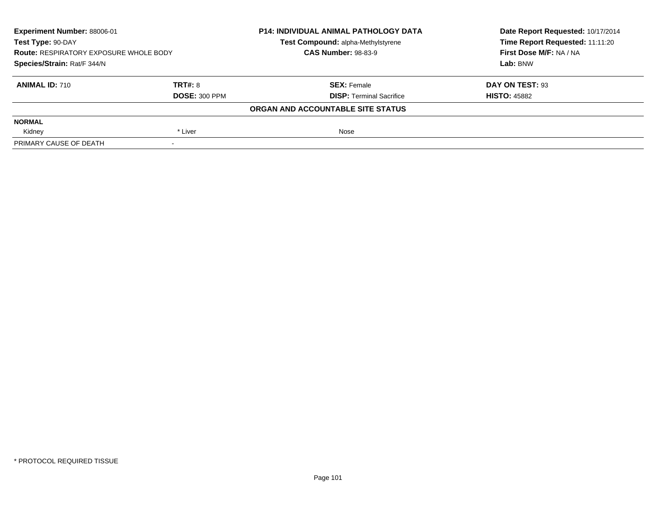| Experiment Number: 88006-01<br>Test Type: 90-DAY<br><b>Route: RESPIRATORY EXPOSURE WHOLE BODY</b><br>Species/Strain: Rat/F 344/N |                      | <b>P14: INDIVIDUAL ANIMAL PATHOLOGY DATA</b> | Date Report Requested: 10/17/2014 |
|----------------------------------------------------------------------------------------------------------------------------------|----------------------|----------------------------------------------|-----------------------------------|
|                                                                                                                                  |                      | Test Compound: alpha-Methylstyrene           | Time Report Requested: 11:11:20   |
|                                                                                                                                  |                      | <b>CAS Number: 98-83-9</b>                   | First Dose M/F: NA / NA           |
|                                                                                                                                  |                      |                                              | Lab: BNW                          |
| <b>ANIMAL ID: 710</b>                                                                                                            | <b>TRT#: 8</b>       | <b>SEX: Female</b>                           | DAY ON TEST: 93                   |
|                                                                                                                                  | <b>DOSE: 300 PPM</b> | <b>DISP: Terminal Sacrifice</b>              | <b>HISTO: 45882</b>               |
|                                                                                                                                  |                      | ORGAN AND ACCOUNTABLE SITE STATUS            |                                   |
| <b>NORMAL</b>                                                                                                                    |                      |                                              |                                   |
| Kidney                                                                                                                           | * Liver              | Nose                                         |                                   |
| PRIMARY CAUSE OF DEATH                                                                                                           |                      |                                              |                                   |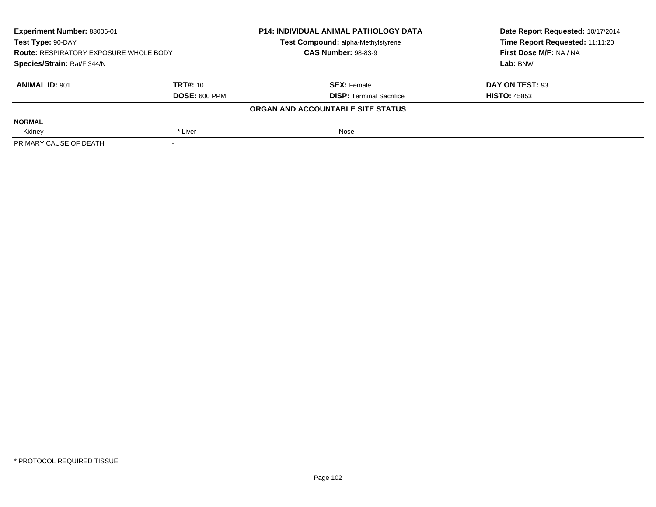| Experiment Number: 88006-01<br>Test Type: 90-DAY<br><b>Route: RESPIRATORY EXPOSURE WHOLE BODY</b><br>Species/Strain: Rat/F 344/N |                      | <b>P14: INDIVIDUAL ANIMAL PATHOLOGY DATA</b> | Date Report Requested: 10/17/2014 |
|----------------------------------------------------------------------------------------------------------------------------------|----------------------|----------------------------------------------|-----------------------------------|
|                                                                                                                                  |                      | Test Compound: alpha-Methylstyrene           | Time Report Requested: 11:11:20   |
|                                                                                                                                  |                      | <b>CAS Number: 98-83-9</b>                   | First Dose M/F: NA / NA           |
|                                                                                                                                  |                      |                                              | Lab: BNW                          |
| <b>ANIMAL ID: 901</b>                                                                                                            | <b>TRT#: 10</b>      | <b>SEX: Female</b>                           | DAY ON TEST: 93                   |
|                                                                                                                                  | <b>DOSE: 600 PPM</b> | <b>DISP: Terminal Sacrifice</b>              | <b>HISTO: 45853</b>               |
|                                                                                                                                  |                      | ORGAN AND ACCOUNTABLE SITE STATUS            |                                   |
| <b>NORMAL</b>                                                                                                                    |                      |                                              |                                   |
| Kidney                                                                                                                           | * Liver              | Nose                                         |                                   |
| PRIMARY CAUSE OF DEATH                                                                                                           |                      |                                              |                                   |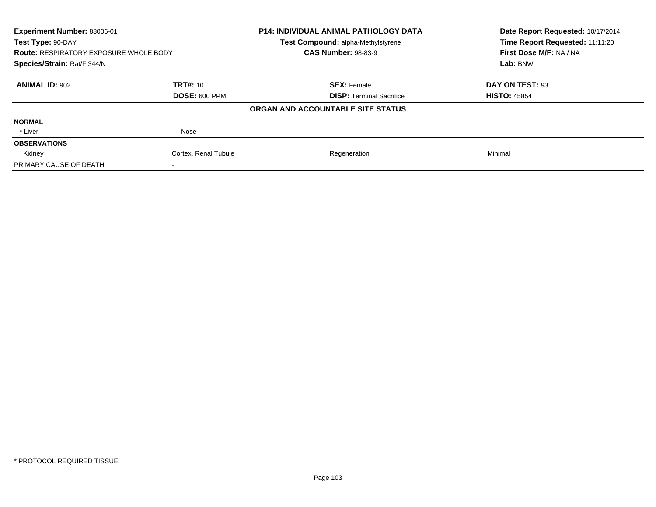| Experiment Number: 88006-01<br>Test Type: 90-DAY |                      | <b>P14: INDIVIDUAL ANIMAL PATHOLOGY DATA</b> | Date Report Requested: 10/17/2014<br>Time Report Requested: 11:11:20 |
|--------------------------------------------------|----------------------|----------------------------------------------|----------------------------------------------------------------------|
|                                                  |                      | Test Compound: alpha-Methylstyrene           |                                                                      |
| <b>Route: RESPIRATORY EXPOSURE WHOLE BODY</b>    |                      | <b>CAS Number: 98-83-9</b>                   | First Dose M/F: NA / NA                                              |
| Species/Strain: Rat/F 344/N                      |                      |                                              | Lab: BNW                                                             |
| <b>ANIMAL ID: 902</b>                            | <b>TRT#: 10</b>      | <b>SEX: Female</b>                           | DAY ON TEST: 93                                                      |
|                                                  | <b>DOSE: 600 PPM</b> | <b>DISP: Terminal Sacrifice</b>              | <b>HISTO: 45854</b>                                                  |
|                                                  |                      | ORGAN AND ACCOUNTABLE SITE STATUS            |                                                                      |
| <b>NORMAL</b>                                    |                      |                                              |                                                                      |
| * Liver                                          | Nose                 |                                              |                                                                      |
| <b>OBSERVATIONS</b>                              |                      |                                              |                                                                      |
| Kidney                                           | Cortex, Renal Tubule | Regeneration                                 | Minimal                                                              |
| PRIMARY CAUSE OF DEATH                           |                      |                                              |                                                                      |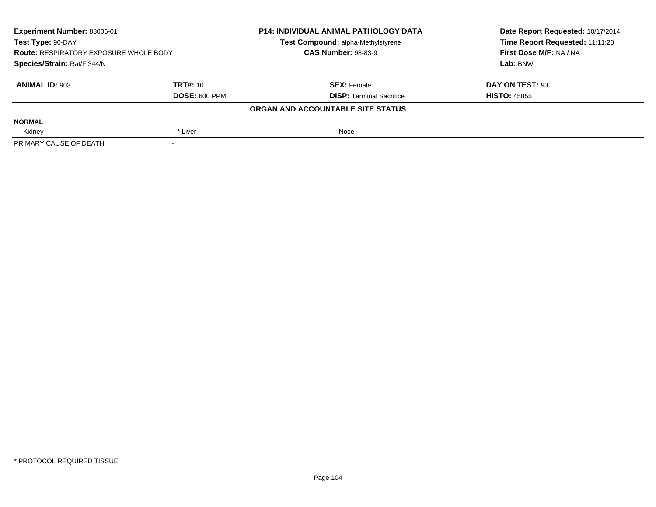| Experiment Number: 88006-01<br>Test Type: 90-DAY<br><b>Route: RESPIRATORY EXPOSURE WHOLE BODY</b><br>Species/Strain: Rat/F 344/N |                      | <b>P14: INDIVIDUAL ANIMAL PATHOLOGY DATA</b> | Date Report Requested: 10/17/2014 |
|----------------------------------------------------------------------------------------------------------------------------------|----------------------|----------------------------------------------|-----------------------------------|
|                                                                                                                                  |                      | Test Compound: alpha-Methylstyrene           | Time Report Requested: 11:11:20   |
|                                                                                                                                  |                      | <b>CAS Number: 98-83-9</b>                   | First Dose M/F: NA / NA           |
|                                                                                                                                  |                      |                                              | Lab: BNW                          |
| <b>ANIMAL ID: 903</b>                                                                                                            | <b>TRT#: 10</b>      | <b>SEX: Female</b>                           | DAY ON TEST: 93                   |
|                                                                                                                                  | <b>DOSE: 600 PPM</b> | <b>DISP: Terminal Sacrifice</b>              | <b>HISTO: 45855</b>               |
|                                                                                                                                  |                      | ORGAN AND ACCOUNTABLE SITE STATUS            |                                   |
| <b>NORMAL</b>                                                                                                                    |                      |                                              |                                   |
| Kidney                                                                                                                           | * Liver              | Nose                                         |                                   |
| PRIMARY CAUSE OF DEATH                                                                                                           |                      |                                              |                                   |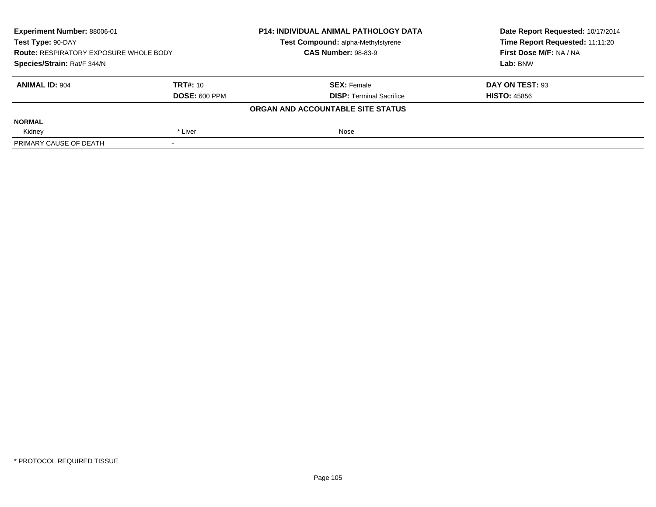| Experiment Number: 88006-01<br>Test Type: 90-DAY<br><b>Route: RESPIRATORY EXPOSURE WHOLE BODY</b><br>Species/Strain: Rat/F 344/N |                      | <b>P14: INDIVIDUAL ANIMAL PATHOLOGY DATA</b> | Date Report Requested: 10/17/2014 |
|----------------------------------------------------------------------------------------------------------------------------------|----------------------|----------------------------------------------|-----------------------------------|
|                                                                                                                                  |                      | Test Compound: alpha-Methylstyrene           | Time Report Requested: 11:11:20   |
|                                                                                                                                  |                      | <b>CAS Number: 98-83-9</b>                   | First Dose M/F: NA / NA           |
|                                                                                                                                  |                      |                                              | Lab: BNW                          |
| <b>ANIMAL ID: 904</b>                                                                                                            | <b>TRT#: 10</b>      | <b>SEX: Female</b>                           | DAY ON TEST: 93                   |
|                                                                                                                                  | <b>DOSE: 600 PPM</b> | <b>DISP: Terminal Sacrifice</b>              | <b>HISTO: 45856</b>               |
|                                                                                                                                  |                      | ORGAN AND ACCOUNTABLE SITE STATUS            |                                   |
| <b>NORMAL</b>                                                                                                                    |                      |                                              |                                   |
| Kidney                                                                                                                           | * Liver              | Nose                                         |                                   |
| PRIMARY CAUSE OF DEATH                                                                                                           |                      |                                              |                                   |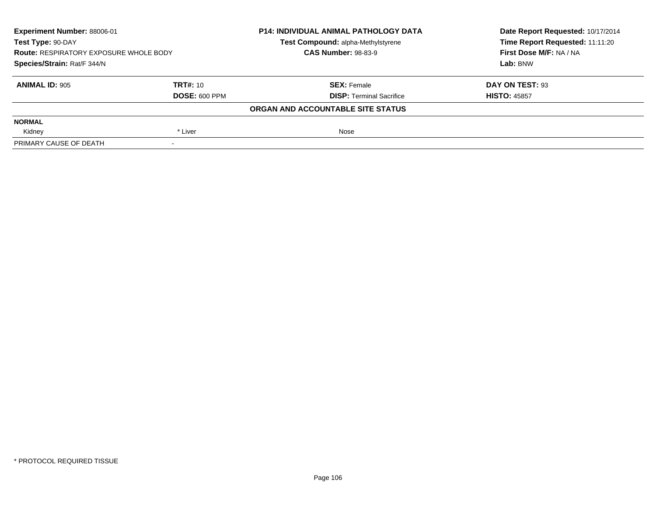| Experiment Number: 88006-01<br>Test Type: 90-DAY<br><b>Route: RESPIRATORY EXPOSURE WHOLE BODY</b><br>Species/Strain: Rat/F 344/N |                      | <b>P14: INDIVIDUAL ANIMAL PATHOLOGY DATA</b> | Date Report Requested: 10/17/2014 |
|----------------------------------------------------------------------------------------------------------------------------------|----------------------|----------------------------------------------|-----------------------------------|
|                                                                                                                                  |                      | Test Compound: alpha-Methylstyrene           | Time Report Requested: 11:11:20   |
|                                                                                                                                  |                      | <b>CAS Number: 98-83-9</b>                   | First Dose M/F: NA / NA           |
|                                                                                                                                  |                      |                                              | Lab: BNW                          |
| <b>ANIMAL ID: 905</b>                                                                                                            | <b>TRT#: 10</b>      | <b>SEX: Female</b>                           | DAY ON TEST: 93                   |
|                                                                                                                                  | <b>DOSE: 600 PPM</b> | <b>DISP: Terminal Sacrifice</b>              | <b>HISTO: 45857</b>               |
|                                                                                                                                  |                      | ORGAN AND ACCOUNTABLE SITE STATUS            |                                   |
| <b>NORMAL</b>                                                                                                                    |                      |                                              |                                   |
| Kidney                                                                                                                           | * Liver              | Nose                                         |                                   |
| PRIMARY CAUSE OF DEATH                                                                                                           |                      |                                              |                                   |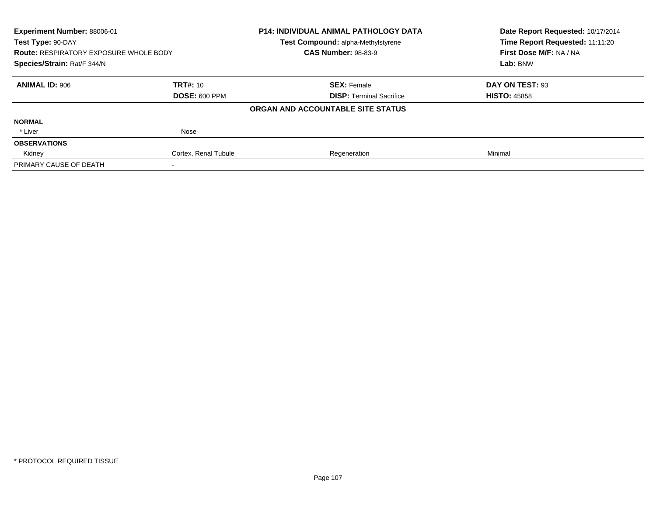| Experiment Number: 88006-01<br>Test Type: 90-DAY |                      | <b>P14: INDIVIDUAL ANIMAL PATHOLOGY DATA</b> | Date Report Requested: 10/17/2014<br>Time Report Requested: 11:11:20 |
|--------------------------------------------------|----------------------|----------------------------------------------|----------------------------------------------------------------------|
|                                                  |                      | <b>Test Compound: alpha-Methylstyrene</b>    |                                                                      |
| <b>Route: RESPIRATORY EXPOSURE WHOLE BODY</b>    |                      | <b>CAS Number: 98-83-9</b>                   | First Dose M/F: NA / NA                                              |
| Species/Strain: Rat/F 344/N                      |                      |                                              | Lab: BNW                                                             |
| <b>ANIMAL ID: 906</b>                            | <b>TRT#: 10</b>      | <b>SEX: Female</b>                           | DAY ON TEST: 93                                                      |
|                                                  | <b>DOSE: 600 PPM</b> | <b>DISP:</b> Terminal Sacrifice              | <b>HISTO: 45858</b>                                                  |
|                                                  |                      | ORGAN AND ACCOUNTABLE SITE STATUS            |                                                                      |
| <b>NORMAL</b>                                    |                      |                                              |                                                                      |
| * Liver                                          | Nose                 |                                              |                                                                      |
| <b>OBSERVATIONS</b>                              |                      |                                              |                                                                      |
| Kidney                                           | Cortex, Renal Tubule | Regeneration                                 | Minimal                                                              |
| PRIMARY CAUSE OF DEATH                           |                      |                                              |                                                                      |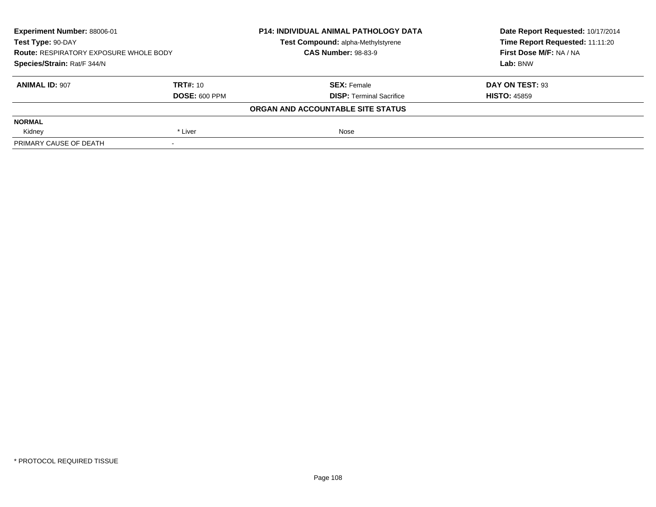| Experiment Number: 88006-01<br>Test Type: 90-DAY<br><b>Route: RESPIRATORY EXPOSURE WHOLE BODY</b><br>Species/Strain: Rat/F 344/N |                      | <b>P14: INDIVIDUAL ANIMAL PATHOLOGY DATA</b> | Date Report Requested: 10/17/2014 |
|----------------------------------------------------------------------------------------------------------------------------------|----------------------|----------------------------------------------|-----------------------------------|
|                                                                                                                                  |                      | Test Compound: alpha-Methylstyrene           | Time Report Requested: 11:11:20   |
|                                                                                                                                  |                      | <b>CAS Number: 98-83-9</b>                   | First Dose M/F: NA / NA           |
|                                                                                                                                  |                      |                                              | Lab: BNW                          |
| <b>ANIMAL ID: 907</b>                                                                                                            | <b>TRT#: 10</b>      | <b>SEX: Female</b>                           | DAY ON TEST: 93                   |
|                                                                                                                                  | <b>DOSE: 600 PPM</b> | <b>DISP: Terminal Sacrifice</b>              | <b>HISTO: 45859</b>               |
|                                                                                                                                  |                      | ORGAN AND ACCOUNTABLE SITE STATUS            |                                   |
| <b>NORMAL</b>                                                                                                                    |                      |                                              |                                   |
| Kidney                                                                                                                           | * Liver              | Nose                                         |                                   |
| PRIMARY CAUSE OF DEATH                                                                                                           |                      |                                              |                                   |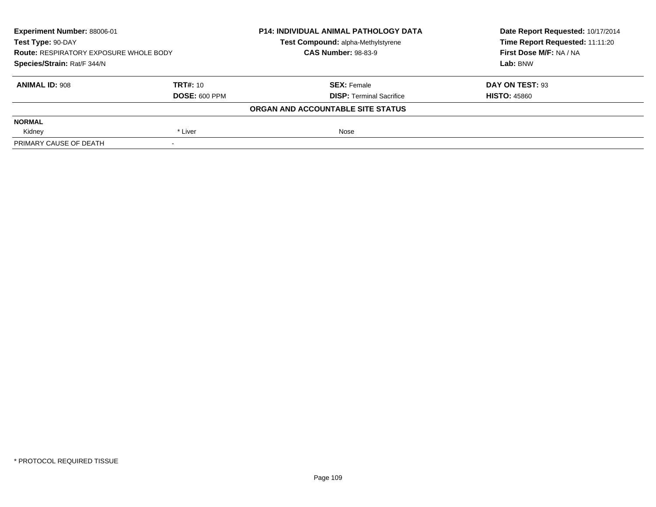| Experiment Number: 88006-01<br>Test Type: 90-DAY<br><b>Route: RESPIRATORY EXPOSURE WHOLE BODY</b><br>Species/Strain: Rat/F 344/N |                      | <b>P14: INDIVIDUAL ANIMAL PATHOLOGY DATA</b> | Date Report Requested: 10/17/2014 |  |
|----------------------------------------------------------------------------------------------------------------------------------|----------------------|----------------------------------------------|-----------------------------------|--|
|                                                                                                                                  |                      | Test Compound: alpha-Methylstyrene           | Time Report Requested: 11:11:20   |  |
|                                                                                                                                  |                      | <b>CAS Number: 98-83-9</b>                   | First Dose M/F: NA / NA           |  |
|                                                                                                                                  |                      |                                              | Lab: BNW                          |  |
| <b>ANIMAL ID: 908</b>                                                                                                            | <b>TRT#: 10</b>      | <b>SEX: Female</b>                           | DAY ON TEST: 93                   |  |
|                                                                                                                                  | <b>DOSE: 600 PPM</b> | <b>DISP: Terminal Sacrifice</b>              | <b>HISTO: 45860</b>               |  |
|                                                                                                                                  |                      | ORGAN AND ACCOUNTABLE SITE STATUS            |                                   |  |
| <b>NORMAL</b>                                                                                                                    |                      |                                              |                                   |  |
| Kidney                                                                                                                           | * Liver              | Nose                                         |                                   |  |
| PRIMARY CAUSE OF DEATH                                                                                                           |                      |                                              |                                   |  |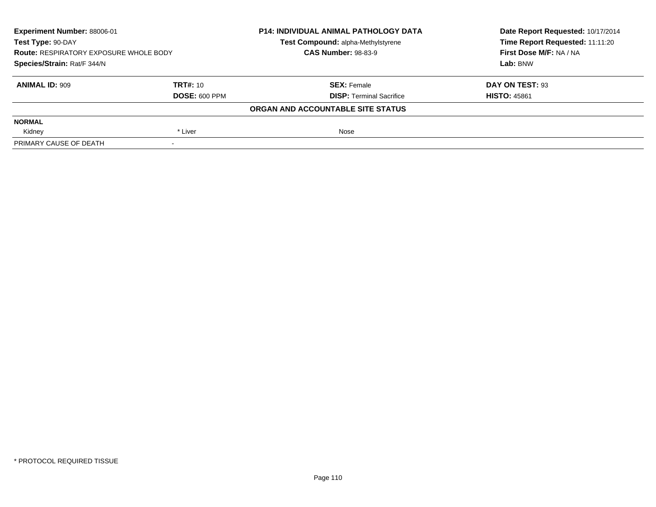| Experiment Number: 88006-01<br>Test Type: 90-DAY<br><b>Route: RESPIRATORY EXPOSURE WHOLE BODY</b><br>Species/Strain: Rat/F 344/N |                      | <b>P14: INDIVIDUAL ANIMAL PATHOLOGY DATA</b> | Date Report Requested: 10/17/2014 |
|----------------------------------------------------------------------------------------------------------------------------------|----------------------|----------------------------------------------|-----------------------------------|
|                                                                                                                                  |                      | Test Compound: alpha-Methylstyrene           | Time Report Requested: 11:11:20   |
|                                                                                                                                  |                      | <b>CAS Number: 98-83-9</b>                   | First Dose M/F: NA / NA           |
|                                                                                                                                  |                      |                                              | Lab: BNW                          |
| <b>ANIMAL ID: 909</b>                                                                                                            | <b>TRT#: 10</b>      | <b>SEX: Female</b>                           | DAY ON TEST: 93                   |
|                                                                                                                                  | <b>DOSE: 600 PPM</b> | <b>DISP: Terminal Sacrifice</b>              | <b>HISTO: 45861</b>               |
|                                                                                                                                  |                      | ORGAN AND ACCOUNTABLE SITE STATUS            |                                   |
| <b>NORMAL</b>                                                                                                                    |                      |                                              |                                   |
| Kidney                                                                                                                           | * Liver              | Nose                                         |                                   |
| PRIMARY CAUSE OF DEATH                                                                                                           |                      |                                              |                                   |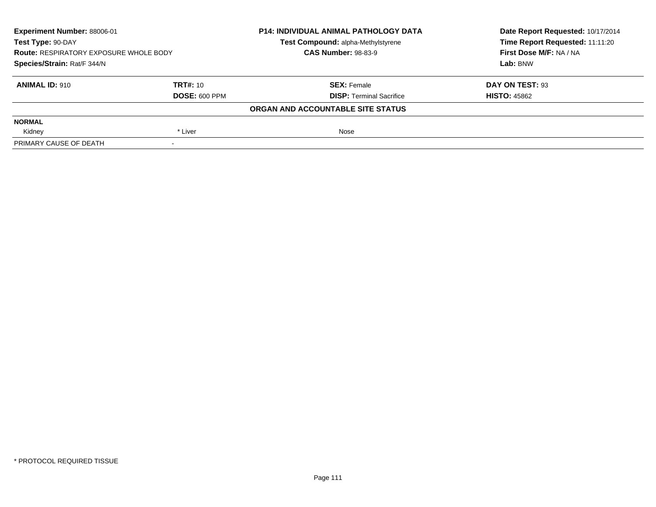| Experiment Number: 88006-01<br>Test Type: 90-DAY<br><b>Route: RESPIRATORY EXPOSURE WHOLE BODY</b><br>Species/Strain: Rat/F 344/N |                      | <b>P14: INDIVIDUAL ANIMAL PATHOLOGY DATA</b><br>Test Compound: alpha-Methylstyrene | Date Report Requested: 10/17/2014<br>Time Report Requested: 11:11:20 |
|----------------------------------------------------------------------------------------------------------------------------------|----------------------|------------------------------------------------------------------------------------|----------------------------------------------------------------------|
|                                                                                                                                  |                      | <b>CAS Number: 98-83-9</b>                                                         | First Dose M/F: NA / NA                                              |
|                                                                                                                                  |                      |                                                                                    | Lab: BNW                                                             |
| <b>ANIMAL ID: 910</b>                                                                                                            | TRT#: 10             | <b>SEX: Female</b>                                                                 | DAY ON TEST: 93                                                      |
|                                                                                                                                  | <b>DOSE: 600 PPM</b> | <b>DISP:</b> Terminal Sacrifice                                                    | <b>HISTO: 45862</b>                                                  |
|                                                                                                                                  |                      | ORGAN AND ACCOUNTABLE SITE STATUS                                                  |                                                                      |
| <b>NORMAL</b>                                                                                                                    |                      |                                                                                    |                                                                      |
| Kidney                                                                                                                           | * Liver              | Nose                                                                               |                                                                      |
| PRIMARY CAUSE OF DEATH                                                                                                           | $\,$                 |                                                                                    |                                                                      |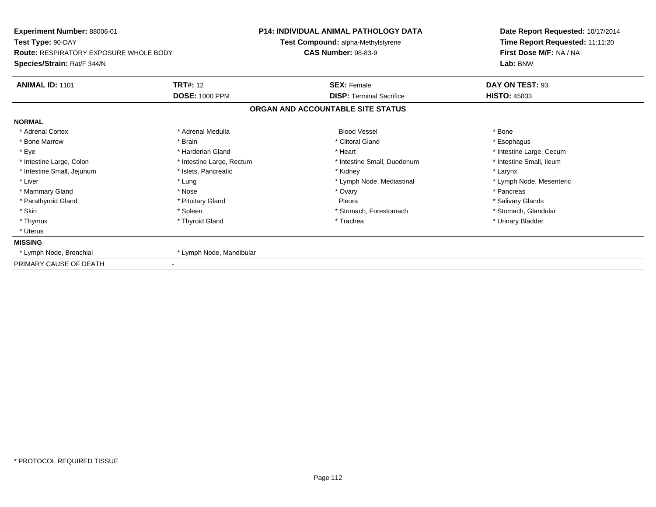| Experiment Number: 88006-01<br>Test Type: 90-DAY<br><b>Route: RESPIRATORY EXPOSURE WHOLE BODY</b> |                           | <b>P14: INDIVIDUAL ANIMAL PATHOLOGY DATA</b> | Date Report Requested: 10/17/2014                          |  |  |
|---------------------------------------------------------------------------------------------------|---------------------------|----------------------------------------------|------------------------------------------------------------|--|--|
|                                                                                                   |                           | Test Compound: alpha-Methylstyrene           | Time Report Requested: 11:11:20<br>First Dose M/F: NA / NA |  |  |
|                                                                                                   |                           | <b>CAS Number: 98-83-9</b>                   |                                                            |  |  |
| Species/Strain: Rat/F 344/N                                                                       |                           |                                              | Lab: BNW                                                   |  |  |
| <b>ANIMAL ID: 1101</b>                                                                            | <b>TRT#: 12</b>           | <b>SEX: Female</b>                           | DAY ON TEST: 93                                            |  |  |
|                                                                                                   | <b>DOSE: 1000 PPM</b>     | <b>DISP:</b> Terminal Sacrifice              | <b>HISTO: 45833</b>                                        |  |  |
|                                                                                                   |                           | ORGAN AND ACCOUNTABLE SITE STATUS            |                                                            |  |  |
| <b>NORMAL</b>                                                                                     |                           |                                              |                                                            |  |  |
| * Adrenal Cortex                                                                                  | * Adrenal Medulla         | <b>Blood Vessel</b>                          | * Bone                                                     |  |  |
| * Bone Marrow                                                                                     | * Brain                   | * Clitoral Gland                             | * Esophagus                                                |  |  |
| * Eye                                                                                             | * Harderian Gland         | * Heart                                      | * Intestine Large, Cecum                                   |  |  |
| * Intestine Large, Colon                                                                          | * Intestine Large, Rectum | * Intestine Small, Duodenum                  | * Intestine Small, Ileum                                   |  |  |
| * Intestine Small, Jejunum                                                                        | * Islets, Pancreatic      | * Kidney                                     | * Larynx                                                   |  |  |
| * Liver                                                                                           | * Lung                    | * Lymph Node, Mediastinal                    | * Lymph Node, Mesenteric                                   |  |  |
| * Mammary Gland                                                                                   | * Nose                    | * Ovary                                      | * Pancreas                                                 |  |  |
| * Parathyroid Gland                                                                               | * Pituitary Gland         | Pleura                                       | * Salivary Glands                                          |  |  |
| * Skin                                                                                            | * Spleen                  | * Stomach, Forestomach                       | * Stomach, Glandular                                       |  |  |
| * Thymus                                                                                          | * Thyroid Gland           | * Trachea                                    | * Urinary Bladder                                          |  |  |
| * Uterus                                                                                          |                           |                                              |                                                            |  |  |
| <b>MISSING</b>                                                                                    |                           |                                              |                                                            |  |  |
| * Lymph Node, Bronchial                                                                           | * Lymph Node, Mandibular  |                                              |                                                            |  |  |
| PRIMARY CAUSE OF DEATH                                                                            |                           |                                              |                                                            |  |  |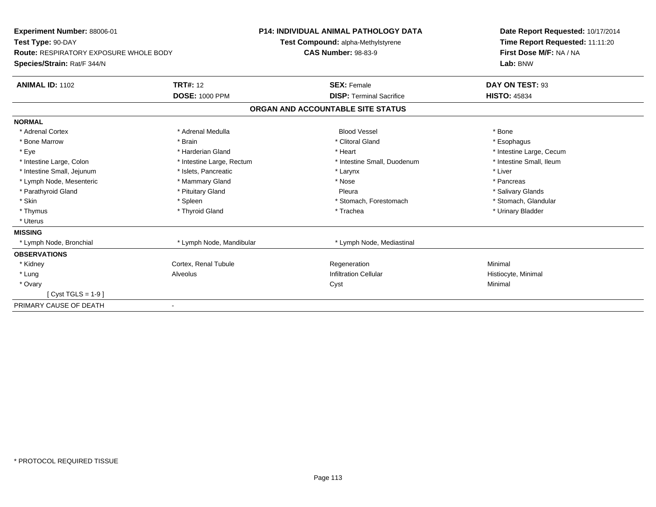| Experiment Number: 88006-01<br>Test Type: 90-DAY |                           | <b>P14: INDIVIDUAL ANIMAL PATHOLOGY DATA</b> | Date Report Requested: 10/17/2014 |
|--------------------------------------------------|---------------------------|----------------------------------------------|-----------------------------------|
|                                                  |                           | Test Compound: alpha-Methylstyrene           | Time Report Requested: 11:11:20   |
| <b>Route: RESPIRATORY EXPOSURE WHOLE BODY</b>    |                           | <b>CAS Number: 98-83-9</b>                   | First Dose M/F: NA / NA           |
| Species/Strain: Rat/F 344/N                      |                           |                                              | Lab: BNW                          |
| <b>ANIMAL ID: 1102</b>                           | <b>TRT#: 12</b>           | <b>SEX: Female</b>                           | DAY ON TEST: 93                   |
|                                                  | <b>DOSE: 1000 PPM</b>     | <b>DISP: Terminal Sacrifice</b>              | <b>HISTO: 45834</b>               |
|                                                  |                           | ORGAN AND ACCOUNTABLE SITE STATUS            |                                   |
| <b>NORMAL</b>                                    |                           |                                              |                                   |
| * Adrenal Cortex                                 | * Adrenal Medulla         | <b>Blood Vessel</b>                          | * Bone                            |
| * Bone Marrow                                    | * Brain                   | * Clitoral Gland                             | * Esophagus                       |
| * Eye                                            | * Harderian Gland         | * Heart                                      | * Intestine Large, Cecum          |
| * Intestine Large, Colon                         | * Intestine Large, Rectum | * Intestine Small, Duodenum                  | * Intestine Small, Ileum          |
| * Intestine Small, Jejunum                       | * Islets, Pancreatic      | * Larynx                                     | * Liver                           |
| * Lymph Node, Mesenteric                         | * Mammary Gland           | * Nose                                       | * Pancreas                        |
| * Parathyroid Gland                              | * Pituitary Gland         | Pleura                                       | * Salivary Glands                 |
| * Skin                                           | * Spleen                  | * Stomach, Forestomach                       | * Stomach, Glandular              |
| * Thymus                                         | * Thyroid Gland           | * Trachea                                    | * Urinary Bladder                 |
| * Uterus                                         |                           |                                              |                                   |
| <b>MISSING</b>                                   |                           |                                              |                                   |
| * Lymph Node, Bronchial                          | * Lymph Node, Mandibular  | * Lymph Node, Mediastinal                    |                                   |
| <b>OBSERVATIONS</b>                              |                           |                                              |                                   |
| * Kidney                                         | Cortex, Renal Tubule      | Regeneration                                 | Minimal                           |
| * Lung                                           | Alveolus                  | <b>Infiltration Cellular</b>                 | Histiocyte, Minimal               |
| * Ovary                                          |                           | Cyst                                         | Minimal                           |
| $Cyst TGLS = 1-9$                                |                           |                                              |                                   |
| PRIMARY CAUSE OF DEATH                           |                           |                                              |                                   |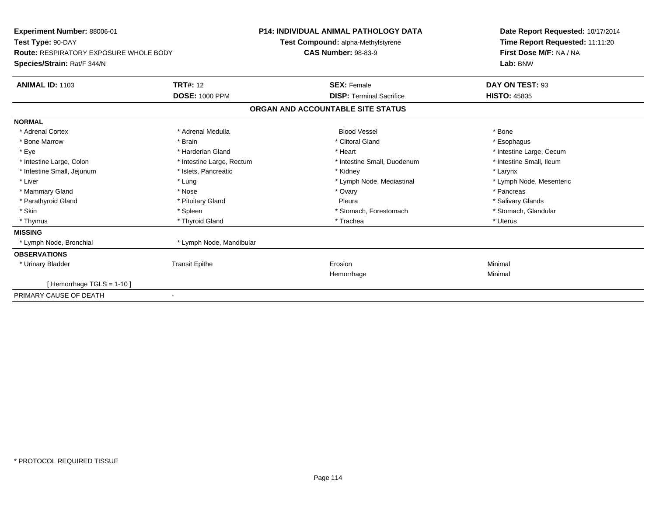| Experiment Number: 88006-01<br>Test Type: 90-DAY<br><b>Route: RESPIRATORY EXPOSURE WHOLE BODY</b><br>Species/Strain: Rat/F 344/N |                           | <b>P14: INDIVIDUAL ANIMAL PATHOLOGY DATA</b><br>Test Compound: alpha-Methylstyrene<br><b>CAS Number: 98-83-9</b> |                                   | Date Report Requested: 10/17/2014<br>Time Report Requested: 11:11:20<br>First Dose M/F: NA / NA<br>Lab: BNW |  |
|----------------------------------------------------------------------------------------------------------------------------------|---------------------------|------------------------------------------------------------------------------------------------------------------|-----------------------------------|-------------------------------------------------------------------------------------------------------------|--|
| <b>ANIMAL ID: 1103</b>                                                                                                           | <b>TRT#: 12</b>           |                                                                                                                  | <b>SEX: Female</b>                | DAY ON TEST: 93                                                                                             |  |
|                                                                                                                                  | <b>DOSE: 1000 PPM</b>     |                                                                                                                  | <b>DISP: Terminal Sacrifice</b>   | <b>HISTO: 45835</b>                                                                                         |  |
|                                                                                                                                  |                           |                                                                                                                  | ORGAN AND ACCOUNTABLE SITE STATUS |                                                                                                             |  |
| <b>NORMAL</b>                                                                                                                    |                           |                                                                                                                  |                                   |                                                                                                             |  |
| * Adrenal Cortex                                                                                                                 | * Adrenal Medulla         |                                                                                                                  | <b>Blood Vessel</b>               | * Bone                                                                                                      |  |
| * Bone Marrow                                                                                                                    | * Brain                   |                                                                                                                  | * Clitoral Gland                  | * Esophagus                                                                                                 |  |
| * Eye                                                                                                                            | * Harderian Gland         |                                                                                                                  | * Heart                           | * Intestine Large, Cecum                                                                                    |  |
| * Intestine Large, Colon                                                                                                         | * Intestine Large, Rectum |                                                                                                                  | * Intestine Small, Duodenum       | * Intestine Small, Ileum                                                                                    |  |
| * Intestine Small, Jejunum                                                                                                       | * Islets, Pancreatic      |                                                                                                                  | * Kidney                          | * Larynx                                                                                                    |  |
| * Liver                                                                                                                          | * Lung                    |                                                                                                                  | * Lymph Node, Mediastinal         | * Lymph Node, Mesenteric                                                                                    |  |
| * Mammary Gland                                                                                                                  | * Nose                    |                                                                                                                  | * Ovary                           | * Pancreas                                                                                                  |  |
| * Parathyroid Gland                                                                                                              | * Pituitary Gland         |                                                                                                                  | Pleura                            | * Salivary Glands                                                                                           |  |
| * Skin                                                                                                                           | * Spleen                  |                                                                                                                  | * Stomach, Forestomach            | * Stomach, Glandular                                                                                        |  |
| * Thymus                                                                                                                         | * Thyroid Gland           |                                                                                                                  | * Trachea                         | * Uterus                                                                                                    |  |
| <b>MISSING</b>                                                                                                                   |                           |                                                                                                                  |                                   |                                                                                                             |  |
| * Lymph Node, Bronchial                                                                                                          | * Lymph Node, Mandibular  |                                                                                                                  |                                   |                                                                                                             |  |
| <b>OBSERVATIONS</b>                                                                                                              |                           |                                                                                                                  |                                   |                                                                                                             |  |
| * Urinary Bladder                                                                                                                | <b>Transit Epithe</b>     |                                                                                                                  | Erosion                           | Minimal                                                                                                     |  |
|                                                                                                                                  |                           |                                                                                                                  | Hemorrhage                        | Minimal                                                                                                     |  |
| [Hemorrhage TGLS = $1-10$ ]                                                                                                      |                           |                                                                                                                  |                                   |                                                                                                             |  |
| PRIMARY CAUSE OF DEATH                                                                                                           |                           |                                                                                                                  |                                   |                                                                                                             |  |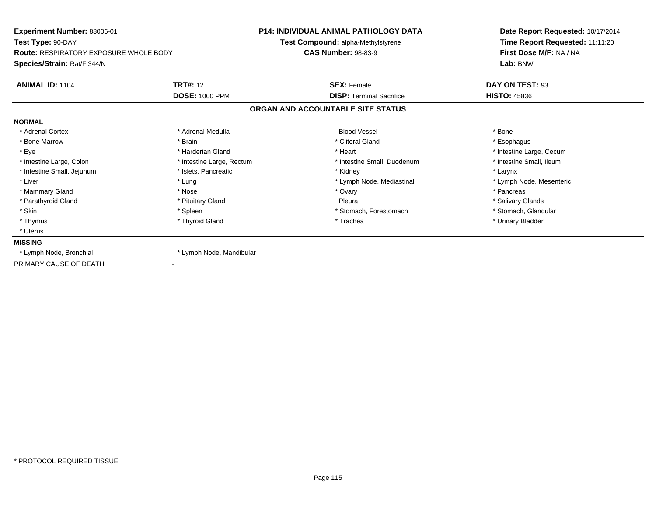| Experiment Number: 88006-01                   |                           | <b>P14: INDIVIDUAL ANIMAL PATHOLOGY DATA</b> | Date Report Requested: 10/17/2014 |  |
|-----------------------------------------------|---------------------------|----------------------------------------------|-----------------------------------|--|
| Test Type: 90-DAY                             |                           | Test Compound: alpha-Methylstyrene           | Time Report Requested: 11:11:20   |  |
| <b>Route: RESPIRATORY EXPOSURE WHOLE BODY</b> |                           | <b>CAS Number: 98-83-9</b>                   | First Dose M/F: NA / NA           |  |
| Species/Strain: Rat/F 344/N                   |                           |                                              | Lab: BNW                          |  |
| <b>ANIMAL ID: 1104</b>                        | <b>TRT#: 12</b>           | <b>SEX: Female</b>                           | DAY ON TEST: 93                   |  |
|                                               | <b>DOSE: 1000 PPM</b>     | <b>DISP: Terminal Sacrifice</b>              | <b>HISTO: 45836</b>               |  |
|                                               |                           | ORGAN AND ACCOUNTABLE SITE STATUS            |                                   |  |
| <b>NORMAL</b>                                 |                           |                                              |                                   |  |
| * Adrenal Cortex                              | * Adrenal Medulla         | <b>Blood Vessel</b>                          | * Bone                            |  |
| * Bone Marrow                                 | * Brain                   | * Clitoral Gland                             | * Esophagus                       |  |
| * Eye                                         | * Harderian Gland         | * Heart                                      | * Intestine Large, Cecum          |  |
| * Intestine Large, Colon                      | * Intestine Large, Rectum | * Intestine Small, Duodenum                  | * Intestine Small, Ileum          |  |
| * Intestine Small, Jejunum                    | * Islets, Pancreatic      | * Kidney                                     | * Larynx                          |  |
| * Liver                                       | * Lung                    | * Lymph Node, Mediastinal                    | * Lymph Node, Mesenteric          |  |
| * Mammary Gland                               | * Nose                    | * Ovary                                      | * Pancreas                        |  |
| * Parathyroid Gland                           | * Pituitary Gland         | Pleura                                       | * Salivary Glands                 |  |
| * Skin                                        | * Spleen                  | * Stomach, Forestomach                       | * Stomach, Glandular              |  |
| * Thymus                                      | * Thyroid Gland           | * Trachea                                    | * Urinary Bladder                 |  |
| * Uterus                                      |                           |                                              |                                   |  |
| <b>MISSING</b>                                |                           |                                              |                                   |  |
| * Lymph Node, Bronchial                       | * Lymph Node, Mandibular  |                                              |                                   |  |
| PRIMARY CAUSE OF DEATH                        |                           |                                              |                                   |  |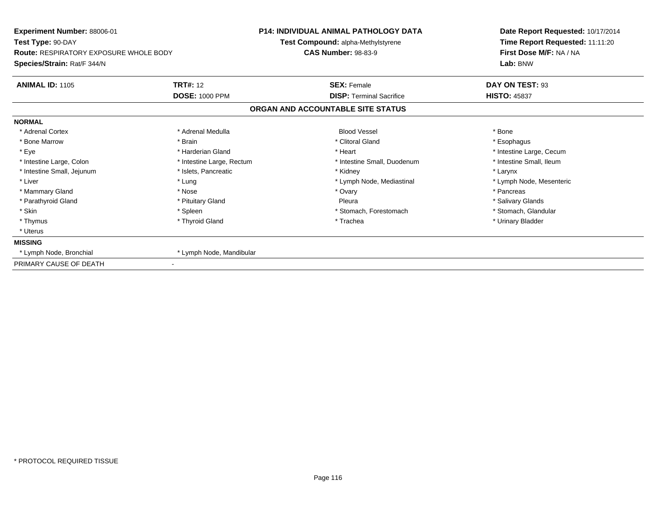| Experiment Number: 88006-01<br>Test Type: 90-DAY<br><b>Route: RESPIRATORY EXPOSURE WHOLE BODY</b> |                           | <b>P14: INDIVIDUAL ANIMAL PATHOLOGY DATA</b> | Date Report Requested: 10/17/2014 |  |  |
|---------------------------------------------------------------------------------------------------|---------------------------|----------------------------------------------|-----------------------------------|--|--|
|                                                                                                   |                           | Test Compound: alpha-Methylstyrene           | Time Report Requested: 11:11:20   |  |  |
|                                                                                                   |                           | <b>CAS Number: 98-83-9</b>                   | First Dose M/F: NA / NA           |  |  |
| Species/Strain: Rat/F 344/N                                                                       |                           |                                              | Lab: BNW                          |  |  |
| <b>ANIMAL ID: 1105</b>                                                                            | <b>TRT#: 12</b>           | <b>SEX: Female</b>                           | DAY ON TEST: 93                   |  |  |
|                                                                                                   | <b>DOSE: 1000 PPM</b>     | <b>DISP:</b> Terminal Sacrifice              | <b>HISTO: 45837</b>               |  |  |
|                                                                                                   |                           | ORGAN AND ACCOUNTABLE SITE STATUS            |                                   |  |  |
| <b>NORMAL</b>                                                                                     |                           |                                              |                                   |  |  |
| * Adrenal Cortex                                                                                  | * Adrenal Medulla         | <b>Blood Vessel</b>                          | * Bone                            |  |  |
| * Bone Marrow                                                                                     | * Brain                   | * Clitoral Gland                             | * Esophagus                       |  |  |
| * Eye                                                                                             | * Harderian Gland         | * Heart                                      | * Intestine Large, Cecum          |  |  |
| * Intestine Large, Colon                                                                          | * Intestine Large, Rectum | * Intestine Small, Duodenum                  | * Intestine Small, Ileum          |  |  |
| * Intestine Small, Jejunum                                                                        | * Islets, Pancreatic      | * Kidney                                     | * Larynx                          |  |  |
| * Liver                                                                                           | * Lung                    | * Lymph Node, Mediastinal                    | * Lymph Node, Mesenteric          |  |  |
| * Mammary Gland                                                                                   | * Nose                    | * Ovary                                      | * Pancreas                        |  |  |
| * Parathyroid Gland                                                                               | * Pituitary Gland         | Pleura                                       | * Salivary Glands                 |  |  |
| * Skin                                                                                            | * Spleen                  | * Stomach, Forestomach                       | * Stomach, Glandular              |  |  |
| * Thymus                                                                                          | * Thyroid Gland           | * Trachea                                    | * Urinary Bladder                 |  |  |
| * Uterus                                                                                          |                           |                                              |                                   |  |  |
| <b>MISSING</b>                                                                                    |                           |                                              |                                   |  |  |
| * Lymph Node, Bronchial                                                                           | * Lymph Node, Mandibular  |                                              |                                   |  |  |
| PRIMARY CAUSE OF DEATH                                                                            |                           |                                              |                                   |  |  |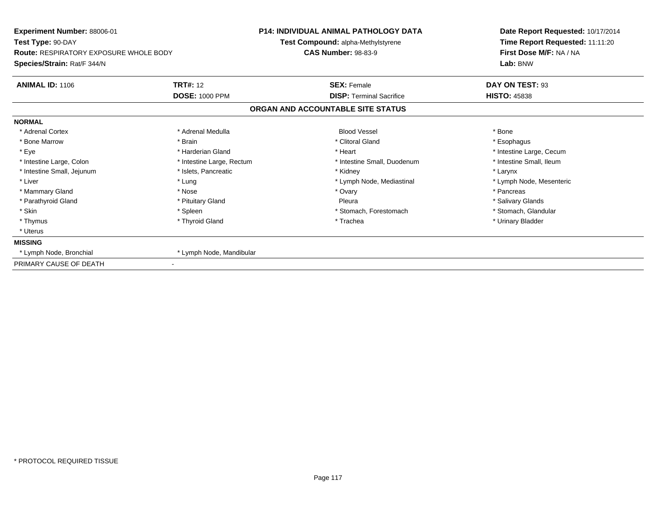| Experiment Number: 88006-01<br>Test Type: 90-DAY<br><b>Route: RESPIRATORY EXPOSURE WHOLE BODY</b> |                           | <b>P14: INDIVIDUAL ANIMAL PATHOLOGY DATA</b> | Date Report Requested: 10/17/2014 |  |  |
|---------------------------------------------------------------------------------------------------|---------------------------|----------------------------------------------|-----------------------------------|--|--|
|                                                                                                   |                           | Test Compound: alpha-Methylstyrene           | Time Report Requested: 11:11:20   |  |  |
|                                                                                                   |                           | <b>CAS Number: 98-83-9</b>                   | First Dose M/F: NA / NA           |  |  |
| Species/Strain: Rat/F 344/N                                                                       |                           |                                              | Lab: BNW                          |  |  |
| <b>ANIMAL ID: 1106</b>                                                                            | <b>TRT#: 12</b>           | <b>SEX: Female</b>                           | DAY ON TEST: 93                   |  |  |
|                                                                                                   | <b>DOSE: 1000 PPM</b>     | <b>DISP:</b> Terminal Sacrifice              | <b>HISTO: 45838</b>               |  |  |
|                                                                                                   |                           | ORGAN AND ACCOUNTABLE SITE STATUS            |                                   |  |  |
| <b>NORMAL</b>                                                                                     |                           |                                              |                                   |  |  |
| * Adrenal Cortex                                                                                  | * Adrenal Medulla         | <b>Blood Vessel</b>                          | * Bone                            |  |  |
| * Bone Marrow                                                                                     | * Brain                   | * Clitoral Gland                             | * Esophagus                       |  |  |
| * Eye                                                                                             | * Harderian Gland         | * Heart                                      | * Intestine Large, Cecum          |  |  |
| * Intestine Large, Colon                                                                          | * Intestine Large, Rectum | * Intestine Small, Duodenum                  | * Intestine Small, Ileum          |  |  |
| * Intestine Small, Jejunum                                                                        | * Islets, Pancreatic      | * Kidney                                     | * Larynx                          |  |  |
| * Liver                                                                                           | * Lung                    | * Lymph Node, Mediastinal                    | * Lymph Node, Mesenteric          |  |  |
| * Mammary Gland                                                                                   | * Nose                    | * Ovary                                      | * Pancreas                        |  |  |
| * Parathyroid Gland                                                                               | * Pituitary Gland         | Pleura                                       | * Salivary Glands                 |  |  |
| * Skin                                                                                            | * Spleen                  | * Stomach, Forestomach                       | * Stomach, Glandular              |  |  |
| * Thymus                                                                                          | * Thyroid Gland           | * Trachea                                    | * Urinary Bladder                 |  |  |
| * Uterus                                                                                          |                           |                                              |                                   |  |  |
| <b>MISSING</b>                                                                                    |                           |                                              |                                   |  |  |
| * Lymph Node, Bronchial                                                                           | * Lymph Node, Mandibular  |                                              |                                   |  |  |
| PRIMARY CAUSE OF DEATH                                                                            |                           |                                              |                                   |  |  |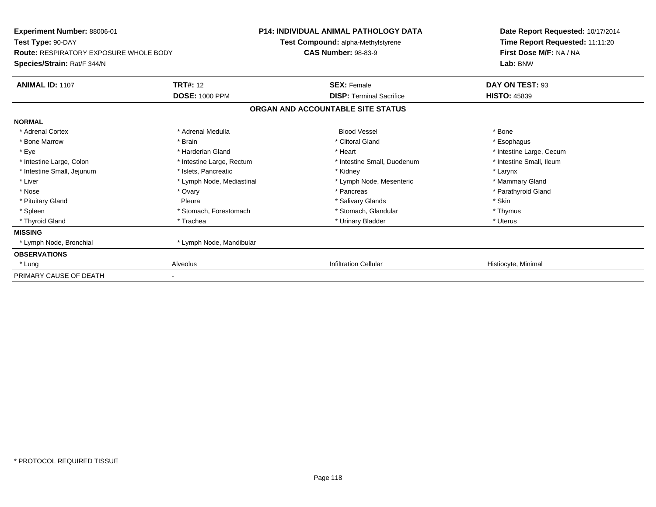| <b>Experiment Number: 88006-01</b><br>Test Type: 90-DAY |                           | <b>P14: INDIVIDUAL ANIMAL PATHOLOGY DATA</b><br>Test Compound: alpha-Methylstyrene | Date Report Requested: 10/17/2014<br>Time Report Requested: 11:11:20 |  |
|---------------------------------------------------------|---------------------------|------------------------------------------------------------------------------------|----------------------------------------------------------------------|--|
| <b>Route: RESPIRATORY EXPOSURE WHOLE BODY</b>           |                           | <b>CAS Number: 98-83-9</b>                                                         | First Dose M/F: NA / NA                                              |  |
| Species/Strain: Rat/F 344/N                             |                           |                                                                                    | Lab: BNW                                                             |  |
| <b>ANIMAL ID: 1107</b>                                  | <b>TRT#: 12</b>           | <b>SEX: Female</b>                                                                 | DAY ON TEST: 93                                                      |  |
|                                                         | <b>DOSE: 1000 PPM</b>     | <b>DISP: Terminal Sacrifice</b>                                                    | <b>HISTO: 45839</b>                                                  |  |
|                                                         |                           | ORGAN AND ACCOUNTABLE SITE STATUS                                                  |                                                                      |  |
| <b>NORMAL</b>                                           |                           |                                                                                    |                                                                      |  |
| * Adrenal Cortex                                        | * Adrenal Medulla         | <b>Blood Vessel</b>                                                                | * Bone                                                               |  |
| * Bone Marrow                                           | * Brain                   | * Clitoral Gland                                                                   | * Esophagus                                                          |  |
| * Eye                                                   | * Harderian Gland         | * Heart                                                                            | * Intestine Large, Cecum                                             |  |
| * Intestine Large, Colon                                | * Intestine Large, Rectum | * Intestine Small, Duodenum                                                        | * Intestine Small, Ileum                                             |  |
| * Intestine Small, Jejunum                              | * Islets, Pancreatic      | * Kidney                                                                           | * Larynx                                                             |  |
| * Liver                                                 | * Lymph Node, Mediastinal | * Lymph Node, Mesenteric                                                           | * Mammary Gland                                                      |  |
| * Nose                                                  | * Ovary                   | * Pancreas                                                                         | * Parathyroid Gland                                                  |  |
| * Pituitary Gland                                       | Pleura                    | * Salivary Glands                                                                  | * Skin                                                               |  |
| * Spleen                                                | * Stomach, Forestomach    | * Stomach, Glandular                                                               | * Thymus                                                             |  |
| * Thyroid Gland                                         | * Trachea                 | * Urinary Bladder                                                                  | * Uterus                                                             |  |
| <b>MISSING</b>                                          |                           |                                                                                    |                                                                      |  |
| * Lymph Node, Bronchial                                 | * Lymph Node, Mandibular  |                                                                                    |                                                                      |  |
| <b>OBSERVATIONS</b>                                     |                           |                                                                                    |                                                                      |  |
| * Lung                                                  | Alveolus                  | <b>Infiltration Cellular</b>                                                       | Histiocyte, Minimal                                                  |  |
| PRIMARY CAUSE OF DEATH                                  |                           |                                                                                    |                                                                      |  |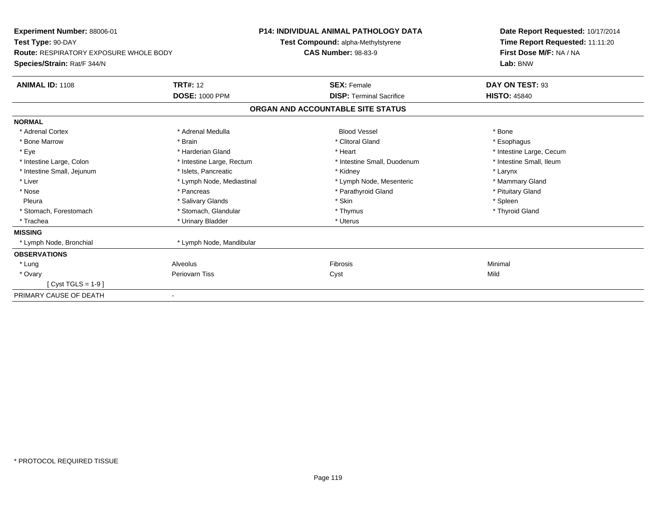| Experiment Number: 88006-01<br>Test Type: 90-DAY<br><b>Route: RESPIRATORY EXPOSURE WHOLE BODY</b><br>Species/Strain: Rat/F 344/N |                           | <b>P14: INDIVIDUAL ANIMAL PATHOLOGY DATA</b><br>Test Compound: alpha-Methylstyrene<br><b>CAS Number: 98-83-9</b> |                                 | Date Report Requested: 10/17/2014<br>Time Report Requested: 11:11:20<br>First Dose M/F: NA / NA<br>Lab: BNW |  |
|----------------------------------------------------------------------------------------------------------------------------------|---------------------------|------------------------------------------------------------------------------------------------------------------|---------------------------------|-------------------------------------------------------------------------------------------------------------|--|
| <b>ANIMAL ID: 1108</b>                                                                                                           | <b>TRT#: 12</b>           |                                                                                                                  | <b>SEX: Female</b>              | DAY ON TEST: 93                                                                                             |  |
|                                                                                                                                  | <b>DOSE: 1000 PPM</b>     |                                                                                                                  | <b>DISP: Terminal Sacrifice</b> | <b>HISTO: 45840</b>                                                                                         |  |
|                                                                                                                                  |                           | ORGAN AND ACCOUNTABLE SITE STATUS                                                                                |                                 |                                                                                                             |  |
| <b>NORMAL</b>                                                                                                                    |                           |                                                                                                                  |                                 |                                                                                                             |  |
| * Adrenal Cortex                                                                                                                 | * Adrenal Medulla         |                                                                                                                  | <b>Blood Vessel</b>             | * Bone                                                                                                      |  |
| * Bone Marrow                                                                                                                    | * Brain                   |                                                                                                                  | * Clitoral Gland                | * Esophagus                                                                                                 |  |
| * Eye                                                                                                                            | * Harderian Gland         |                                                                                                                  | * Heart                         | * Intestine Large, Cecum                                                                                    |  |
| * Intestine Large, Colon                                                                                                         | * Intestine Large, Rectum |                                                                                                                  | * Intestine Small, Duodenum     | * Intestine Small, Ileum                                                                                    |  |
| * Intestine Small, Jejunum                                                                                                       | * Islets, Pancreatic      |                                                                                                                  | * Kidney                        | * Larynx                                                                                                    |  |
| * Liver                                                                                                                          | * Lymph Node, Mediastinal |                                                                                                                  | * Lymph Node, Mesenteric        | * Mammary Gland                                                                                             |  |
| * Nose                                                                                                                           | * Pancreas                |                                                                                                                  | * Parathyroid Gland             | * Pituitary Gland                                                                                           |  |
| Pleura                                                                                                                           | * Salivary Glands         |                                                                                                                  | * Skin                          | * Spleen                                                                                                    |  |
| * Stomach, Forestomach                                                                                                           | * Stomach, Glandular      |                                                                                                                  | * Thymus                        | * Thyroid Gland                                                                                             |  |
| * Trachea                                                                                                                        | * Urinary Bladder         |                                                                                                                  | * Uterus                        |                                                                                                             |  |
| <b>MISSING</b>                                                                                                                   |                           |                                                                                                                  |                                 |                                                                                                             |  |
| * Lymph Node, Bronchial                                                                                                          | * Lymph Node, Mandibular  |                                                                                                                  |                                 |                                                                                                             |  |
| <b>OBSERVATIONS</b>                                                                                                              |                           |                                                                                                                  |                                 |                                                                                                             |  |
| * Lung                                                                                                                           | Alveolus                  |                                                                                                                  | <b>Fibrosis</b>                 | Minimal                                                                                                     |  |
| * Ovary                                                                                                                          | Periovarn Tiss            |                                                                                                                  | Cyst                            | Mild                                                                                                        |  |
| $Cvst TGLS = 1-9$                                                                                                                |                           |                                                                                                                  |                                 |                                                                                                             |  |
| PRIMARY CAUSE OF DEATH                                                                                                           |                           |                                                                                                                  |                                 |                                                                                                             |  |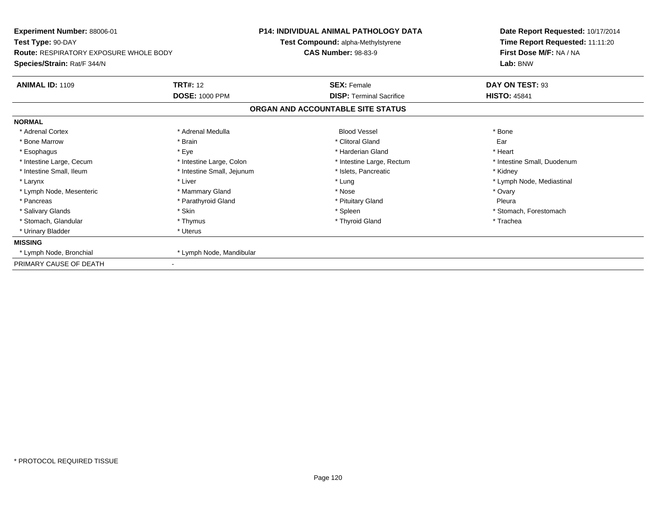| Experiment Number: 88006-01<br>Test Type: 90-DAY                             |                            | <b>P14: INDIVIDUAL ANIMAL PATHOLOGY DATA</b> | Date Report Requested: 10/17/2014<br>Time Report Requested: 11:11:20 |  |
|------------------------------------------------------------------------------|----------------------------|----------------------------------------------|----------------------------------------------------------------------|--|
|                                                                              |                            | Test Compound: alpha-Methylstyrene           |                                                                      |  |
| <b>Route: RESPIRATORY EXPOSURE WHOLE BODY</b><br>Species/Strain: Rat/F 344/N |                            | <b>CAS Number: 98-83-9</b>                   | First Dose M/F: NA / NA<br>Lab: BNW                                  |  |
|                                                                              |                            |                                              |                                                                      |  |
| <b>ANIMAL ID: 1109</b>                                                       | <b>TRT#: 12</b>            | <b>SEX: Female</b>                           | DAY ON TEST: 93                                                      |  |
|                                                                              | <b>DOSE: 1000 PPM</b>      | <b>DISP: Terminal Sacrifice</b>              | <b>HISTO: 45841</b>                                                  |  |
|                                                                              |                            | ORGAN AND ACCOUNTABLE SITE STATUS            |                                                                      |  |
| <b>NORMAL</b>                                                                |                            |                                              |                                                                      |  |
| * Adrenal Cortex                                                             | * Adrenal Medulla          | <b>Blood Vessel</b>                          | * Bone                                                               |  |
| * Bone Marrow                                                                | * Brain                    | * Clitoral Gland                             | Ear                                                                  |  |
| * Esophagus                                                                  | * Eye                      | * Harderian Gland                            | * Heart                                                              |  |
| * Intestine Large, Cecum                                                     | * Intestine Large, Colon   | * Intestine Large, Rectum                    | * Intestine Small, Duodenum                                          |  |
| * Intestine Small, Ileum                                                     | * Intestine Small, Jejunum | * Islets, Pancreatic                         | * Kidney                                                             |  |
| * Larynx                                                                     | * Liver                    | * Lung                                       | * Lymph Node, Mediastinal                                            |  |
| * Lymph Node, Mesenteric                                                     | * Mammary Gland            | * Nose                                       | * Ovary                                                              |  |
| * Pancreas                                                                   | * Parathyroid Gland        | * Pituitary Gland                            | Pleura                                                               |  |
| * Salivary Glands                                                            | * Skin                     | * Spleen                                     | * Stomach, Forestomach                                               |  |
| * Stomach, Glandular                                                         | * Thymus                   | * Thyroid Gland                              | * Trachea                                                            |  |
| * Urinary Bladder                                                            | * Uterus                   |                                              |                                                                      |  |
| <b>MISSING</b>                                                               |                            |                                              |                                                                      |  |
| * Lymph Node, Bronchial                                                      | * Lymph Node, Mandibular   |                                              |                                                                      |  |
| PRIMARY CAUSE OF DEATH                                                       |                            |                                              |                                                                      |  |